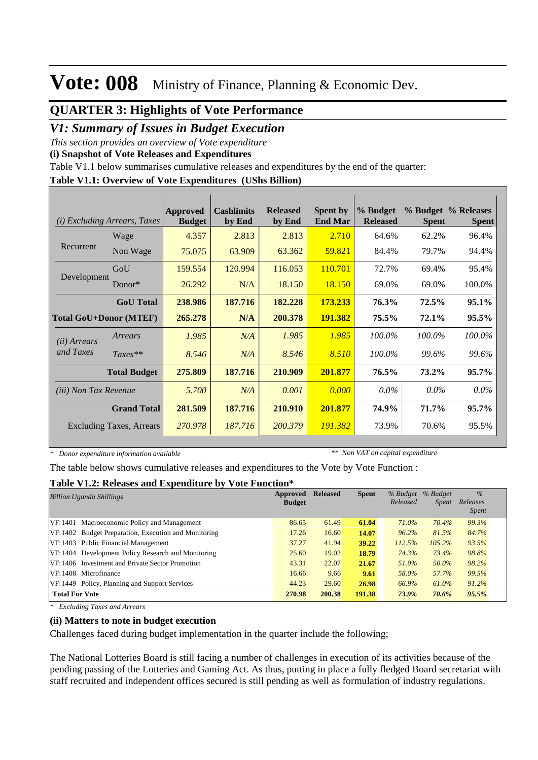#### **QUARTER 3: Highlights of Vote Performance**

#### *V1: Summary of Issues in Budget Execution*

*This section provides an overview of Vote expenditure* 

#### **(i) Snapshot of Vote Releases and Expenditures**

Table V1.1 below summarises cumulative releases and expenditures by the end of the quarter:

#### **Table V1.1: Overview of Vote Expenditures (UShs Billion)**

| (i)                           | <i>Excluding Arrears, Taxes</i> | Approved<br><b>Budget</b> | <b>Cashlimits</b><br>by End | <b>Released</b><br>by End | <b>Spent by</b><br><b>End Mar</b> | % Budget<br><b>Released</b> | <b>Spent</b> | % Budget % Releases<br><b>Spent</b> |
|-------------------------------|---------------------------------|---------------------------|-----------------------------|---------------------------|-----------------------------------|-----------------------------|--------------|-------------------------------------|
|                               | Wage                            | 4.357                     | 2.813                       | 2.813                     | 2.710                             | 64.6%                       | 62.2%        | 96.4%                               |
| Recurrent                     | Non Wage                        | 75.075                    | 63.909                      | 63.362                    | 59.821                            | 84.4%                       | 79.7%        | 94.4%                               |
|                               | GoU                             | 159.554                   | 120.994                     | 116.053                   | 110.701                           | 72.7%                       | 69.4%        | 95.4%                               |
| Development                   | Donor $*$                       | 26.292                    | N/A                         | 18.150                    | 18.150                            | 69.0%                       | 69.0%        | 100.0%                              |
|                               | <b>GoU</b> Total                | 238.986                   | 187.716                     | 182.228                   | 173.233                           | 76.3%                       | 72.5%        | $95.1\%$                            |
| <b>Total GoU+Donor (MTEF)</b> |                                 | 265.278                   | N/A                         | 200.378                   | 191.382                           | 75.5%                       | 72.1%        | 95.5%                               |
| ( <i>ii</i> ) Arrears         | Arrears                         | 1.985                     | N/A                         | 1.985                     | 1.985                             | 100.0%                      | $100.0\%$    | 100.0%                              |
| and Taxes                     | $Taxes**$                       | 8.546                     | N/A                         | 8.546                     | 8.510                             | 100.0%                      | 99.6%        | 99.6%                               |
|                               | <b>Total Budget</b>             | 275.809                   | 187.716                     | 210.909                   | 201.877                           | 76.5%                       | 73.2%        | 95.7%                               |
| <i>(iii)</i> Non Tax Revenue  |                                 | 5.700                     | N/A                         | 0.001                     | 0.000                             | $0.0\%$                     | $0.0\%$      | $0.0\%$                             |
|                               | <b>Grand Total</b>              | 281.509                   | 187.716                     | 210.910                   | 201.877                           | 74.9%                       | 71.7%        | $95.7\%$                            |
|                               | <b>Excluding Taxes, Arrears</b> | 270.978                   | 187.716                     | 200.379                   | 191.382                           | 73.9%                       | 70.6%        | 95.5%                               |

*\* Donor expenditure information available*

*\*\* Non VAT on capital expenditure*

The table below shows cumulative releases and expenditures to the Vote by Vote Function :

#### **Table V1.2: Releases and Expenditure by Vote Function\***

| <b>Billion Uganda Shillings</b>                      | Approved      | <b>Released</b> | <b>Spent</b> | % Budget | % Budget     | $\%$                     |
|------------------------------------------------------|---------------|-----------------|--------------|----------|--------------|--------------------------|
|                                                      | <b>Budget</b> |                 |              | Released | <i>Spent</i> | Releases<br><i>Spent</i> |
|                                                      |               |                 |              |          |              |                          |
| VF:1401 Macroeconomic Policy and Management          | 86.65         | 61.49           | 61.04        | 71.0%    | 70.4%        | 99.3%                    |
| VF:1402 Budget Preparation, Execution and Monitoring | 17.26         | 16.60           | 14.07        | 96.2%    | 81.5%        | 84.7%                    |
| VF:1403 Public Financial Management                  | 37.27         | 41.94           | 39.22        | 112.5%   | $105.2\%$    | 93.5%                    |
| VF:1404 Development Policy Research and Monitoring   | 25.60         | 19.02           | 18.79        | 74.3%    | 73.4%        | 98.8%                    |
| VF:1406 Investment and Private Sector Promotion      | 43.31         | 22.07           | 21.67        | 51.0%    | 50.0%        | 98.2%                    |
| VF:1408 Microfinance                                 | 16.66         | 9.66            | 9.61         | 58.0%    | 57.7%        | 99.5%                    |
| VF:1449 Policy, Planning and Support Services        | 44.23         | 29.60           | 26.98        | 66.9%    | 61.0%        | $91.2\%$                 |
| <b>Total For Vote</b>                                | 270.98        | 200.38          | 191.38       | 73.9%    | 70.6%        | 95.5%                    |

*\* Excluding Taxes and Arrears*

#### **(ii) Matters to note in budget execution**

Challenges faced during budget implementation in the quarter include the following;

The National Lotteries Board is still facing a number of challenges in execution of its activities because of the pending passing of the Lotteries and Gaming Act. As thus, putting in place a fully fledged Board secretariat with staff recruited and independent offices secured is still pending as well as formulation of industry regulations.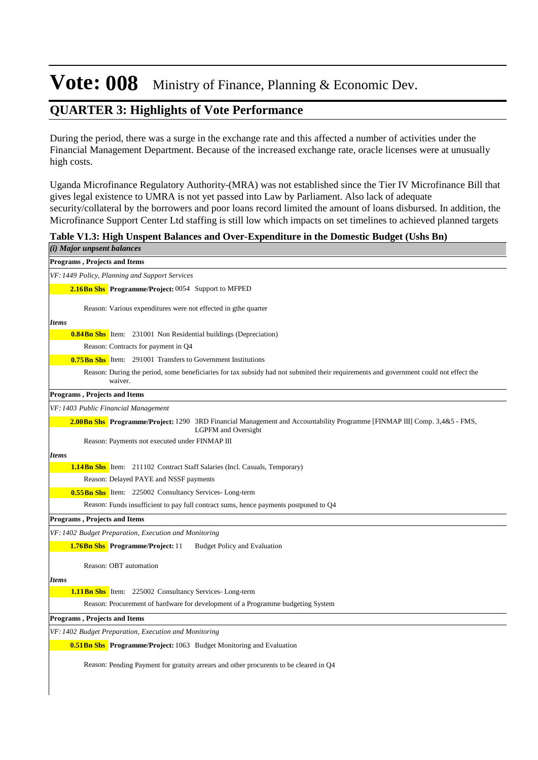### **QUARTER 3: Highlights of Vote Performance**

During the period, there was a surge in the exchange rate and this affected a number of activities under the Financial Management Department. Because of the increased exchange rate, oracle licenses were at unusually high costs.

Uganda Microfinance Regulatory Authority-(MRA) was not established since the Tier IV Microfinance Bill that gives legal existence to UMRA is not yet passed into Law by Parliament. Also lack of adequate security/collateral by the borrowers and poor loans record limited the amount of loans disbursed. In addition, the Microfinance Support Center Ltd staffing is still low which impacts on set timelines to achieved planned targets

**Table V1.3: High Unspent Balances and Over-Expenditure in the Domestic Budget (Ushs Bn)**

| (i) Major unpsent balances                                                                                                                                    |
|---------------------------------------------------------------------------------------------------------------------------------------------------------------|
| Programs, Projects and Items                                                                                                                                  |
| VF: 1449 Policy, Planning and Support Services                                                                                                                |
| 2.16Bn Shs Programme/Project: 0054 Support to MFPED                                                                                                           |
| Reason: Various expenditures were not effected in gthe quarter                                                                                                |
|                                                                                                                                                               |
| <b>Items</b><br><b>0.84Bn Shs</b> Item: 231001 Non Residential buildings (Depreciation)                                                                       |
| Reason: Contracts for payment in Q4                                                                                                                           |
| <b>0.75 Bn Shs</b> Item: 291001 Transfers to Government Institutions                                                                                          |
| Reason: During the period, some beneficiaries for tax subsidy had not submited their requirements and government could not effect the                         |
| waiver.                                                                                                                                                       |
| <b>Programs, Projects and Items</b>                                                                                                                           |
| VF: 1403 Public Financial Management                                                                                                                          |
| <b>2.00Bn Shs</b> Programme/Project: 1290 3RD Financial Management and Accountability Programme [FINMAP III] Comp. 3,4&5 - FMS,<br><b>LGPFM</b> and Oversight |
| Reason: Payments not executed under FINMAP III                                                                                                                |
| <b>Items</b>                                                                                                                                                  |
| <b>1.14Bn Shs</b> Item: 211102 Contract Staff Salaries (Incl. Casuals, Temporary)                                                                             |
| Reason: Delayed PAYE and NSSF payments                                                                                                                        |
| <b>0.55 Bn Shs</b> Item: 225002 Consultancy Services-Long-term                                                                                                |
| Reason: Funds insufficient to pay full contract sums, hence payments postponed to Q4                                                                          |
| Programs, Projects and Items                                                                                                                                  |
| VF: 1402 Budget Preparation, Execution and Monitoring                                                                                                         |
| <b>1.76Bn Shs</b> Programme/Project: 11<br><b>Budget Policy and Evaluation</b>                                                                                |
| Reason: OBT automation                                                                                                                                        |
| <b>Items</b>                                                                                                                                                  |
| <b>1.11 Bn Shs</b> Item: 225002 Consultancy Services-Long-term                                                                                                |
| Reason: Procurement of hardware for development of a Programme budgeting System                                                                               |
| Programs, Projects and Items                                                                                                                                  |
| VF: 1402 Budget Preparation, Execution and Monitoring                                                                                                         |
| <b>0.51 Bn Shs</b> Programme/Project: 1063 Budget Monitoring and Evaluation                                                                                   |
| Reason: Pending Payment for gratuity arrears and other procurents to be cleared in Q4                                                                         |
|                                                                                                                                                               |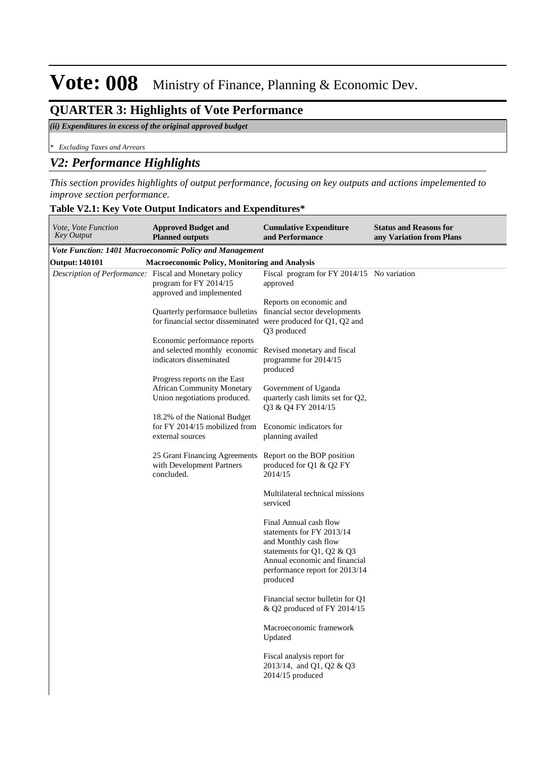### **QUARTER 3: Highlights of Vote Performance**

#### *(ii) Expenditures in excess of the original approved budget*

*\* Excluding Taxes and Arrears*

#### *V2: Performance Highlights*

*This section provides highlights of output performance, focusing on key outputs and actions impelemented to improve section performance.*

| Table V2.1: Key Vote Output Indicators and Expenditures* |  |
|----------------------------------------------------------|--|
|----------------------------------------------------------|--|

| Vote, Vote Function<br><b>Key Output</b>               | <b>Approved Budget and</b><br><b>Planned outputs</b>                                                                 | <b>Cumulative Expenditure</b><br>and Performance                                                                                                                                          | <b>Status and Reasons for</b><br>any Variation from Plans |
|--------------------------------------------------------|----------------------------------------------------------------------------------------------------------------------|-------------------------------------------------------------------------------------------------------------------------------------------------------------------------------------------|-----------------------------------------------------------|
|                                                        | <b>Vote Function: 1401 Macroeconomic Policy and Management</b>                                                       |                                                                                                                                                                                           |                                                           |
| <b>Output: 140101</b>                                  | <b>Macroeconomic Policy, Monitoring and Analysis</b>                                                                 |                                                                                                                                                                                           |                                                           |
| Description of Performance: Fiscal and Monetary policy | program for FY 2014/15<br>approved and implemented                                                                   | Fiscal program for FY 2014/15 No variation<br>approved                                                                                                                                    |                                                           |
|                                                        | Quarterly performance bulletins<br>for financial sector disseminated were produced for Q1, Q2 and                    | Reports on economic and<br>financial sector developments<br>Q3 produced                                                                                                                   |                                                           |
|                                                        | Economic performance reports<br>and selected monthly economic Revised monetary and fiscal<br>indicators disseminated | programme for 2014/15<br>produced                                                                                                                                                         |                                                           |
|                                                        | Progress reports on the East<br><b>African Community Monetary</b><br>Union negotiations produced.                    | Government of Uganda<br>quarterly cash limits set for Q2,<br>Q3 & Q4 FY 2014/15                                                                                                           |                                                           |
|                                                        | 18.2% of the National Budget<br>for FY 2014/15 mobilized from Economic indicators for<br>external sources            | planning availed                                                                                                                                                                          |                                                           |
|                                                        | 25 Grant Financing Agreements<br>with Development Partners<br>concluded.                                             | Report on the BOP position<br>produced for Q1 & Q2 FY<br>2014/15                                                                                                                          |                                                           |
|                                                        |                                                                                                                      | Multilateral technical missions<br>serviced                                                                                                                                               |                                                           |
|                                                        |                                                                                                                      | Final Annual cash flow<br>statements for FY 2013/14<br>and Monthly cash flow<br>statements for Q1, Q2 & Q3<br>Annual economic and financial<br>performance report for 2013/14<br>produced |                                                           |
|                                                        |                                                                                                                      | Financial sector bulletin for Q1<br>& Q2 produced of FY 2014/15                                                                                                                           |                                                           |
|                                                        |                                                                                                                      | Macroeconomic framework<br>Updated                                                                                                                                                        |                                                           |
|                                                        |                                                                                                                      | Fiscal analysis report for<br>2013/14, and Q1, Q2 & Q3<br>$2014/15$ produced                                                                                                              |                                                           |
|                                                        |                                                                                                                      |                                                                                                                                                                                           |                                                           |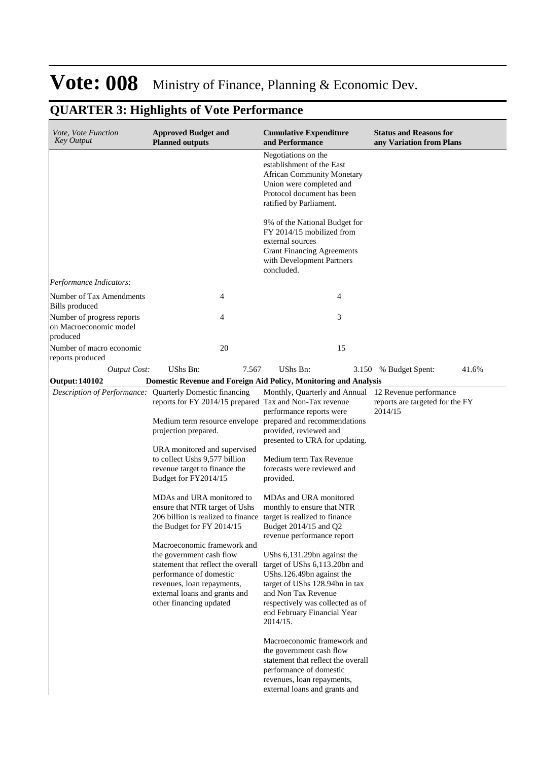| Vote, Vote Function<br><b>Key Output</b>                         | <b>Approved Budget and</b><br><b>Planned outputs</b>                                                                                                                                                                                                                                                                                                                                                                                                                                                                                                                                                                                                                                                                      | <b>Cumulative Expenditure</b><br>and Performance                                                                                                                                                                                                                                                                                                                                                                                                                                                                                                                                                       | <b>Status and Reasons for</b><br>any Variation from Plans |
|------------------------------------------------------------------|---------------------------------------------------------------------------------------------------------------------------------------------------------------------------------------------------------------------------------------------------------------------------------------------------------------------------------------------------------------------------------------------------------------------------------------------------------------------------------------------------------------------------------------------------------------------------------------------------------------------------------------------------------------------------------------------------------------------------|--------------------------------------------------------------------------------------------------------------------------------------------------------------------------------------------------------------------------------------------------------------------------------------------------------------------------------------------------------------------------------------------------------------------------------------------------------------------------------------------------------------------------------------------------------------------------------------------------------|-----------------------------------------------------------|
|                                                                  |                                                                                                                                                                                                                                                                                                                                                                                                                                                                                                                                                                                                                                                                                                                           | Negotiations on the<br>establishment of the East<br><b>African Community Monetary</b><br>Union were completed and<br>Protocol document has been<br>ratified by Parliament.<br>9% of the National Budget for<br>FY 2014/15 mobilized from<br>external sources<br><b>Grant Financing Agreements</b><br>with Development Partners<br>concluded.                                                                                                                                                                                                                                                           |                                                           |
| Performance Indicators:                                          |                                                                                                                                                                                                                                                                                                                                                                                                                                                                                                                                                                                                                                                                                                                           |                                                                                                                                                                                                                                                                                                                                                                                                                                                                                                                                                                                                        |                                                           |
| Number of Tax Amendments<br>Bills produced                       | 4                                                                                                                                                                                                                                                                                                                                                                                                                                                                                                                                                                                                                                                                                                                         | 4                                                                                                                                                                                                                                                                                                                                                                                                                                                                                                                                                                                                      |                                                           |
| Number of progress reports<br>on Macroeconomic model<br>produced | 4                                                                                                                                                                                                                                                                                                                                                                                                                                                                                                                                                                                                                                                                                                                         | 3                                                                                                                                                                                                                                                                                                                                                                                                                                                                                                                                                                                                      |                                                           |
| Number of macro economic<br>reports produced                     | 20                                                                                                                                                                                                                                                                                                                                                                                                                                                                                                                                                                                                                                                                                                                        | 15                                                                                                                                                                                                                                                                                                                                                                                                                                                                                                                                                                                                     |                                                           |
| <b>Output Cost:</b>                                              | UShs Bn:<br>7.567                                                                                                                                                                                                                                                                                                                                                                                                                                                                                                                                                                                                                                                                                                         | UShs Bn:<br>3.150                                                                                                                                                                                                                                                                                                                                                                                                                                                                                                                                                                                      | % Budget Spent:<br>41.6%                                  |
| <b>Output: 140102</b>                                            |                                                                                                                                                                                                                                                                                                                                                                                                                                                                                                                                                                                                                                                                                                                           | Domestic Revenue and Foreign Aid Policy, Monitoring and Analysis                                                                                                                                                                                                                                                                                                                                                                                                                                                                                                                                       |                                                           |
|                                                                  | Description of Performance: Quarterly Domestic financing<br>reports for FY 2014/15 prepared Tax and Non-Tax revenue<br>Medium term resource envelope prepared and recommendations<br>projection prepared.<br>URA monitored and supervised<br>to collect Ushs 9,577 billion<br>revenue target to finance the<br>Budget for FY2014/15<br>MDAs and URA monitored to<br>ensure that NTR target of Ushs<br>206 billion is realized to finance target is realized to finance<br>the Budget for FY 2014/15<br>Macroeconomic framework and<br>the government cash flow<br>statement that reflect the overall<br>performance of domestic<br>revenues, loan repayments,<br>external loans and grants and<br>other financing updated | Monthly, Quarterly and Annual 12 Revenue performance<br>performance reports were<br>provided, reviewed and<br>presented to URA for updating.<br>Medium term Tax Revenue<br>forecasts were reviewed and<br>provided.<br>MDAs and URA monitored<br>monthly to ensure that NTR<br>Budget 2014/15 and Q2<br>revenue performance report<br>UShs 6,131.29bn against the<br>target of UShs 6,113.20bn and<br>UShs.126.49bn against the<br>target of UShs 128.94bn in tax<br>and Non Tax Revenue<br>respectively was collected as of<br>end February Financial Year<br>2014/15.<br>Macroeconomic framework and | reports are targeted for the FY<br>2014/15                |
|                                                                  |                                                                                                                                                                                                                                                                                                                                                                                                                                                                                                                                                                                                                                                                                                                           | the government cash flow<br>statement that reflect the overall<br>performance of domestic<br>revenues, loan repayments,<br>external loans and grants and                                                                                                                                                                                                                                                                                                                                                                                                                                               |                                                           |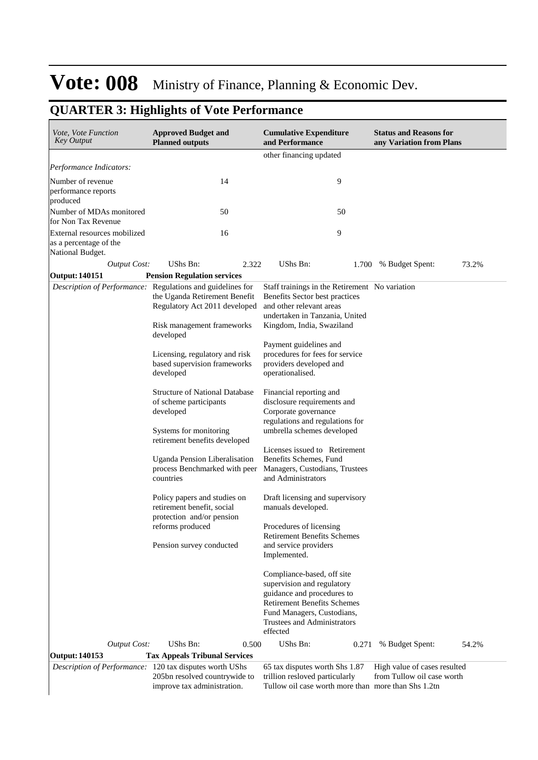| Vote, Vote Function<br><b>Key Output</b>                                   | <b>Approved Budget and</b><br><b>Planned outputs</b>                                                                                                                    | <b>Cumulative Expenditure</b><br>and Performance                                                                                                                                                                           | <b>Status and Reasons for</b><br>any Variation from Plans |  |
|----------------------------------------------------------------------------|-------------------------------------------------------------------------------------------------------------------------------------------------------------------------|----------------------------------------------------------------------------------------------------------------------------------------------------------------------------------------------------------------------------|-----------------------------------------------------------|--|
|                                                                            |                                                                                                                                                                         | other financing updated                                                                                                                                                                                                    |                                                           |  |
| Performance Indicators:                                                    |                                                                                                                                                                         |                                                                                                                                                                                                                            |                                                           |  |
| Number of revenue<br>performance reports<br>produced                       | 14                                                                                                                                                                      | 9                                                                                                                                                                                                                          |                                                           |  |
| Number of MDAs monitored<br>for Non Tax Revenue                            | 50                                                                                                                                                                      | 50                                                                                                                                                                                                                         |                                                           |  |
| External resources mobilized<br>as a percentage of the<br>National Budget. | 16                                                                                                                                                                      | 9                                                                                                                                                                                                                          |                                                           |  |
| <b>Output Cost:</b>                                                        | UShs Bn:<br>2.322                                                                                                                                                       | UShs Bn:<br>1.700                                                                                                                                                                                                          | 73.2%<br>% Budget Spent:                                  |  |
| <b>Output: 140151</b>                                                      | <b>Pension Regulation services</b>                                                                                                                                      |                                                                                                                                                                                                                            |                                                           |  |
|                                                                            | Description of Performance: Regulations and guidelines for<br>the Uganda Retirement Benefit<br>Regulatory Act 2011 developed<br>Risk management frameworks<br>developed | Staff trainings in the Retirement No variation<br>Benefits Sector best practices<br>and other relevant areas<br>undertaken in Tanzania, United<br>Kingdom, India, Swaziland                                                |                                                           |  |
|                                                                            | Licensing, regulatory and risk<br>based supervision frameworks<br>developed                                                                                             | Payment guidelines and<br>procedures for fees for service<br>providers developed and<br>operationalised.                                                                                                                   |                                                           |  |
|                                                                            | <b>Structure of National Database</b><br>of scheme participants<br>developed<br>Systems for monitoring                                                                  | Financial reporting and<br>disclosure requirements and<br>Corporate governance<br>regulations and regulations for<br>umbrella schemes developed                                                                            |                                                           |  |
|                                                                            | retirement benefits developed<br>Uganda Pension Liberalisation<br>process Benchmarked with peer<br>countries                                                            | Licenses issued to Retirement<br>Benefits Schemes, Fund<br>Managers, Custodians, Trustees<br>and Administrators                                                                                                            |                                                           |  |
|                                                                            | Policy papers and studies on<br>retirement benefit, social<br>protection and/or pension<br>reforms produced<br>Pension survey conducted                                 | Draft licensing and supervisory<br>manuals developed.<br>Procedures of licensing<br><b>Retirement Benefits Schemes</b><br>and service providers<br>Implemented.                                                            |                                                           |  |
| <b>Output Cost:</b>                                                        | UShs Bn:<br>0.500                                                                                                                                                       | Compliance-based, off site<br>supervision and regulatory<br>guidance and procedures to<br><b>Retirement Benefits Schemes</b><br>Fund Managers, Custodians,<br>Trustees and Administrators<br>effected<br>UShs Bn:<br>0.271 | 54.2%<br>% Budget Spent:                                  |  |
| <b>Output: 140153</b>                                                      | <b>Tax Appeals Tribunal Services</b>                                                                                                                                    |                                                                                                                                                                                                                            |                                                           |  |
|                                                                            | Description of Performance: 120 tax disputes worth UShs                                                                                                                 | 65 tax disputes worth Shs 1.87                                                                                                                                                                                             | High value of cases resulted                              |  |
|                                                                            | 205bn resolved countrywide to<br>improve tax administration.                                                                                                            | trillion resloved particularly<br>Tullow oil case worth more than more than Shs 1.2tn                                                                                                                                      | from Tullow oil case worth                                |  |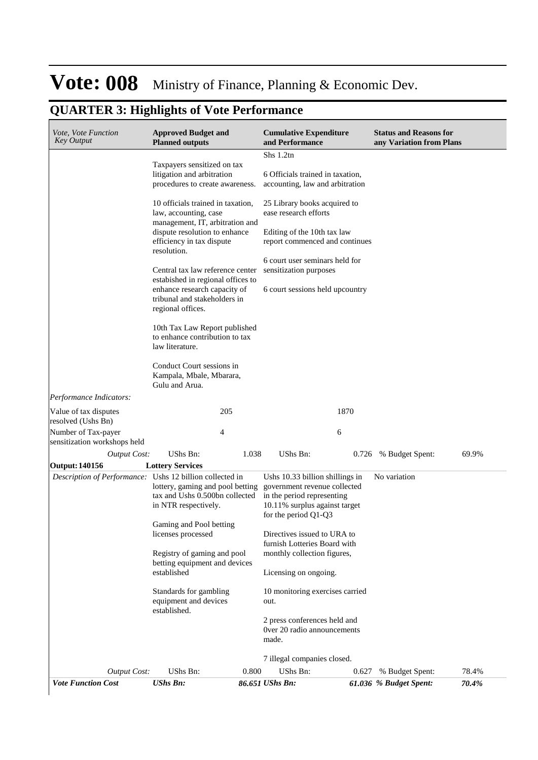| Vote, Vote Function<br><b>Key Output</b>                 | <b>Approved Budget and</b><br><b>Planned outputs</b>                                                                                                                                                                                                                                                                                     |       | <b>Cumulative Expenditure</b><br>and Performance                                                                                                       |       | <b>Status and Reasons for</b><br>any Variation from Plans |       |
|----------------------------------------------------------|------------------------------------------------------------------------------------------------------------------------------------------------------------------------------------------------------------------------------------------------------------------------------------------------------------------------------------------|-------|--------------------------------------------------------------------------------------------------------------------------------------------------------|-------|-----------------------------------------------------------|-------|
|                                                          |                                                                                                                                                                                                                                                                                                                                          |       | Shs 1.2tn                                                                                                                                              |       |                                                           |       |
|                                                          | Taxpayers sensitized on tax<br>litigation and arbitration<br>procedures to create awareness.                                                                                                                                                                                                                                             |       | 6 Officials trained in taxation,<br>accounting, law and arbitration                                                                                    |       |                                                           |       |
|                                                          | 10 officials trained in taxation,<br>law, accounting, case<br>management, IT, arbitration and<br>dispute resolution to enhance<br>efficiency in tax dispute<br>resolution.<br>Central tax law reference center<br>estabished in regional offices to<br>enhance research capacity of<br>tribunal and stakeholders in<br>regional offices. |       | 25 Library books acquired to<br>ease research efforts                                                                                                  |       |                                                           |       |
|                                                          |                                                                                                                                                                                                                                                                                                                                          |       | Editing of the 10th tax law<br>report commenced and continues                                                                                          |       |                                                           |       |
|                                                          |                                                                                                                                                                                                                                                                                                                                          |       | 6 court user seminars held for<br>sensitization purposes                                                                                               |       |                                                           |       |
|                                                          |                                                                                                                                                                                                                                                                                                                                          |       | 6 court sessions held upcountry                                                                                                                        |       |                                                           |       |
|                                                          | 10th Tax Law Report published<br>to enhance contribution to tax<br>law literature.                                                                                                                                                                                                                                                       |       |                                                                                                                                                        |       |                                                           |       |
|                                                          | Conduct Court sessions in<br>Kampala, Mbale, Mbarara,<br>Gulu and Arua.                                                                                                                                                                                                                                                                  |       |                                                                                                                                                        |       |                                                           |       |
| Performance Indicators:                                  |                                                                                                                                                                                                                                                                                                                                          |       |                                                                                                                                                        |       |                                                           |       |
| Value of tax disputes<br>resolved (Ushs Bn)              | 205                                                                                                                                                                                                                                                                                                                                      |       |                                                                                                                                                        | 1870  |                                                           |       |
| Number of Tax-payer<br>sensitization workshops held      | 4                                                                                                                                                                                                                                                                                                                                        |       | 6                                                                                                                                                      |       |                                                           |       |
| <b>Output Cost:</b>                                      | UShs Bn:                                                                                                                                                                                                                                                                                                                                 | 1.038 | UShs Bn:                                                                                                                                               | 0.726 | % Budget Spent:                                           | 69.9% |
| Output: 140156                                           | <b>Lottery Services</b>                                                                                                                                                                                                                                                                                                                  |       |                                                                                                                                                        |       |                                                           |       |
| Description of Performance: Ushs 12 billion collected in | lottery, gaming and pool betting<br>tax and Ushs 0.500bn collected<br>in NTR respectively.                                                                                                                                                                                                                                               |       | Ushs 10.33 billion shillings in<br>government revenue collected<br>in the period representing<br>10.11% surplus against target<br>for the period Q1-Q3 |       | No variation                                              |       |
|                                                          | Gaming and Pool betting<br>licenses processed                                                                                                                                                                                                                                                                                            |       | Directives issued to URA to                                                                                                                            |       |                                                           |       |
|                                                          | Registry of gaming and pool<br>betting equipment and devices                                                                                                                                                                                                                                                                             |       | furnish Lotteries Board with<br>monthly collection figures,                                                                                            |       |                                                           |       |
|                                                          | established                                                                                                                                                                                                                                                                                                                              |       | Licensing on ongoing.                                                                                                                                  |       |                                                           |       |
|                                                          | Standards for gambling<br>equipment and devices<br>established.                                                                                                                                                                                                                                                                          |       | 10 monitoring exercises carried<br>out.                                                                                                                |       |                                                           |       |
|                                                          |                                                                                                                                                                                                                                                                                                                                          |       | 2 press conferences held and<br>Over 20 radio announcements<br>made.                                                                                   |       |                                                           |       |
|                                                          |                                                                                                                                                                                                                                                                                                                                          |       | 7 illegal companies closed.                                                                                                                            |       |                                                           |       |
| <b>Output Cost:</b>                                      | UShs Bn:                                                                                                                                                                                                                                                                                                                                 | 0.800 | UShs Bn:                                                                                                                                               | 0.627 | % Budget Spent:                                           | 78.4% |
| <b>Vote Function Cost</b>                                | <b>UShs Bn:</b>                                                                                                                                                                                                                                                                                                                          |       | 86.651 UShs Bn:                                                                                                                                        |       | 61.036 % Budget Spent:                                    | 70.4% |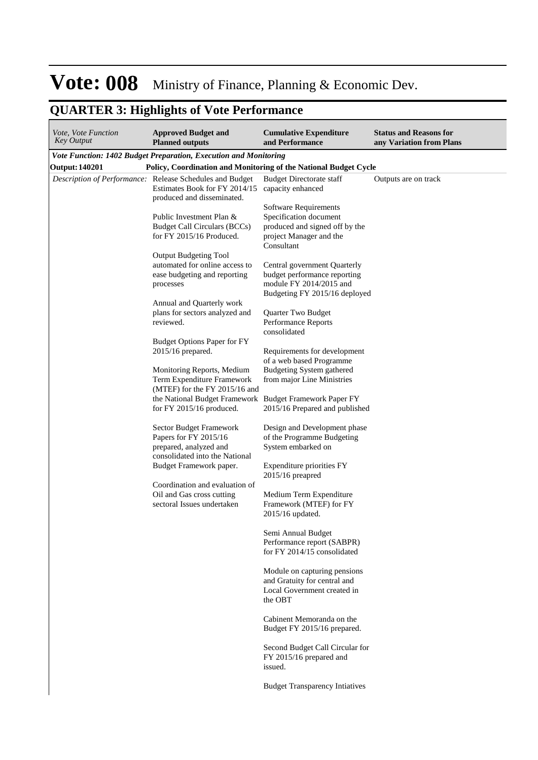| <i>Vote, Vote Function</i><br><b>Key Output</b> | <b>Approved Budget and</b><br><b>Planned outputs</b>                                                                    | <b>Cumulative Expenditure</b><br>and Performance                                                                           | <b>Status and Reasons for</b><br>any Variation from Plans |
|-------------------------------------------------|-------------------------------------------------------------------------------------------------------------------------|----------------------------------------------------------------------------------------------------------------------------|-----------------------------------------------------------|
|                                                 | Vote Function: 1402 Budget Preparation, Execution and Monitoring                                                        |                                                                                                                            |                                                           |
| <b>Output: 140201</b>                           | Policy, Coordination and Monitoring of the National Budget Cycle                                                        |                                                                                                                            |                                                           |
|                                                 | Description of Performance: Release Schedules and Budget<br>Estimates Book for FY 2014/15<br>produced and disseminated. | <b>Budget Directorate staff</b><br>capacity enhanced                                                                       | Outputs are on track                                      |
|                                                 | Public Investment Plan &<br><b>Budget Call Circulars (BCCs)</b><br>for FY 2015/16 Produced.                             | Software Requirements<br>Specification document<br>produced and signed off by the<br>project Manager and the<br>Consultant |                                                           |
|                                                 | <b>Output Budgeting Tool</b><br>automated for online access to<br>ease budgeting and reporting<br>processes             | Central government Quarterly<br>budget performance reporting<br>module FY 2014/2015 and<br>Budgeting FY 2015/16 deployed   |                                                           |
|                                                 | Annual and Quarterly work<br>plans for sectors analyzed and<br>reviewed.                                                | Quarter Two Budget<br>Performance Reports<br>consolidated                                                                  |                                                           |
|                                                 | <b>Budget Options Paper for FY</b><br>2015/16 prepared.                                                                 | Requirements for development<br>of a web based Programme                                                                   |                                                           |
|                                                 | Monitoring Reports, Medium<br>Term Expenditure Framework<br>(MTEF) for the FY 2015/16 and                               | Budgeting System gathered<br>from major Line Ministries                                                                    |                                                           |
|                                                 | the National Budget Framework Budget Framework Paper FY<br>for FY 2015/16 produced.                                     | 2015/16 Prepared and published                                                                                             |                                                           |
|                                                 | Sector Budget Framework<br>Papers for FY 2015/16<br>prepared, analyzed and<br>consolidated into the National            | Design and Development phase<br>of the Programme Budgeting<br>System embarked on                                           |                                                           |
|                                                 | Budget Framework paper.<br>Coordination and evaluation of                                                               | Expenditure priorities FY<br>$2015/16$ preapred                                                                            |                                                           |
|                                                 | Oil and Gas cross cutting<br>sectoral Issues undertaken                                                                 | Medium Term Expenditure<br>Framework (MTEF) for FY<br>2015/16 updated.                                                     |                                                           |
|                                                 |                                                                                                                         | Semi Annual Budget<br>Performance report (SABPR)<br>for FY 2014/15 consolidated                                            |                                                           |
|                                                 |                                                                                                                         | Module on capturing pensions<br>and Gratuity for central and<br>Local Government created in<br>the OBT                     |                                                           |
|                                                 |                                                                                                                         | Cabinent Memoranda on the<br>Budget FY 2015/16 prepared.                                                                   |                                                           |
|                                                 |                                                                                                                         | Second Budget Call Circular for<br>FY 2015/16 prepared and<br>issued.                                                      |                                                           |
|                                                 |                                                                                                                         | <b>Budget Transparency Intiatives</b>                                                                                      |                                                           |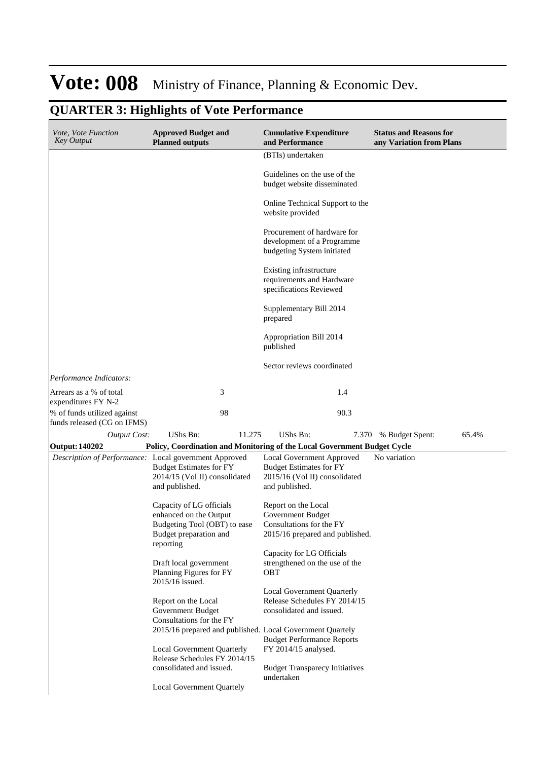| Vote, Vote Function<br><b>Key Output</b>                   | <b>Approved Budget and</b><br><b>Planned outputs</b>                     | <b>Cumulative Expenditure</b><br>and Performance                                        | <b>Status and Reasons for</b><br>any Variation from Plans |
|------------------------------------------------------------|--------------------------------------------------------------------------|-----------------------------------------------------------------------------------------|-----------------------------------------------------------|
|                                                            |                                                                          | (BTIs) undertaken                                                                       |                                                           |
|                                                            |                                                                          | Guidelines on the use of the<br>budget website disseminated                             |                                                           |
|                                                            |                                                                          | Online Technical Support to the<br>website provided                                     |                                                           |
|                                                            |                                                                          | Procurement of hardware for<br>development of a Programme<br>budgeting System initiated |                                                           |
|                                                            |                                                                          | Existing infrastructure<br>requirements and Hardware<br>specifications Reviewed         |                                                           |
|                                                            |                                                                          | Supplementary Bill 2014<br>prepared                                                     |                                                           |
|                                                            |                                                                          | Appropriation Bill 2014<br>published                                                    |                                                           |
|                                                            |                                                                          | Sector reviews coordinated                                                              |                                                           |
| Performance Indicators:                                    |                                                                          |                                                                                         |                                                           |
| Arrears as a % of total<br>expenditures FY N-2             | 3                                                                        | 1.4                                                                                     |                                                           |
| % of funds utilized against<br>funds released (CG on IFMS) | 98                                                                       | 90.3                                                                                    |                                                           |
| <b>Output Cost:</b>                                        | UShs Bn:<br>11.275                                                       | <b>UShs Bn:</b><br>7.370                                                                | 65.4%<br>% Budget Spent:                                  |
| Output: 140202                                             | Policy, Coordination and Monitoring of the Local Government Budget Cycle |                                                                                         |                                                           |
|                                                            | Description of Performance: Local government Approved                    | Local Government Approved                                                               | No variation                                              |
|                                                            | <b>Budget Estimates for FY</b>                                           | <b>Budget Estimates for FY</b>                                                          |                                                           |
|                                                            | 2014/15 (Vol II) consolidated<br>and published.                          | 2015/16 (Vol II) consolidated<br>and published.                                         |                                                           |
|                                                            |                                                                          |                                                                                         |                                                           |
|                                                            | Capacity of LG officials                                                 | Report on the Local                                                                     |                                                           |
|                                                            | enhanced on the Output                                                   | Government Budget                                                                       |                                                           |
|                                                            | Budgeting Tool (OBT) to ease                                             | Consultations for the FY                                                                |                                                           |
|                                                            | Budget preparation and<br>reporting                                      | 2015/16 prepared and published.                                                         |                                                           |
|                                                            |                                                                          | Capacity for LG Officials                                                               |                                                           |
|                                                            | Draft local government<br>Planning Figures for FY<br>2015/16 issued.     | strengthened on the use of the<br>OBT                                                   |                                                           |
|                                                            |                                                                          | Local Government Quarterly                                                              |                                                           |
|                                                            | Report on the Local                                                      | Release Schedules FY 2014/15                                                            |                                                           |
|                                                            | Government Budget                                                        | consolidated and issued.                                                                |                                                           |
|                                                            | Consultations for the FY                                                 |                                                                                         |                                                           |
|                                                            | 2015/16 prepared and published. Local Government Quartely                | <b>Budget Performance Reports</b>                                                       |                                                           |
|                                                            | Local Government Quarterly<br>Release Schedules FY 2014/15               | FY 2014/15 analysed.                                                                    |                                                           |
|                                                            | consolidated and issued.                                                 | <b>Budget Transparecy Initiatives</b>                                                   |                                                           |
|                                                            | <b>Local Government Quartely</b>                                         | undertaken                                                                              |                                                           |
|                                                            |                                                                          |                                                                                         |                                                           |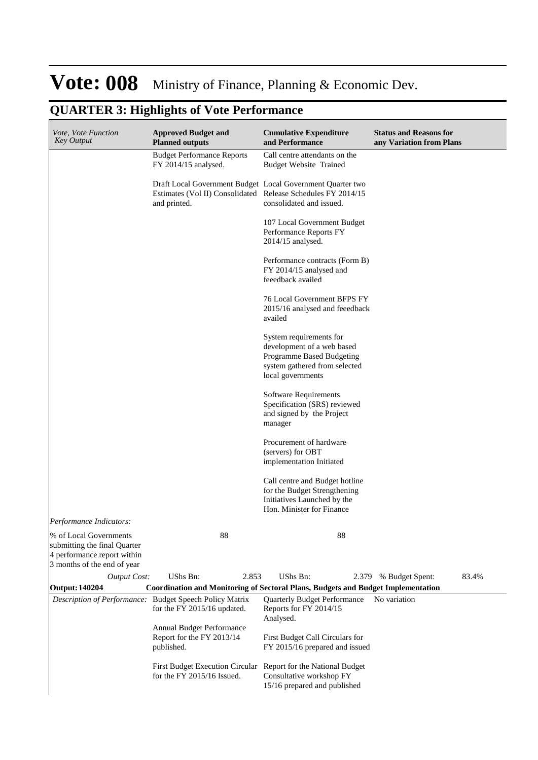| Vote, Vote Function<br><b>Key Output</b>                                                                             | <b>Approved Budget and</b><br><b>Planned outputs</b>                                                                                       | <b>Cumulative Expenditure</b><br>and Performance                                                                                         | <b>Status and Reasons for</b><br>any Variation from Plans |
|----------------------------------------------------------------------------------------------------------------------|--------------------------------------------------------------------------------------------------------------------------------------------|------------------------------------------------------------------------------------------------------------------------------------------|-----------------------------------------------------------|
|                                                                                                                      | <b>Budget Performance Reports</b><br>FY 2014/15 analysed.                                                                                  | Call centre attendants on the<br><b>Budget Website Trained</b>                                                                           |                                                           |
|                                                                                                                      | Draft Local Government Budget Local Government Quarter two<br>Estimates (Vol II) Consolidated Release Schedules FY 2014/15<br>and printed. | consolidated and issued.                                                                                                                 |                                                           |
|                                                                                                                      |                                                                                                                                            | 107 Local Government Budget<br>Performance Reports FY<br>2014/15 analysed.                                                               |                                                           |
|                                                                                                                      |                                                                                                                                            | Performance contracts (Form B)<br>FY 2014/15 analysed and<br>feeedback availed                                                           |                                                           |
|                                                                                                                      |                                                                                                                                            | 76 Local Government BFPS FY<br>2015/16 analysed and feeedback<br>availed                                                                 |                                                           |
|                                                                                                                      |                                                                                                                                            | System requirements for<br>development of a web based<br>Programme Based Budgeting<br>system gathered from selected<br>local governments |                                                           |
|                                                                                                                      |                                                                                                                                            | Software Requirements<br>Specification (SRS) reviewed<br>and signed by the Project<br>manager                                            |                                                           |
|                                                                                                                      |                                                                                                                                            | Procurement of hardware<br>(servers) for OBT<br>implementation Initiated                                                                 |                                                           |
|                                                                                                                      |                                                                                                                                            | Call centre and Budget hotline<br>for the Budget Strengthening<br>Initiatives Launched by the<br>Hon. Minister for Finance               |                                                           |
| Performance Indicators:                                                                                              |                                                                                                                                            |                                                                                                                                          |                                                           |
| % of Local Governments<br>submitting the final Quarter<br>4 performance report within<br>3 months of the end of year | 88                                                                                                                                         | 88                                                                                                                                       |                                                           |
| <b>Output Cost:</b>                                                                                                  | <b>UShs Bn:</b><br>2.853                                                                                                                   | <b>UShs Bn:</b>                                                                                                                          | 83.4%<br>2.379 % Budget Spent:                            |
| <b>Output: 140204</b>                                                                                                | <b>Coordination and Monitoring of Sectoral Plans, Budgets and Budget Implementation</b>                                                    |                                                                                                                                          |                                                           |
|                                                                                                                      | Description of Performance: Budget Speech Policy Matrix<br>for the FY 2015/16 updated.                                                     | <b>Quarterly Budget Performance</b><br>Reports for FY 2014/15<br>Analysed.                                                               | No variation                                              |
|                                                                                                                      | Annual Budget Performance<br>Report for the FY 2013/14<br>published.                                                                       | First Budget Call Circulars for<br>FY 2015/16 prepared and issued                                                                        |                                                           |
|                                                                                                                      | First Budget Execution Circular Report for the National Budget<br>for the $FY$ 2015/16 Issued.                                             | Consultative workshop FY<br>15/16 prepared and published                                                                                 |                                                           |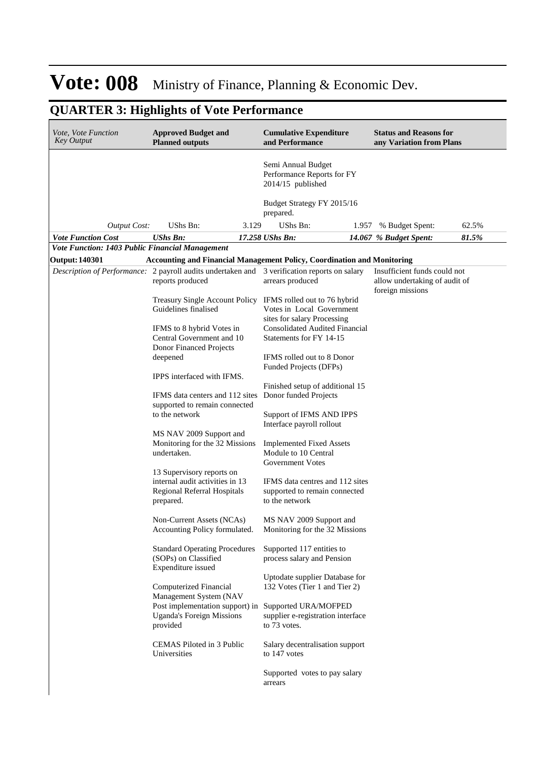| <i>Vote, Vote Function</i><br><b>Key Output</b>                                              | <b>Approved Budget and</b><br><b>Planned outputs</b>                                                     |       | <b>Cumulative Expenditure</b><br>and Performance                                                                              |       | <b>Status and Reasons for</b><br>any Variation from Plans                         |       |
|----------------------------------------------------------------------------------------------|----------------------------------------------------------------------------------------------------------|-------|-------------------------------------------------------------------------------------------------------------------------------|-------|-----------------------------------------------------------------------------------|-------|
|                                                                                              |                                                                                                          |       | Semi Annual Budget<br>Performance Reports for FY<br>$2014/15$ published                                                       |       |                                                                                   |       |
|                                                                                              |                                                                                                          |       | Budget Strategy FY 2015/16<br>prepared.                                                                                       |       |                                                                                   |       |
| <b>Output Cost:</b>                                                                          | UShs Bn:                                                                                                 | 3.129 | UShs Bn:                                                                                                                      | 1.957 | % Budget Spent:                                                                   | 62.5% |
| <b>Vote Function Cost</b>                                                                    | <b>UShs Bn:</b>                                                                                          |       | 17.258 UShs Bn:                                                                                                               |       | 14.067 % Budget Spent:                                                            | 81.5% |
| Vote Function: 1403 Public Financial Management                                              |                                                                                                          |       |                                                                                                                               |       |                                                                                   |       |
| <b>Output: 140301</b>                                                                        |                                                                                                          |       | <b>Accounting and Financial Management Policy, Coordination and Monitoring</b>                                                |       |                                                                                   |       |
| Description of Performance: 2 payroll audits undertaken and 3 verification reports on salary | reports produced                                                                                         |       | arrears produced                                                                                                              |       | Insufficient funds could not<br>allow undertaking of audit of<br>foreign missions |       |
|                                                                                              | Guidelines finalised                                                                                     |       | Treasury Single Account Policy IFMS rolled out to 76 hybrid<br>Votes in Local Government                                      |       |                                                                                   |       |
|                                                                                              | IFMS to 8 hybrid Votes in<br>Central Government and 10<br>Donor Financed Projects                        |       | sites for salary Processing<br><b>Consolidated Audited Financial</b><br>Statements for FY 14-15<br>IFMS rolled out to 8 Donor |       |                                                                                   |       |
|                                                                                              | deepened<br>IPPS interfaced with IFMS.                                                                   |       | Funded Projects (DFPs)                                                                                                        |       |                                                                                   |       |
|                                                                                              | IFMS data centers and 112 sites                                                                          |       | Finished setup of additional 15<br>Donor funded Projects                                                                      |       |                                                                                   |       |
|                                                                                              | supported to remain connected<br>to the network                                                          |       | Support of IFMS AND IPPS<br>Interface payroll rollout                                                                         |       |                                                                                   |       |
|                                                                                              | MS NAV 2009 Support and<br>Monitoring for the 32 Missions<br>undertaken.                                 |       | <b>Implemented Fixed Assets</b><br>Module to 10 Central<br>Government Votes                                                   |       |                                                                                   |       |
|                                                                                              | 13 Supervisory reports on<br>internal audit activities in 13<br>Regional Referral Hospitals<br>prepared. |       | IFMS data centres and 112 sites<br>supported to remain connected<br>to the network                                            |       |                                                                                   |       |
|                                                                                              | Non-Current Assets (NCAs)<br>Accounting Policy formulated.                                               |       | MS NAV 2009 Support and<br>Monitoring for the 32 Missions                                                                     |       |                                                                                   |       |
|                                                                                              | <b>Standard Operating Procedures</b><br>(SOPs) on Classified<br>Expenditure issued                       |       | Supported 117 entities to<br>process salary and Pension                                                                       |       |                                                                                   |       |
|                                                                                              | Computerized Financial<br>Management System (NAV                                                         |       | Uptodate supplier Database for<br>132 Votes (Tier 1 and Tier 2)<br>Post implementation support) in Supported URA/MOFPED       |       |                                                                                   |       |
|                                                                                              | <b>Uganda's Foreign Missions</b><br>provided                                                             |       | supplier e-registration interface<br>to 73 votes.                                                                             |       |                                                                                   |       |
|                                                                                              | CEMAS Piloted in 3 Public<br>Universities                                                                |       | Salary decentralisation support<br>to 147 votes                                                                               |       |                                                                                   |       |
|                                                                                              |                                                                                                          |       | Supported votes to pay salary<br>arrears                                                                                      |       |                                                                                   |       |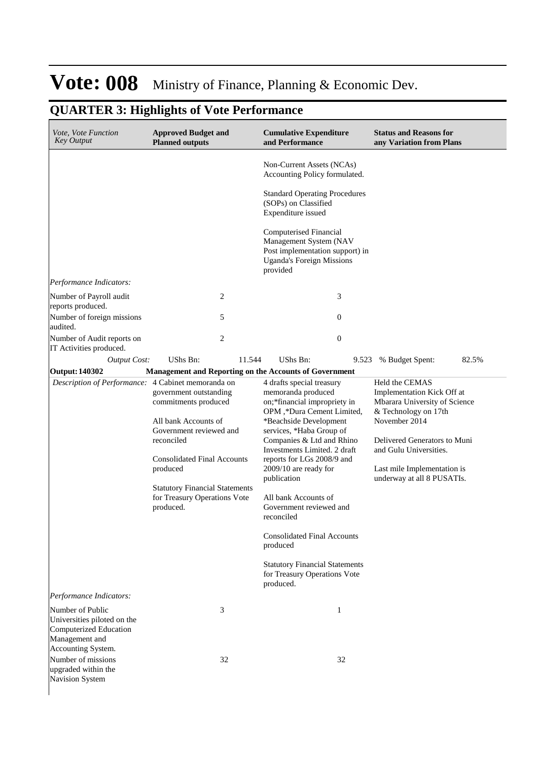| Vote, Vote Function<br><b>Key Output</b>                                                                          | <b>Approved Budget and</b><br><b>Planned outputs</b>                                                                                                                                                                                                    | <b>Cumulative Expenditure</b><br>and Performance                                                                                                                                                                                                                                                                                                                                                                                                                                                               | <b>Status and Reasons for</b><br>any Variation from Plans                                                                                                                                                                                     |
|-------------------------------------------------------------------------------------------------------------------|---------------------------------------------------------------------------------------------------------------------------------------------------------------------------------------------------------------------------------------------------------|----------------------------------------------------------------------------------------------------------------------------------------------------------------------------------------------------------------------------------------------------------------------------------------------------------------------------------------------------------------------------------------------------------------------------------------------------------------------------------------------------------------|-----------------------------------------------------------------------------------------------------------------------------------------------------------------------------------------------------------------------------------------------|
|                                                                                                                   |                                                                                                                                                                                                                                                         | Non-Current Assets (NCAs)<br>Accounting Policy formulated.                                                                                                                                                                                                                                                                                                                                                                                                                                                     |                                                                                                                                                                                                                                               |
|                                                                                                                   |                                                                                                                                                                                                                                                         | <b>Standard Operating Procedures</b><br>(SOPs) on Classified<br>Expenditure issued                                                                                                                                                                                                                                                                                                                                                                                                                             |                                                                                                                                                                                                                                               |
|                                                                                                                   |                                                                                                                                                                                                                                                         | Computerised Financial<br>Management System (NAV<br>Post implementation support) in<br><b>Uganda's Foreign Missions</b><br>provided                                                                                                                                                                                                                                                                                                                                                                            |                                                                                                                                                                                                                                               |
| Performance Indicators:                                                                                           |                                                                                                                                                                                                                                                         |                                                                                                                                                                                                                                                                                                                                                                                                                                                                                                                |                                                                                                                                                                                                                                               |
| Number of Payroll audit<br>reports produced.                                                                      | 2                                                                                                                                                                                                                                                       | 3                                                                                                                                                                                                                                                                                                                                                                                                                                                                                                              |                                                                                                                                                                                                                                               |
| Number of foreign missions<br>audited.                                                                            | 5                                                                                                                                                                                                                                                       | $\mathbf{0}$                                                                                                                                                                                                                                                                                                                                                                                                                                                                                                   |                                                                                                                                                                                                                                               |
| Number of Audit reports on<br>IT Activities produced.                                                             | $\overline{2}$                                                                                                                                                                                                                                          | $\mathbf{0}$                                                                                                                                                                                                                                                                                                                                                                                                                                                                                                   |                                                                                                                                                                                                                                               |
| <b>Output Cost:</b>                                                                                               | UShs Bn:<br>11.544                                                                                                                                                                                                                                      | UShs Bn:<br>9.523                                                                                                                                                                                                                                                                                                                                                                                                                                                                                              | 82.5%<br>% Budget Spent:                                                                                                                                                                                                                      |
| <b>Output: 140302</b>                                                                                             | <b>Management and Reporting on the Accounts of Government</b>                                                                                                                                                                                           |                                                                                                                                                                                                                                                                                                                                                                                                                                                                                                                |                                                                                                                                                                                                                                               |
| Description of Performance: 4 Cabinet memoranda on                                                                | government outstanding<br>commitments produced<br>All bank Accounts of<br>Government reviewed and<br>reconciled<br><b>Consolidated Final Accounts</b><br>produced<br><b>Statutory Financial Statements</b><br>for Treasury Operations Vote<br>produced. | 4 drafts special treasury<br>memoranda produced<br>on;*financial impropriety in<br>OPM,*Dura Cement Limited,<br>*Beachside Development<br>services, *Haba Group of<br>Companies & Ltd and Rhino<br>Investments Limited. 2 draft<br>reports for LGs 2008/9 and<br>2009/10 are ready for<br>publication<br>All bank Accounts of<br>Government reviewed and<br>reconciled<br><b>Consolidated Final Accounts</b><br>produced<br><b>Statutory Financial Statements</b><br>for Treasury Operations Vote<br>produced. | Held the CEMAS<br>Implementation Kick Off at<br>Mbarara University of Science<br>& Technology on 17th<br>November 2014<br>Delivered Generators to Muni<br>and Gulu Universities.<br>Last mile Implementation is<br>underway at all 8 PUSATIs. |
| Performance Indicators:                                                                                           |                                                                                                                                                                                                                                                         |                                                                                                                                                                                                                                                                                                                                                                                                                                                                                                                |                                                                                                                                                                                                                                               |
| Number of Public<br>Universities piloted on the<br>Computerized Education<br>Management and<br>Accounting System. | 3                                                                                                                                                                                                                                                       | 1                                                                                                                                                                                                                                                                                                                                                                                                                                                                                                              |                                                                                                                                                                                                                                               |
| Number of missions<br>upgraded within the<br>Navision System                                                      | 32                                                                                                                                                                                                                                                      | 32                                                                                                                                                                                                                                                                                                                                                                                                                                                                                                             |                                                                                                                                                                                                                                               |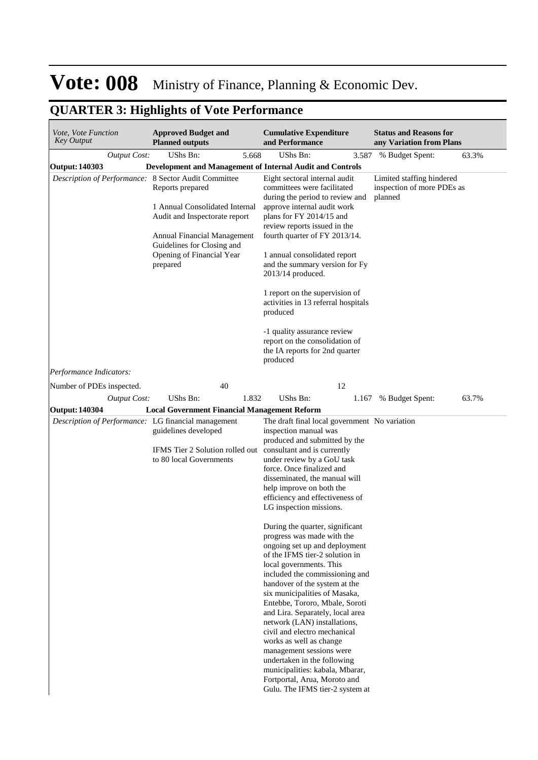| Vote, Vote Function<br>Key Output                    | <b>Approved Budget and</b><br><b>Planned outputs</b>                                                                                                                                      | <b>Cumulative Expenditure</b><br>and Performance                                                                                                                                                                                                                                                                                                                                                                                                                                                                                                                                                                                                                                                                                                                                                                                                                | <b>Status and Reasons for</b><br>any Variation from Plans          |
|------------------------------------------------------|-------------------------------------------------------------------------------------------------------------------------------------------------------------------------------------------|-----------------------------------------------------------------------------------------------------------------------------------------------------------------------------------------------------------------------------------------------------------------------------------------------------------------------------------------------------------------------------------------------------------------------------------------------------------------------------------------------------------------------------------------------------------------------------------------------------------------------------------------------------------------------------------------------------------------------------------------------------------------------------------------------------------------------------------------------------------------|--------------------------------------------------------------------|
| <b>Output Cost:</b>                                  | UShs Bn:<br>5.668                                                                                                                                                                         | <b>UShs Bn:</b><br>3.587                                                                                                                                                                                                                                                                                                                                                                                                                                                                                                                                                                                                                                                                                                                                                                                                                                        | % Budget Spent:<br>63.3%                                           |
| Output: 140303                                       | Development and Management of Internal Audit and Controls                                                                                                                                 |                                                                                                                                                                                                                                                                                                                                                                                                                                                                                                                                                                                                                                                                                                                                                                                                                                                                 |                                                                    |
| Description of Performance: 8 Sector Audit Committee | Reports prepared<br>1 Annual Consolidated Internal<br>Audit and Inspectorate report<br>Annual Financial Management<br>Guidelines for Closing and<br>Opening of Financial Year<br>prepared | Eight sectoral internal audit<br>committees were facilitated<br>during the period to review and<br>approve internal audit work<br>plans for FY 2014/15 and<br>review reports issued in the<br>fourth quarter of FY 2013/14.<br>1 annual consolidated report<br>and the summary version for Fy<br>$2013/14$ produced.<br>1 report on the supervision of<br>activities in 13 referral hospitals<br>produced<br>-1 quality assurance review<br>report on the consolidation of<br>the IA reports for 2nd quarter                                                                                                                                                                                                                                                                                                                                                    | Limited staffing hindered<br>inspection of more PDEs as<br>planned |
|                                                      |                                                                                                                                                                                           | produced                                                                                                                                                                                                                                                                                                                                                                                                                                                                                                                                                                                                                                                                                                                                                                                                                                                        |                                                                    |
| Performance Indicators:                              |                                                                                                                                                                                           |                                                                                                                                                                                                                                                                                                                                                                                                                                                                                                                                                                                                                                                                                                                                                                                                                                                                 |                                                                    |
| Number of PDEs inspected.                            | 40                                                                                                                                                                                        | 12                                                                                                                                                                                                                                                                                                                                                                                                                                                                                                                                                                                                                                                                                                                                                                                                                                                              |                                                                    |
| <b>Output Cost:</b>                                  | UShs Bn:<br>1.832                                                                                                                                                                         | <b>UShs Bn:</b><br>1.167                                                                                                                                                                                                                                                                                                                                                                                                                                                                                                                                                                                                                                                                                                                                                                                                                                        | % Budget Spent:<br>63.7%                                           |
| <b>Output: 140304</b>                                | <b>Local Government Financial Management Reform</b>                                                                                                                                       |                                                                                                                                                                                                                                                                                                                                                                                                                                                                                                                                                                                                                                                                                                                                                                                                                                                                 |                                                                    |
| Description of Performance: LG financial management  | guidelines developed<br>IFMS Tier 2 Solution rolled out consultant and is currently<br>to 80 local Governments                                                                            | The draft final local government No variation<br>inspection manual was<br>produced and submitted by the<br>under review by a GoU task<br>force. Once finalized and<br>disseminated, the manual will<br>help improve on both the<br>efficiency and effectiveness of<br>LG inspection missions.<br>During the quarter, significant<br>progress was made with the<br>ongoing set up and deployment<br>of the IFMS tier-2 solution in<br>local governments. This<br>included the commissioning and<br>handover of the system at the<br>six municipalities of Masaka,<br>Entebbe, Tororo, Mbale, Soroti<br>and Lira. Separately, local area<br>network (LAN) installations,<br>civil and electro mechanical<br>works as well as change<br>management sessions were<br>undertaken in the following<br>municipalities: kabala, Mbarar,<br>Fortportal, Arua, Moroto and |                                                                    |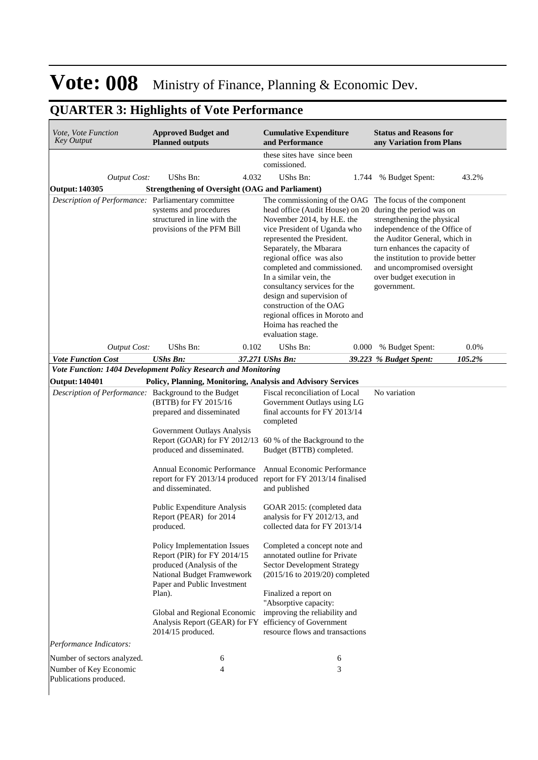| <i>Vote, Vote Function</i><br><b>Key Output</b>                | <b>Approved Budget and</b><br><b>Planned outputs</b>                                                                                                            |       | <b>Cumulative Expenditure</b><br>and Performance                                                                                                                                                                                                                                                                                                                                                                                                                                                        |       | <b>Status and Reasons for</b><br>any Variation from Plans                                                                                                                                                                                    |        |
|----------------------------------------------------------------|-----------------------------------------------------------------------------------------------------------------------------------------------------------------|-------|---------------------------------------------------------------------------------------------------------------------------------------------------------------------------------------------------------------------------------------------------------------------------------------------------------------------------------------------------------------------------------------------------------------------------------------------------------------------------------------------------------|-------|----------------------------------------------------------------------------------------------------------------------------------------------------------------------------------------------------------------------------------------------|--------|
|                                                                |                                                                                                                                                                 |       | these sites have since been<br>comissioned.                                                                                                                                                                                                                                                                                                                                                                                                                                                             |       |                                                                                                                                                                                                                                              |        |
| <b>Output Cost:</b>                                            | UShs Bn:                                                                                                                                                        | 4.032 | <b>UShs Bn:</b>                                                                                                                                                                                                                                                                                                                                                                                                                                                                                         | 1.744 | % Budget Spent:                                                                                                                                                                                                                              | 43.2%  |
| <b>Output: 140305</b>                                          | <b>Strengthening of Oversight (OAG and Parliament)</b>                                                                                                          |       |                                                                                                                                                                                                                                                                                                                                                                                                                                                                                                         |       |                                                                                                                                                                                                                                              |        |
| Description of Performance: Parliamentary committee            | systems and procedures<br>structured in line with the<br>provisions of the PFM Bill                                                                             |       | The commissioning of the OAG The focus of the component<br>head office (Audit House) on 20 during the period was on<br>November 2014, by H.E. the<br>vice President of Uganda who<br>represented the President.<br>Separately, the Mbarara<br>regional office was also<br>completed and commissioned.<br>In a similar vein, the<br>consultancy services for the<br>design and supervision of<br>construction of the OAG<br>regional offices in Moroto and<br>Hoima has reached the<br>evaluation stage. |       | strengthening the physical<br>independence of the Office of<br>the Auditor General, which in<br>turn enhances the capacity of<br>the institution to provide better<br>and uncompromised oversight<br>over budget execution in<br>government. |        |
| <b>Output Cost:</b>                                            | UShs Bn:                                                                                                                                                        | 0.102 | UShs Bn:                                                                                                                                                                                                                                                                                                                                                                                                                                                                                                | 0.000 | % Budget Spent:                                                                                                                                                                                                                              | 0.0%   |
| <b>Vote Function Cost</b>                                      | <b>UShs Bn:</b>                                                                                                                                                 |       | 37.271 UShs Bn:                                                                                                                                                                                                                                                                                                                                                                                                                                                                                         |       | 39.223 % Budget Spent:                                                                                                                                                                                                                       | 105.2% |
| Vote Function: 1404 Development Policy Research and Monitoring |                                                                                                                                                                 |       |                                                                                                                                                                                                                                                                                                                                                                                                                                                                                                         |       |                                                                                                                                                                                                                                              |        |
| <b>Output: 140401</b>                                          |                                                                                                                                                                 |       | Policy, Planning, Monitoring, Analysis and Advisory Services                                                                                                                                                                                                                                                                                                                                                                                                                                            |       |                                                                                                                                                                                                                                              |        |
| Description of Performance: Background to the Budget           | (BTTB) for FY 2015/16<br>prepared and disseminated<br>Government Outlays Analysis                                                                               |       | Fiscal reconciliation of Local<br>Government Outlays using LG<br>final accounts for FY 2013/14<br>completed                                                                                                                                                                                                                                                                                                                                                                                             |       | No variation                                                                                                                                                                                                                                 |        |
|                                                                | produced and disseminated.                                                                                                                                      |       | Report (GOAR) for FY 2012/13 60 % of the Background to the<br>Budget (BTTB) completed.                                                                                                                                                                                                                                                                                                                                                                                                                  |       |                                                                                                                                                                                                                                              |        |
|                                                                | Annual Economic Performance<br>report for FY 2013/14 produced<br>and disseminated.                                                                              |       | Annual Economic Performance<br>report for FY 2013/14 finalised<br>and published                                                                                                                                                                                                                                                                                                                                                                                                                         |       |                                                                                                                                                                                                                                              |        |
|                                                                | Public Expenditure Analysis<br>Report (PEAR) for 2014<br>produced.                                                                                              |       | GOAR 2015: (completed data<br>analysis for FY 2012/13, and<br>collected data for FY 2013/14                                                                                                                                                                                                                                                                                                                                                                                                             |       |                                                                                                                                                                                                                                              |        |
|                                                                | Policy Implementation Issues<br>Report (PIR) for FY 2014/15<br>produced (Analysis of the<br>National Budget Framwework<br>Paper and Public Investment<br>Plan). |       | Completed a concept note and<br>annotated outline for Private<br><b>Sector Development Strategy</b><br>$(2015/16 \text{ to } 2019/20)$ completed<br>Finalized a report on                                                                                                                                                                                                                                                                                                                               |       |                                                                                                                                                                                                                                              |        |
|                                                                | Global and Regional Economic<br>Analysis Report (GEAR) for FY efficiency of Government<br>2014/15 produced.                                                     |       | "Absorptive capacity:<br>improving the reliability and<br>resource flows and transactions                                                                                                                                                                                                                                                                                                                                                                                                               |       |                                                                                                                                                                                                                                              |        |
| Performance Indicators:                                        |                                                                                                                                                                 |       |                                                                                                                                                                                                                                                                                                                                                                                                                                                                                                         |       |                                                                                                                                                                                                                                              |        |
| Number of sectors analyzed.                                    | 6                                                                                                                                                               |       | 6                                                                                                                                                                                                                                                                                                                                                                                                                                                                                                       |       |                                                                                                                                                                                                                                              |        |
| Number of Key Economic<br>Publications produced.               | 4                                                                                                                                                               |       | 3                                                                                                                                                                                                                                                                                                                                                                                                                                                                                                       |       |                                                                                                                                                                                                                                              |        |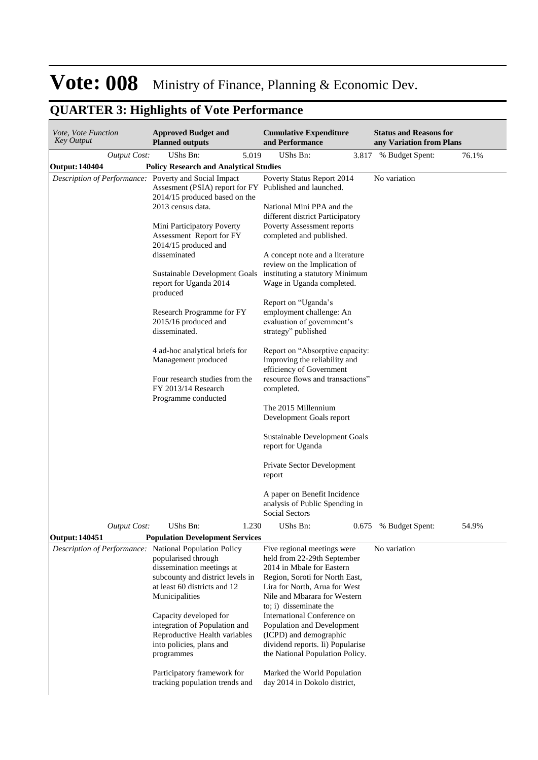| Vote, Vote Function<br>Key Output                      | <b>Approved Budget and</b><br><b>Planned outputs</b>                                    | <b>Cumulative Expenditure</b><br>and Performance                                             | <b>Status and Reasons for</b><br>any Variation from Plans |       |
|--------------------------------------------------------|-----------------------------------------------------------------------------------------|----------------------------------------------------------------------------------------------|-----------------------------------------------------------|-------|
| <b>Output Cost:</b>                                    | UShs Bn:<br>5.019                                                                       | UShs Bn:<br>3.817                                                                            | % Budget Spent:                                           | 76.1% |
| <b>Output: 140404</b>                                  | <b>Policy Research and Analytical Studies</b>                                           |                                                                                              |                                                           |       |
| Description of Performance: Poverty and Social Impact  | Assesment (PSIA) report for FY Published and launched.<br>2014/15 produced based on the | Poverty Status Report 2014                                                                   | No variation                                              |       |
|                                                        | 2013 census data.                                                                       | National Mini PPA and the<br>different district Participatory                                |                                                           |       |
|                                                        | Mini Participatory Poverty<br>Assessment Report for FY<br>2014/15 produced and          | Poverty Assessment reports<br>completed and published.                                       |                                                           |       |
|                                                        | disseminated                                                                            | A concept note and a literature<br>review on the Implication of                              |                                                           |       |
|                                                        | Sustainable Development Goals<br>report for Uganda 2014<br>produced                     | instituting a statutory Minimum<br>Wage in Uganda completed.                                 |                                                           |       |
|                                                        |                                                                                         | Report on "Uganda's                                                                          |                                                           |       |
|                                                        | Research Programme for FY<br>2015/16 produced and<br>disseminated.                      | employment challenge: An<br>evaluation of government's<br>strategy" published                |                                                           |       |
|                                                        | 4 ad-hoc analytical briefs for<br>Management produced                                   | Report on "Absorptive capacity:<br>Improving the reliability and<br>efficiency of Government |                                                           |       |
|                                                        | Four research studies from the<br>FY 2013/14 Research<br>Programme conducted            | resource flows and transactions"<br>completed.                                               |                                                           |       |
|                                                        |                                                                                         | The 2015 Millennium<br>Development Goals report                                              |                                                           |       |
|                                                        |                                                                                         | Sustainable Development Goals<br>report for Uganda                                           |                                                           |       |
|                                                        |                                                                                         | Private Sector Development<br>report                                                         |                                                           |       |
|                                                        |                                                                                         | A paper on Benefit Incidence<br>analysis of Public Spending in<br>Social Sectors             |                                                           |       |
| <b>Output Cost:</b>                                    | UShs Bn:<br>1.230                                                                       | UShs Bn:                                                                                     | 0.675 % Budget Spent:                                     | 54.9% |
| <b>Output: 140451</b>                                  | <b>Population Development Services</b>                                                  |                                                                                              |                                                           |       |
| Description of Performance: National Population Policy | popularised through                                                                     | Five regional meetings were<br>held from 22-29th September                                   | No variation                                              |       |
|                                                        | dissemination meetings at                                                               | 2014 in Mbale for Eastern                                                                    |                                                           |       |
|                                                        | subcounty and district levels in                                                        | Region, Soroti for North East,                                                               |                                                           |       |
|                                                        | at least 60 districts and 12<br>Municipalities                                          | Lira for North, Arua for West<br>Nile and Mbarara for Western<br>to; i) disseminate the      |                                                           |       |
|                                                        | Capacity developed for<br>integration of Population and                                 | International Conference on<br>Population and Development                                    |                                                           |       |
|                                                        | Reproductive Health variables                                                           | (ICPD) and demographic                                                                       |                                                           |       |
|                                                        | into policies, plans and<br>programmes                                                  | dividend reports. Ii) Popularise<br>the National Population Policy.                          |                                                           |       |
|                                                        | Participatory framework for<br>tracking population trends and                           | Marked the World Population<br>day 2014 in Dokolo district,                                  |                                                           |       |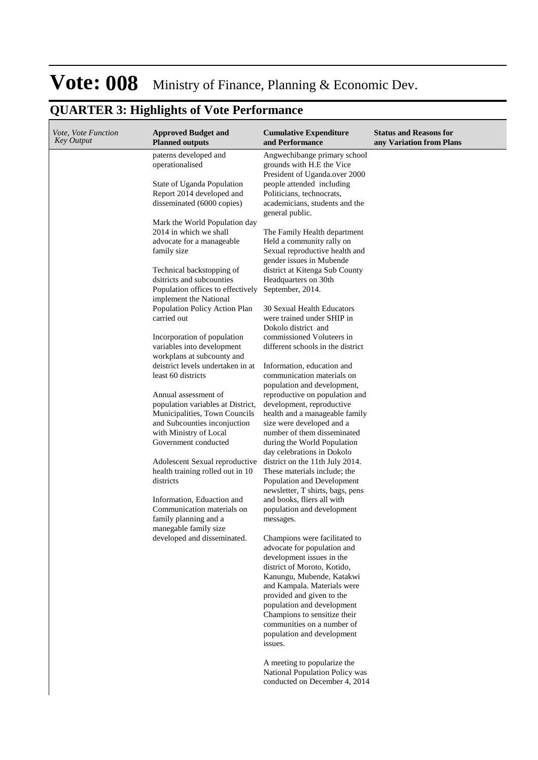| Vote, Vote Function<br><b>Key Output</b> | <b>Approved Budget and</b><br><b>Planned outputs</b>                                                  | <b>Cumulative Expenditure</b><br>and Performance                                                                                             | <b>Status and Reasons for</b><br>any Variation from Plans |
|------------------------------------------|-------------------------------------------------------------------------------------------------------|----------------------------------------------------------------------------------------------------------------------------------------------|-----------------------------------------------------------|
|                                          | paterns developed and<br>operationalised                                                              | Angwechibange primary school<br>grounds with H.E the Vice                                                                                    |                                                           |
|                                          | State of Uganda Population<br>Report 2014 developed and<br>disseminated (6000 copies)                 | President of Uganda.over 2000<br>people attended including<br>Politicians, technocrats,<br>academicians, students and the<br>general public. |                                                           |
|                                          | Mark the World Population day<br>2014 in which we shall<br>advocate for a manageable<br>family size   | The Family Health department<br>Held a community rally on<br>Sexual reproductive health and                                                  |                                                           |
|                                          | Technical backstopping of<br>dsitricts and subcounties<br>Population offices to effectively           | gender issues in Mubende<br>district at Kitenga Sub County<br>Headquarters on 30th<br>September, 2014.                                       |                                                           |
|                                          | implement the National<br>Population Policy Action Plan<br>carried out<br>Incorporation of population | 30 Sexual Health Educators<br>were trained under SHIP in<br>Dokolo district and<br>commissioned Voluteers in                                 |                                                           |
|                                          | variables into development<br>workplans at subcounty and                                              | different schools in the district                                                                                                            |                                                           |
|                                          | deistrict levels undertaken in at<br>least 60 districts                                               | Information, education and<br>communication materials on<br>population and development,                                                      |                                                           |
|                                          | Annual assessment of<br>population variables at District,<br>Municipalities, Town Councils            | reproductive on population and<br>development, reproductive<br>health and a manageable family                                                |                                                           |
|                                          | and Subcounties inconjuction<br>with Ministry of Local<br>Government conducted                        | size were developed and a<br>number of them disseminated<br>during the World Population<br>day celebrations in Dokolo                        |                                                           |
|                                          | Adolescent Sexual reproductive<br>health training rolled out in 10<br>districts                       | district on the 11th July 2014.<br>These materials include; the<br>Population and Development<br>newsletter, T shirts, bags, pens            |                                                           |
|                                          | Information, Eduaction and<br>Communication materials on<br>family planning and a                     | and books, fliers all with<br>population and development<br>messages.                                                                        |                                                           |
|                                          | manegable family size<br>developed and disseminated.                                                  | Champions were facilitated to<br>advocate for population and                                                                                 |                                                           |
|                                          |                                                                                                       | development issues in the<br>district of Moroto, Kotido,<br>Kanungu, Mubende, Katakwi                                                        |                                                           |
|                                          |                                                                                                       | and Kampala. Materials were<br>provided and given to the<br>population and development                                                       |                                                           |
|                                          |                                                                                                       | Champions to sensitize their<br>communities on a number of<br>population and development<br>issues.                                          |                                                           |
|                                          |                                                                                                       | A meeting to popularize the<br>National Population Policy was<br>conducted on December 4, 2014                                               |                                                           |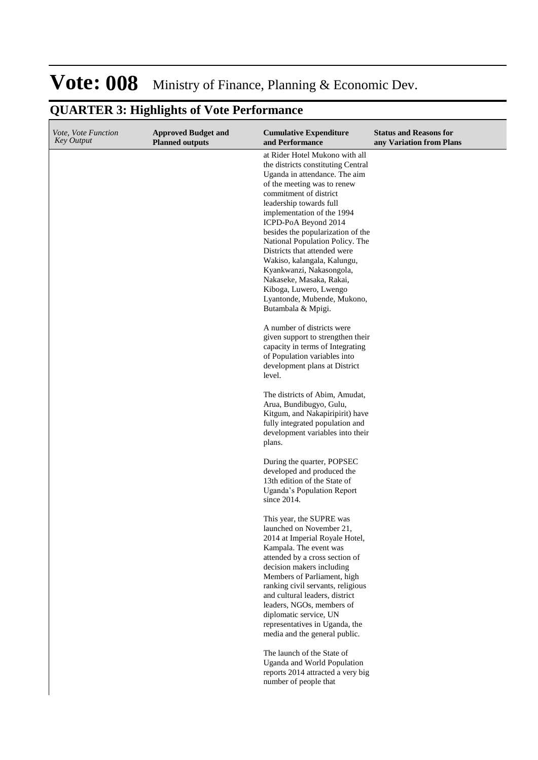| Vote, Vote Function<br><b>Key Output</b> | <b>Approved Budget and</b><br><b>Planned outputs</b> | <b>Cumulative Expenditure</b><br>and Performance                                                                                                                                                                                                                                                                                                                                                                                                                                                                              | <b>Status and Reasons for</b><br>any Variation from Plans |
|------------------------------------------|------------------------------------------------------|-------------------------------------------------------------------------------------------------------------------------------------------------------------------------------------------------------------------------------------------------------------------------------------------------------------------------------------------------------------------------------------------------------------------------------------------------------------------------------------------------------------------------------|-----------------------------------------------------------|
|                                          |                                                      | at Rider Hotel Mukono with all<br>the districts constituting Central<br>Uganda in attendance. The aim<br>of the meeting was to renew<br>commitment of district<br>leadership towards full<br>implementation of the 1994<br>ICPD-PoA Beyond 2014<br>besides the popularization of the<br>National Population Policy. The<br>Districts that attended were<br>Wakiso, kalangala, Kalungu,<br>Kyankwanzi, Nakasongola,<br>Nakaseke, Masaka, Rakai,<br>Kiboga, Luwero, Lwengo<br>Lyantonde, Mubende, Mukono,<br>Butambala & Mpigi. |                                                           |
|                                          |                                                      | A number of districts were<br>given support to strengthen their<br>capacity in terms of Integrating<br>of Population variables into<br>development plans at District<br>level.                                                                                                                                                                                                                                                                                                                                                |                                                           |
|                                          |                                                      | The districts of Abim, Amudat,<br>Arua, Bundibugyo, Gulu,<br>Kitgum, and Nakapiripirit) have<br>fully integrated population and<br>development variables into their<br>plans.                                                                                                                                                                                                                                                                                                                                                 |                                                           |
|                                          |                                                      | During the quarter, POPSEC<br>developed and produced the<br>13th edition of the State of<br>Uganda's Population Report<br>since 2014.                                                                                                                                                                                                                                                                                                                                                                                         |                                                           |
|                                          |                                                      | This year, the SUPRE was<br>launched on November 21,<br>2014 at Imperial Royale Hotel,<br>Kampala. The event was<br>attended by a cross section of<br>decision makers including<br>Members of Parliament, high<br>ranking civil servants, religious<br>and cultural leaders, district<br>leaders, NGOs, members of<br>diplomatic service, UN<br>representatives in Uganda, the<br>media and the general public.                                                                                                               |                                                           |
|                                          |                                                      | The launch of the State of<br>Uganda and World Population<br>reports 2014 attracted a very big<br>number of people that                                                                                                                                                                                                                                                                                                                                                                                                       |                                                           |

#### **QUARTER 3: Highlights of Vote Performance**  $\overline{\phantom{a}}$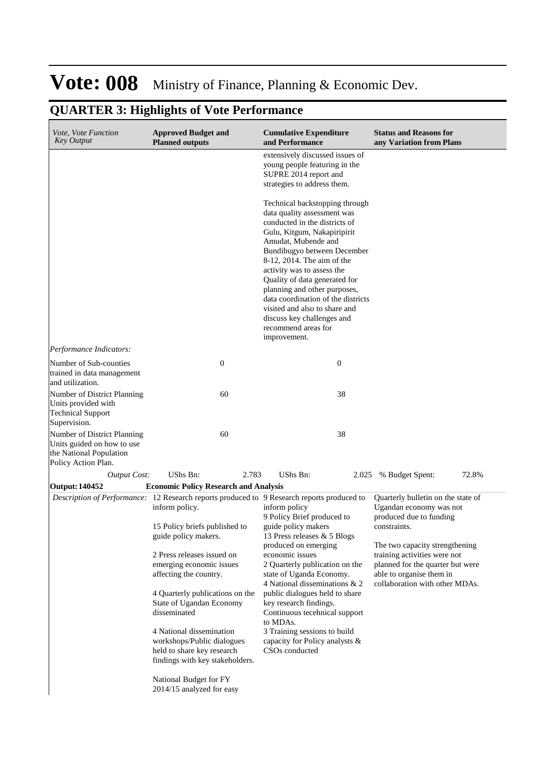| Vote, Vote Function<br><b>Key Output</b>                                                                    | <b>Approved Budget and</b><br><b>Planned outputs</b>                                                                    |       | <b>Cumulative Expenditure</b><br>and Performance                                                                                                                                                                                                                                                                                           | <b>Status and Reasons for</b><br>any Variation from Plans                                                                      |       |
|-------------------------------------------------------------------------------------------------------------|-------------------------------------------------------------------------------------------------------------------------|-------|--------------------------------------------------------------------------------------------------------------------------------------------------------------------------------------------------------------------------------------------------------------------------------------------------------------------------------------------|--------------------------------------------------------------------------------------------------------------------------------|-------|
|                                                                                                             |                                                                                                                         |       | extensively discussed issues of<br>young people featuring in the<br>SUPRE 2014 report and<br>strategies to address them.<br>Technical backstopping through<br>data quality assessment was<br>conducted in the districts of                                                                                                                 |                                                                                                                                |       |
|                                                                                                             |                                                                                                                         |       | Gulu, Kitgum, Nakapiripirit<br>Amudat, Mubende and<br>Bundibugyo between December<br>8-12, 2014. The aim of the<br>activity was to assess the<br>Quality of data generated for<br>planning and other purposes,<br>data coordination of the districts<br>visited and also to share and<br>discuss key challenges and<br>recommend areas for |                                                                                                                                |       |
| Performance Indicators:                                                                                     |                                                                                                                         |       | improvement.                                                                                                                                                                                                                                                                                                                               |                                                                                                                                |       |
| Number of Sub-counties<br>trained in data management<br>and utilization.                                    | $\boldsymbol{0}$                                                                                                        |       | $\boldsymbol{0}$                                                                                                                                                                                                                                                                                                                           |                                                                                                                                |       |
| Number of District Planning<br>Units provided with<br><b>Technical Support</b><br>Supervision.              | 60                                                                                                                      |       | 38                                                                                                                                                                                                                                                                                                                                         |                                                                                                                                |       |
| Number of District Planning<br>Units guided on how to use<br>the National Population<br>Policy Action Plan. | 60                                                                                                                      |       | 38                                                                                                                                                                                                                                                                                                                                         |                                                                                                                                |       |
| <b>Output Cost:</b>                                                                                         | UShs Bn:                                                                                                                | 2.783 | UShs Bn:                                                                                                                                                                                                                                                                                                                                   | 2.025 % Budget Spent:                                                                                                          | 72.8% |
| <b>Output: 140452</b>                                                                                       | <b>Economic Policy Research and Analysis</b>                                                                            |       |                                                                                                                                                                                                                                                                                                                                            |                                                                                                                                |       |
| Description of Performance: 12 Research reports produced to 9 Research reports produced to                  | inform policy.                                                                                                          |       | inform policy<br>9 Policy Brief produced to                                                                                                                                                                                                                                                                                                | Quarterly bulletin on the state of<br>Ugandan economy was not<br>produced due to funding                                       |       |
|                                                                                                             | 15 Policy briefs published to<br>guide policy makers.                                                                   |       | guide policy makers<br>13 Press releases & 5 Blogs<br>produced on emerging                                                                                                                                                                                                                                                                 | constraints.<br>The two capacity strengthening                                                                                 |       |
|                                                                                                             | 2 Press releases issued on<br>emerging economic issues<br>affecting the country.                                        |       | economic issues<br>2 Quarterly publication on the<br>state of Uganda Economy.<br>4 National disseminations & 2                                                                                                                                                                                                                             | training activities were not<br>planned for the quarter but were<br>able to organise them in<br>collaboration with other MDAs. |       |
|                                                                                                             | 4 Quarterly publications on the<br>State of Ugandan Economy<br>disseminated                                             |       | public dialogues held to share<br>key research findings.<br>Continuous tecehnical support<br>to MDAs.                                                                                                                                                                                                                                      |                                                                                                                                |       |
|                                                                                                             | 4 National dissemination<br>workshops/Public dialogues<br>held to share key research<br>findings with key stakeholders. |       | 3 Training sessions to build<br>capacity for Policy analysts &<br>CSO <sub>s</sub> conducted                                                                                                                                                                                                                                               |                                                                                                                                |       |
|                                                                                                             | National Budget for FY<br>2014/15 analyzed for easy                                                                     |       |                                                                                                                                                                                                                                                                                                                                            |                                                                                                                                |       |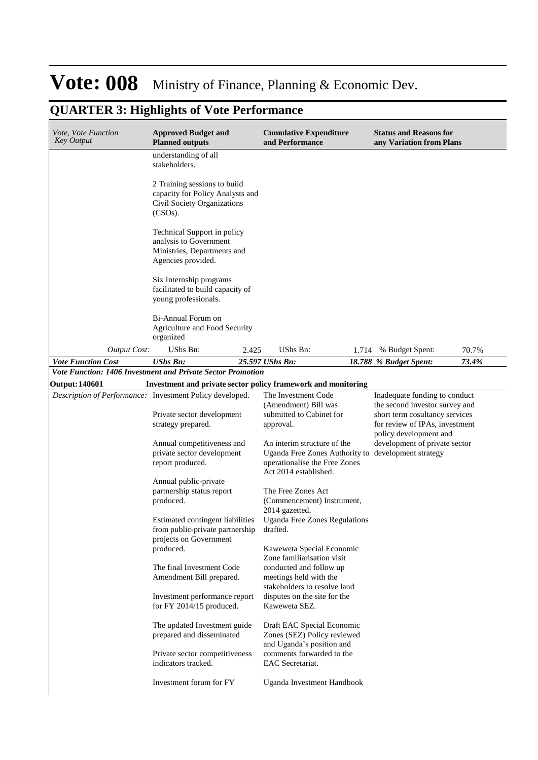| <i>Vote, Vote Function</i><br><b>Key Output</b> | <b>Approved Budget and</b><br><b>Planned outputs</b>                                                          | <b>Cumulative Expenditure</b><br>and Performance                                                                                             | <b>Status and Reasons for</b><br>any Variation from Plans                                                                           |
|-------------------------------------------------|---------------------------------------------------------------------------------------------------------------|----------------------------------------------------------------------------------------------------------------------------------------------|-------------------------------------------------------------------------------------------------------------------------------------|
|                                                 | understanding of all<br>stakeholders.                                                                         |                                                                                                                                              |                                                                                                                                     |
|                                                 | 2 Training sessions to build<br>capacity for Policy Analysts and<br>Civil Society Organizations<br>$(CSOs)$ . |                                                                                                                                              |                                                                                                                                     |
|                                                 | Technical Support in policy<br>analysis to Government<br>Ministries, Departments and<br>Agencies provided.    |                                                                                                                                              |                                                                                                                                     |
|                                                 | Six Internship programs<br>facilitated to build capacity of<br>young professionals.                           |                                                                                                                                              |                                                                                                                                     |
|                                                 | <b>Bi-Annual Forum on</b><br>Agriculture and Food Security<br>organized                                       |                                                                                                                                              |                                                                                                                                     |
| <b>Output Cost:</b>                             | UShs Bn:<br>2.425                                                                                             | UShs Bn:<br>1.714                                                                                                                            | % Budget Spent:<br>70.7%                                                                                                            |
| <b>Vote Function Cost</b>                       | <b>UShs Bn:</b>                                                                                               | 25.597 UShs Bn:                                                                                                                              | 73.4%<br>18.788 % Budget Spent:                                                                                                     |
|                                                 | Vote Function: 1406 Investment and Private Sector Promotion                                                   |                                                                                                                                              |                                                                                                                                     |
| <b>Output: 140601</b>                           | Investment and private sector policy framework and monitoring                                                 |                                                                                                                                              |                                                                                                                                     |
|                                                 | Description of Performance: Investment Policy developed.<br>Private sector development<br>strategy prepared.  | The Investment Code<br>(Amendment) Bill was<br>submitted to Cabinet for<br>approval.                                                         | Inadequate funding to conduct<br>the second investor survey and<br>short term cosultancy services<br>for review of IPAs, investment |
|                                                 | Annual competitiveness and<br>private sector development<br>report produced.                                  | An interim structure of the<br>Uganda Free Zones Authority to development strategy<br>operationalise the Free Zones<br>Act 2014 established. | policy development and<br>development of private sector                                                                             |
|                                                 | Annual public-private<br>partnership status report<br>produced.                                               | The Free Zones Act<br>(Commencement) Instrument,<br>2014 gazetted.                                                                           |                                                                                                                                     |
|                                                 | Estimated contingent liabilities<br>from public-private partnership<br>projects on Government                 | <b>Uganda Free Zones Regulations</b><br>drafted.                                                                                             |                                                                                                                                     |
|                                                 | produced.<br>The final Investment Code<br>Amendment Bill prepared.                                            | Kaweweta Special Economic<br>Zone familiarisation visit<br>conducted and follow up<br>meetings held with the                                 |                                                                                                                                     |
|                                                 | Investment performance report<br>for FY 2014/15 produced.                                                     | stakeholders to resolve land<br>disputes on the site for the<br>Kaweweta SEZ.                                                                |                                                                                                                                     |
|                                                 | The updated Investment guide<br>prepared and disseminated                                                     | Draft EAC Special Economic<br>Zones (SEZ) Policy reviewed<br>and Uganda's position and                                                       |                                                                                                                                     |
|                                                 | Private sector competitiveness<br>indicators tracked.                                                         | comments forwarded to the<br>EAC Secretariat.                                                                                                |                                                                                                                                     |
|                                                 | Investment forum for FY                                                                                       | Uganda Investment Handbook                                                                                                                   |                                                                                                                                     |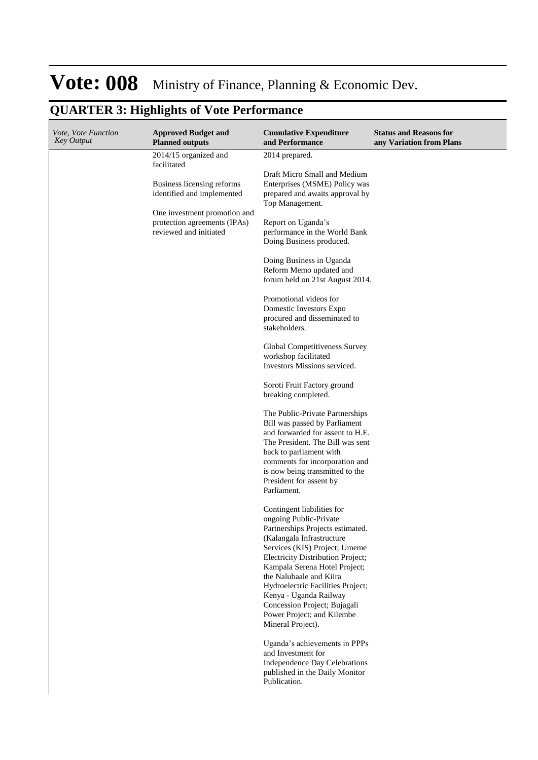| Vote, Vote Function<br><b>Key Output</b> | <b>Approved Budget and</b><br><b>Planned outputs</b>                                                                                                                                       | <b>Cumulative Expenditure</b><br>and Performance                                                                                                                                                                                                                                                                                                                                                                                                                                                                                                                                                                                                                                                                                                                                                                                                                                                                                                                                                                                                                                                                                                              | <b>Status and Reasons for</b><br>any Variation from Plans |
|------------------------------------------|--------------------------------------------------------------------------------------------------------------------------------------------------------------------------------------------|---------------------------------------------------------------------------------------------------------------------------------------------------------------------------------------------------------------------------------------------------------------------------------------------------------------------------------------------------------------------------------------------------------------------------------------------------------------------------------------------------------------------------------------------------------------------------------------------------------------------------------------------------------------------------------------------------------------------------------------------------------------------------------------------------------------------------------------------------------------------------------------------------------------------------------------------------------------------------------------------------------------------------------------------------------------------------------------------------------------------------------------------------------------|-----------------------------------------------------------|
|                                          | 2014/15 organized and<br>facilitated<br>Business licensing reforms<br>identified and implemented<br>One investment promotion and<br>protection agreements (IPAs)<br>reviewed and initiated | 2014 prepared.<br>Draft Micro Small and Medium<br>Enterprises (MSME) Policy was<br>prepared and awaits approval by<br>Top Management.<br>Report on Uganda's<br>performance in the World Bank<br>Doing Business produced.<br>Doing Business in Uganda<br>Reform Memo updated and<br>forum held on 21st August 2014.<br>Promotional videos for<br>Domestic Investors Expo<br>procured and disseminated to<br>stakeholders.<br>Global Competitiveness Survey<br>workshop facilitated<br>Investors Missions serviced.<br>Soroti Fruit Factory ground<br>breaking completed.<br>The Public-Private Partnerships<br>Bill was passed by Parliament<br>and forwarded for assent to H.E.<br>The President. The Bill was sent<br>back to parliament with<br>comments for incorporation and<br>is now being transmitted to the<br>President for assent by<br>Parliament.<br>Contingent liabilities for<br>ongoing Public-Private<br>Partnerships Projects estimated.<br>(Kalangala Infrastructure<br>Services (KIS) Project; Umeme<br>Electricity Distribution Project;<br>Kampala Serena Hotel Project;<br>the Nalubaale and Kiira<br>Hydroelectric Facilities Project; |                                                           |
|                                          |                                                                                                                                                                                            |                                                                                                                                                                                                                                                                                                                                                                                                                                                                                                                                                                                                                                                                                                                                                                                                                                                                                                                                                                                                                                                                                                                                                               |                                                           |
|                                          |                                                                                                                                                                                            | Kenya - Uganda Railway<br>Concession Project; Bujagali<br>Power Project; and Kilembe<br>Mineral Project).                                                                                                                                                                                                                                                                                                                                                                                                                                                                                                                                                                                                                                                                                                                                                                                                                                                                                                                                                                                                                                                     |                                                           |
|                                          |                                                                                                                                                                                            | Uganda's achievements in PPPs<br>and Investment for<br>Independence Day Celebrations<br>published in the Daily Monitor<br>Publication.                                                                                                                                                                                                                                                                                                                                                                                                                                                                                                                                                                                                                                                                                                                                                                                                                                                                                                                                                                                                                        |                                                           |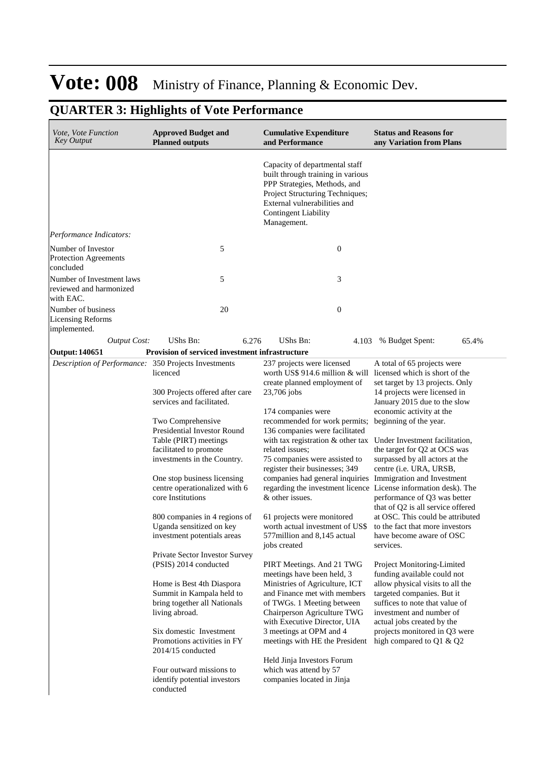| Vote, Vote Function<br>Key Output                                 | <b>Approved Budget and</b><br><b>Planned outputs</b>                                                                                                                                                                                                                                                                                                                                                                                     | <b>Cumulative Expenditure</b><br>and Performance                                                                                                                                                                                                                                                                                                                                                                                                                                                                                                                                                                                                                       | <b>Status and Reasons for</b><br>any Variation from Plans                                                                                                                                                                                                                                                                                                                                                                                                              |
|-------------------------------------------------------------------|------------------------------------------------------------------------------------------------------------------------------------------------------------------------------------------------------------------------------------------------------------------------------------------------------------------------------------------------------------------------------------------------------------------------------------------|------------------------------------------------------------------------------------------------------------------------------------------------------------------------------------------------------------------------------------------------------------------------------------------------------------------------------------------------------------------------------------------------------------------------------------------------------------------------------------------------------------------------------------------------------------------------------------------------------------------------------------------------------------------------|------------------------------------------------------------------------------------------------------------------------------------------------------------------------------------------------------------------------------------------------------------------------------------------------------------------------------------------------------------------------------------------------------------------------------------------------------------------------|
|                                                                   |                                                                                                                                                                                                                                                                                                                                                                                                                                          | Capacity of departmental staff<br>built through training in various<br>PPP Strategies, Methods, and<br>Project Structuring Techniques;<br>External vulnerabilities and<br><b>Contingent Liability</b><br>Management.                                                                                                                                                                                                                                                                                                                                                                                                                                                   |                                                                                                                                                                                                                                                                                                                                                                                                                                                                        |
| Performance Indicators:                                           |                                                                                                                                                                                                                                                                                                                                                                                                                                          |                                                                                                                                                                                                                                                                                                                                                                                                                                                                                                                                                                                                                                                                        |                                                                                                                                                                                                                                                                                                                                                                                                                                                                        |
| Number of Investor<br>Protection Agreements<br>concluded          | 5                                                                                                                                                                                                                                                                                                                                                                                                                                        | $\boldsymbol{0}$                                                                                                                                                                                                                                                                                                                                                                                                                                                                                                                                                                                                                                                       |                                                                                                                                                                                                                                                                                                                                                                                                                                                                        |
| Number of Investment laws<br>reviewed and harmonized<br>with EAC. | 5                                                                                                                                                                                                                                                                                                                                                                                                                                        | 3                                                                                                                                                                                                                                                                                                                                                                                                                                                                                                                                                                                                                                                                      |                                                                                                                                                                                                                                                                                                                                                                                                                                                                        |
| Number of business<br><b>Licensing Reforms</b><br>implemented.    | 20                                                                                                                                                                                                                                                                                                                                                                                                                                       | $\boldsymbol{0}$                                                                                                                                                                                                                                                                                                                                                                                                                                                                                                                                                                                                                                                       |                                                                                                                                                                                                                                                                                                                                                                                                                                                                        |
| <b>Output Cost:</b>                                               | 6.276<br>UShs Bn:                                                                                                                                                                                                                                                                                                                                                                                                                        | UShs Bn:                                                                                                                                                                                                                                                                                                                                                                                                                                                                                                                                                                                                                                                               | 4.103 % Budget Spent:<br>65.4%                                                                                                                                                                                                                                                                                                                                                                                                                                         |
| <b>Output: 140651</b>                                             | Provision of serviced investment infrastructure                                                                                                                                                                                                                                                                                                                                                                                          |                                                                                                                                                                                                                                                                                                                                                                                                                                                                                                                                                                                                                                                                        |                                                                                                                                                                                                                                                                                                                                                                                                                                                                        |
| Description of Performance: 350 Projects Investments              | licenced<br>300 Projects offered after care<br>services and facilitated.<br>Two Comprehensive<br><b>Presidential Investor Round</b><br>Table (PIRT) meetings<br>facilitated to promote<br>investments in the Country.<br>One stop business licensing<br>centre operationalized with 6<br>core Institutions<br>800 companies in 4 regions of<br>Uganda sensitized on key<br>investment potentials areas<br>Private Sector Investor Survey | 237 projects were licensed<br>worth US\$ 914.6 million $\&$ will licensed which is short of the<br>create planned employment of<br>23,706 jobs<br>174 companies were<br>recommended for work permits;<br>136 companies were facilitated<br>with tax registration & other tax Under Investment facilitation,<br>related issues;<br>75 companies were assisted to<br>register their businesses; 349<br>companies had general inquiries Immigration and Investment<br>regarding the investment licence License information desk). The<br>& other issues.<br>61 projects were monitored<br>worth actual investment of US\$<br>577 million and 8,145 actual<br>jobs created | A total of 65 projects were<br>set target by 13 projects. Only<br>14 projects were licensed in<br>January 2015 due to the slow<br>economic activity at the<br>beginning of the year.<br>the target for Q2 at OCS was<br>surpassed by all actors at the<br>centre (i.e. URA, URSB,<br>performance of Q3 was better<br>that of Q2 is all service offered<br>at OSC. This could be attributed<br>to the fact that more investors<br>have become aware of OSC<br>services. |
|                                                                   | (PSIS) 2014 conducted<br>Home is Best 4th Diaspora<br>Summit in Kampala held to<br>bring together all Nationals<br>living abroad.<br>Six domestic Investment<br>Promotions activities in FY<br>2014/15 conducted<br>Four outward missions to<br>identify potential investors<br>conducted                                                                                                                                                | PIRT Meetings. And 21 TWG<br>meetings have been held, 3<br>Ministries of Agriculture, ICT<br>and Finance met with members<br>of TWGs. 1 Meeting between<br>Chairperson Agriculture TWG<br>with Executive Director, UIA<br>3 meetings at OPM and 4<br>meetings with HE the President<br>Held Jinja Investors Forum<br>which was attend by 57<br>companies located in Jinja                                                                                                                                                                                                                                                                                              | Project Monitoring-Limited<br>funding available could not<br>allow physical visits to all the<br>targeted companies. But it<br>suffices to note that value of<br>investment and number of<br>actual jobs created by the<br>projects monitored in Q3 were<br>high compared to Q1 & Q2                                                                                                                                                                                   |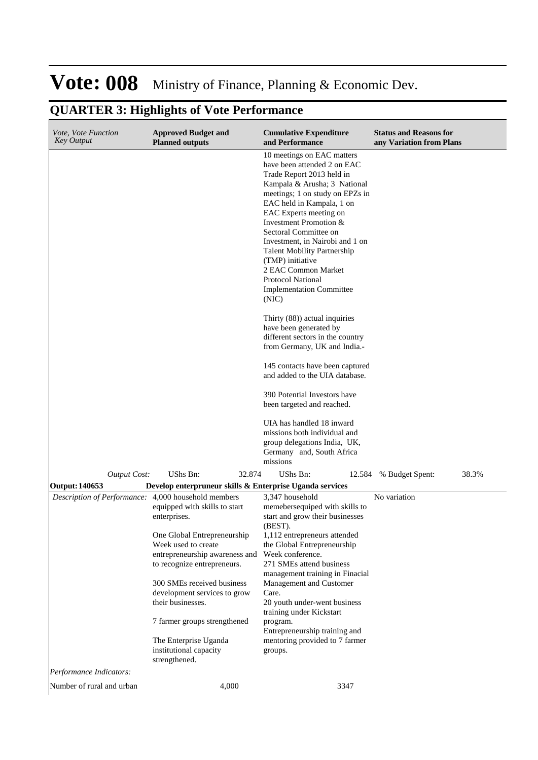#### **Cumulative Expenditure and Performance Approved Budget and Planned outputs Status and Reasons for any Variation from Plans** *Vote, Vote Function Key Output* 10 meetings on EAC matters have been attended 2 on EAC Trade Report 2013 held in Kampala & Arusha; 3 National meetings; 1 on study on EPZs in EAC held in Kampala, 1 on EAC Experts meeting on Investment Promotion & Sectoral Committee on Investment, in Nairobi and 1 on Talent Mobility Partnership (TMP) initiative 2 EAC Common Market Protocol National Implementation Committee (NIC) Thirty (88)) actual inquiries have been generated by different sectors in the country from Germany, UK and India.- 145 contacts have been captured and added to the UIA database. 390 Potential Investors have been targeted and reached. UIA has handled 18 inward missions both individual and group delegations India, UK, Germany and, South Africa missions *Output Cost:* UShs Bn: 32.874 UShs Bn: 12.584 % Budget Spent: 38.3% **Output: 140653 Develop enterpruneur skills & Enterprise Uganda services** *Description of Performance:* 4,000 household members equipped with skills to start enterprises. One Global Entrepreneurship Week used to create entrepreneurship awareness and to recognize entrepreneurs. 300 SMEs received business development services to grow their businesses. 7 farmer groups strengthened The Enterprise Uganda institutional capacity strengthened. 3,347 household memebersequiped with skills to start and grow their businesses (BEST). 1,112 entrepreneurs attended the Global Entrepreneurship Week conference. 271 SMEs attend business management training in Finacial Management and Customer Care. 20 youth under-went business training under Kickstart program. Entrepreneurship training and mentoring provided to 7 farmer groups. No variation *Performance Indicators:* Number of rural and urban 4,000 4,000 3347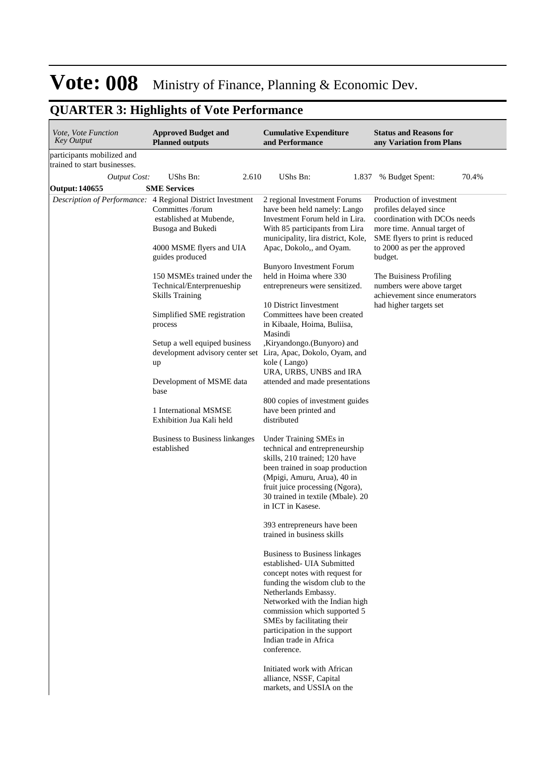| participants mobilized and<br>trained to start businesses.<br>UShs Bn:<br>2.610<br>UShs Bn:<br>70.4%<br><b>Output Cost:</b><br>1.837 % Budget Spent:<br><b>SME Services</b><br><b>Output: 140655</b><br>Production of investment<br>Description of Performance: 4 Regional District Investment<br>2 regional Investment Forums<br>Committes /forum<br>have been held namely: Lango<br>profiles delayed since<br>established at Mubende.<br>Investment Forum held in Lira.<br>coordination with DCOs needs<br>With 85 participants from Lira<br>more time. Annual target of<br>Busoga and Bukedi<br>municipality, lira district, Kole,<br>SME flyers to print is reduced<br>Apac, Dokolo,, and Oyam.<br>to 2000 as per the approved<br>4000 MSME flyers and UIA<br>guides produced<br>budget.<br><b>Bunyoro Investment Forum</b><br>held in Hoima where 330<br>150 MSMEs trained under the<br>The Buisiness Profiling<br>numbers were above target<br>Technical/Enterprenueship<br>entrepreneurs were sensitized.<br>achievement since enumerators<br><b>Skills Training</b><br>10 District Investment<br>had higher targets set<br>Committees have been created<br>Simplified SME registration<br>in Kibaale, Hoima, Buliisa,<br>process<br>Masindi<br>Setup a well equiped business<br>,Kiryandongo.(Bunyoro) and<br>development advisory center set<br>Lira, Apac, Dokolo, Oyam, and<br>kole (Lango)<br>up<br>URA, URBS, UNBS and IRA<br>Development of MSME data<br>attended and made presentations<br>base<br>800 copies of investment guides<br>1 International MSMSE<br>have been printed and<br>distributed<br>Exhibition Jua Kali held<br>Under Training SMEs in<br>Business to Business linkanges<br>established<br>technical and entrepreneurship<br>skills, 210 trained; 120 have<br>been trained in soap production<br>(Mpigi, Amuru, Arua), 40 in<br>fruit juice processing (Ngora),<br>30 trained in textile (Mbale). 20<br>in ICT in Kasese.<br>393 entrepreneurs have been<br>trained in business skills<br>Business to Business linkages<br>established- UIA Submitted<br>concept notes with request for<br>funding the wisdom club to the<br>Netherlands Embassy.<br>Networked with the Indian high | <i>Vote, Vote Function</i><br><b>Key Output</b> | <b>Approved Budget and</b><br><b>Planned outputs</b> | <b>Cumulative Expenditure</b><br>and Performance | <b>Status and Reasons for</b><br>any Variation from Plans |
|-----------------------------------------------------------------------------------------------------------------------------------------------------------------------------------------------------------------------------------------------------------------------------------------------------------------------------------------------------------------------------------------------------------------------------------------------------------------------------------------------------------------------------------------------------------------------------------------------------------------------------------------------------------------------------------------------------------------------------------------------------------------------------------------------------------------------------------------------------------------------------------------------------------------------------------------------------------------------------------------------------------------------------------------------------------------------------------------------------------------------------------------------------------------------------------------------------------------------------------------------------------------------------------------------------------------------------------------------------------------------------------------------------------------------------------------------------------------------------------------------------------------------------------------------------------------------------------------------------------------------------------------------------------------------------------------------------------------------------------------------------------------------------------------------------------------------------------------------------------------------------------------------------------------------------------------------------------------------------------------------------------------------------------------------------------------------------------------------------------------------------------------------------------------------------------------------------------------------|-------------------------------------------------|------------------------------------------------------|--------------------------------------------------|-----------------------------------------------------------|
|                                                                                                                                                                                                                                                                                                                                                                                                                                                                                                                                                                                                                                                                                                                                                                                                                                                                                                                                                                                                                                                                                                                                                                                                                                                                                                                                                                                                                                                                                                                                                                                                                                                                                                                                                                                                                                                                                                                                                                                                                                                                                                                                                                                                                       |                                                 |                                                      |                                                  |                                                           |
|                                                                                                                                                                                                                                                                                                                                                                                                                                                                                                                                                                                                                                                                                                                                                                                                                                                                                                                                                                                                                                                                                                                                                                                                                                                                                                                                                                                                                                                                                                                                                                                                                                                                                                                                                                                                                                                                                                                                                                                                                                                                                                                                                                                                                       |                                                 |                                                      |                                                  |                                                           |
|                                                                                                                                                                                                                                                                                                                                                                                                                                                                                                                                                                                                                                                                                                                                                                                                                                                                                                                                                                                                                                                                                                                                                                                                                                                                                                                                                                                                                                                                                                                                                                                                                                                                                                                                                                                                                                                                                                                                                                                                                                                                                                                                                                                                                       |                                                 |                                                      |                                                  |                                                           |
| SMEs by facilitating their<br>participation in the support<br>Indian trade in Africa<br>conference.<br>Initiated work with African<br>alliance, NSSF, Capital<br>markets, and USSIA on the                                                                                                                                                                                                                                                                                                                                                                                                                                                                                                                                                                                                                                                                                                                                                                                                                                                                                                                                                                                                                                                                                                                                                                                                                                                                                                                                                                                                                                                                                                                                                                                                                                                                                                                                                                                                                                                                                                                                                                                                                            |                                                 |                                                      | commission which supported 5                     |                                                           |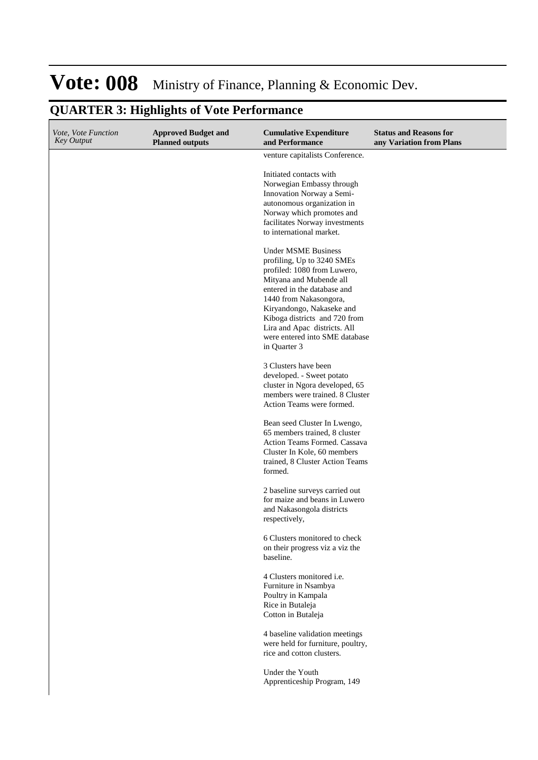| Vote, Vote Function<br><b>Key Output</b> | <b>Approved Budget and</b><br><b>Planned outputs</b> | <b>Cumulative Expenditure</b><br>and Performance                                                                                                                                                                                                                                                                            | <b>Status and Reasons for</b><br>any Variation from Plans |
|------------------------------------------|------------------------------------------------------|-----------------------------------------------------------------------------------------------------------------------------------------------------------------------------------------------------------------------------------------------------------------------------------------------------------------------------|-----------------------------------------------------------|
|                                          |                                                      | venture capitalists Conference.                                                                                                                                                                                                                                                                                             |                                                           |
|                                          |                                                      | Initiated contacts with<br>Norwegian Embassy through<br>Innovation Norway a Semi-<br>autonomous organization in<br>Norway which promotes and<br>facilitates Norway investments<br>to international market.                                                                                                                  |                                                           |
|                                          |                                                      | <b>Under MSME Business</b><br>profiling, Up to 3240 SMEs<br>profiled: 1080 from Luwero,<br>Mityana and Mubende all<br>entered in the database and<br>1440 from Nakasongora,<br>Kiryandongo, Nakaseke and<br>Kiboga districts and 720 from<br>Lira and Apac districts. All<br>were entered into SME database<br>in Quarter 3 |                                                           |
|                                          |                                                      | 3 Clusters have been<br>developed. - Sweet potato<br>cluster in Ngora developed, 65<br>members were trained. 8 Cluster<br>Action Teams were formed.                                                                                                                                                                         |                                                           |
|                                          |                                                      | Bean seed Cluster In Lwengo,<br>65 members trained, 8 cluster<br>Action Teams Formed. Cassava<br>Cluster In Kole, 60 members<br>trained, 8 Cluster Action Teams<br>formed.                                                                                                                                                  |                                                           |
|                                          |                                                      | 2 baseline surveys carried out<br>for maize and beans in Luwero<br>and Nakasongola districts<br>respectively,                                                                                                                                                                                                               |                                                           |
|                                          |                                                      | 6 Clusters monitored to check<br>on their progress viz a viz the<br>baseline.                                                                                                                                                                                                                                               |                                                           |
|                                          |                                                      | 4 Clusters monitored i.e.<br>Furniture in Nsambya<br>Poultry in Kampala<br>Rice in Butaleja<br>Cotton in Butaleja                                                                                                                                                                                                           |                                                           |
|                                          |                                                      | 4 baseline validation meetings<br>were held for furniture, poultry,<br>rice and cotton clusters.                                                                                                                                                                                                                            |                                                           |
|                                          |                                                      | Under the Youth<br>Apprenticeship Program, 149                                                                                                                                                                                                                                                                              |                                                           |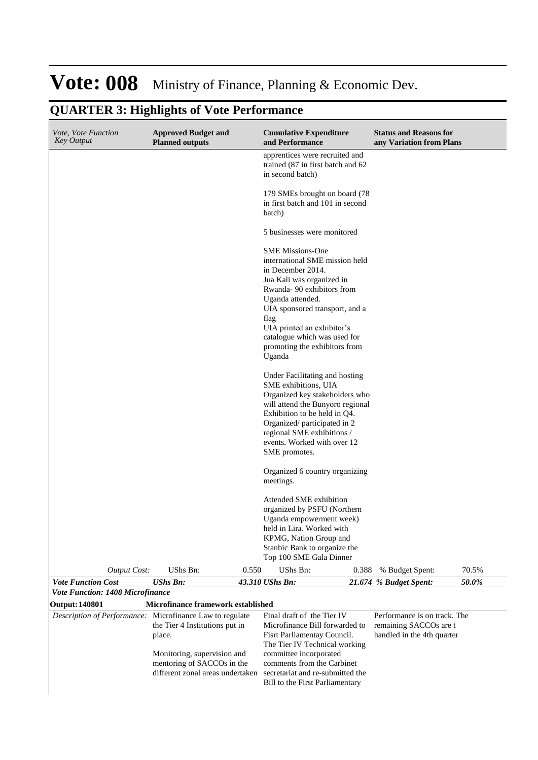| Vote, Vote Function<br><b>Key Output</b>                 | <b>Approved Budget and</b><br><b>Planned outputs</b>                                                  |       | <b>Cumulative Expenditure</b><br>and Performance                                                                                                                                                                                                                                                                |       | <b>Status and Reasons for</b><br>any Variation from Plans                            |       |
|----------------------------------------------------------|-------------------------------------------------------------------------------------------------------|-------|-----------------------------------------------------------------------------------------------------------------------------------------------------------------------------------------------------------------------------------------------------------------------------------------------------------------|-------|--------------------------------------------------------------------------------------|-------|
|                                                          |                                                                                                       |       | apprentices were recruited and<br>trained (87 in first batch and 62)<br>in second batch)                                                                                                                                                                                                                        |       |                                                                                      |       |
|                                                          |                                                                                                       |       | 179 SMEs brought on board (78)<br>in first batch and 101 in second<br>batch)                                                                                                                                                                                                                                    |       |                                                                                      |       |
|                                                          |                                                                                                       |       | 5 businesses were monitored                                                                                                                                                                                                                                                                                     |       |                                                                                      |       |
|                                                          |                                                                                                       |       | <b>SME Missions-One</b><br>international SME mission held<br>in December 2014.<br>Jua Kali was organized in<br>Rwanda-90 exhibitors from<br>Uganda attended.<br>UIA sponsored transport, and a<br>flag<br>UIA printed an exhibitor's<br>catalogue which was used for<br>promoting the exhibitors from<br>Uganda |       |                                                                                      |       |
|                                                          |                                                                                                       |       | Under Facilitating and hosting<br>SME exhibitions, UIA<br>Organized key stakeholders who<br>will attend the Bunyoro regional<br>Exhibition to be held in Q4.<br>Organized/participated in 2<br>regional SME exhibitions /<br>events. Worked with over 12<br>SME promotes.                                       |       |                                                                                      |       |
|                                                          |                                                                                                       |       | Organized 6 country organizing<br>meetings.                                                                                                                                                                                                                                                                     |       |                                                                                      |       |
|                                                          |                                                                                                       |       | Attended SME exhibition<br>organized by PSFU (Northern<br>Uganda empowerment week)<br>held in Lira. Worked with<br>KPMG, Nation Group and<br>Stanbic Bank to organize the<br>Top 100 SME Gala Dinner                                                                                                            |       |                                                                                      |       |
| <b>Output Cost:</b>                                      | UShs Bn:                                                                                              | 0.550 | UShs Bn:                                                                                                                                                                                                                                                                                                        | 0.388 | % Budget Spent:                                                                      | 70.5% |
| <b>Vote Function Cost</b>                                | <b>UShs Bn:</b>                                                                                       |       | 43.310 UShs Bn:                                                                                                                                                                                                                                                                                                 |       | 21.674 % Budget Spent:                                                               | 50.0% |
| Vote Function: 1408 Microfinance                         |                                                                                                       |       |                                                                                                                                                                                                                                                                                                                 |       |                                                                                      |       |
| <b>Output: 140801</b>                                    | Microfinance framework established                                                                    |       |                                                                                                                                                                                                                                                                                                                 |       |                                                                                      |       |
| Description of Performance: Microfinance Law to regulate | the Tier 4 Institutions put in<br>place.<br>Monitoring, supervision and<br>mentoring of SACCOs in the |       | Final draft of the Tier IV<br>Microfinance Bill forwarded to<br>Fisrt Parliamentay Council.<br>The Tier IV Technical working<br>committee incorporated<br>comments from the Carbinet<br>different zonal areas undertaken secretariat and re-submitted the<br>Bill to the First Parliamentary                    |       | Performance is on track. The<br>remaining SACCOs are t<br>handled in the 4th quarter |       |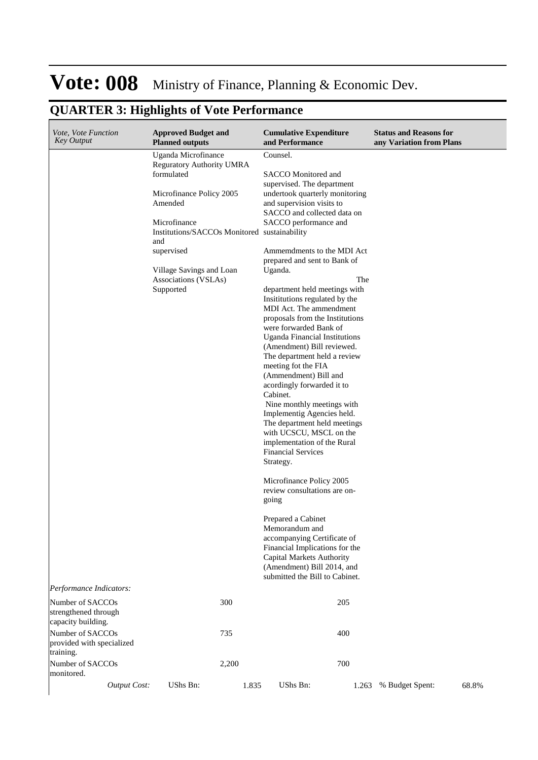| Vote, Vote Function<br><b>Key Output</b>                                           | <b>Approved Budget and</b><br><b>Planned outputs</b>                                                                                                                                                                                                               | <b>Cumulative Expenditure</b><br>and Performance                                                                                                                                                                                                                                                                                                                                                                                                                                                                                                                                                                                                                                                                                                                                                                                                                                                                                                                                                                                                                                                          | <b>Status and Reasons for</b><br>any Variation from Plans |
|------------------------------------------------------------------------------------|--------------------------------------------------------------------------------------------------------------------------------------------------------------------------------------------------------------------------------------------------------------------|-----------------------------------------------------------------------------------------------------------------------------------------------------------------------------------------------------------------------------------------------------------------------------------------------------------------------------------------------------------------------------------------------------------------------------------------------------------------------------------------------------------------------------------------------------------------------------------------------------------------------------------------------------------------------------------------------------------------------------------------------------------------------------------------------------------------------------------------------------------------------------------------------------------------------------------------------------------------------------------------------------------------------------------------------------------------------------------------------------------|-----------------------------------------------------------|
|                                                                                    | Uganda Microfinance<br><b>Reguratory Authority UMRA</b><br>formulated<br>Microfinance Policy 2005<br>Amended<br>Microfinance<br>Institutions/SACCOs Monitored sustainability<br>and<br>supervised<br>Village Savings and Loan<br>Associations (VSLAs)<br>Supported | Counsel.<br>SACCO Monitored and<br>supervised. The department<br>undertook quarterly monitoring<br>and supervision visits to<br>SACCO and collected data on<br>SACCO performance and<br>Ammemdments to the MDI Act<br>prepared and sent to Bank of<br>Uganda.<br>The<br>department held meetings with<br>Insitiations regulated by the<br>MDI Act. The ammendment<br>proposals from the Institutions<br>were forwarded Bank of<br><b>Uganda Financial Institutions</b><br>(Amendment) Bill reviewed.<br>The department held a review<br>meeting fot the FIA<br>(Ammendment) Bill and<br>acordingly forwarded it to<br>Cabinet.<br>Nine monthly meetings with<br>Implementig Agencies held.<br>The department held meetings<br>with UCSCU, MSCL on the<br>implementation of the Rural<br><b>Financial Services</b><br>Strategy.<br>Microfinance Policy 2005<br>review consultations are on-<br>going<br>Prepared a Cabinet<br>Memorandum and<br>accompanying Certificate of<br>Financial Implications for the<br>Capital Markets Authority<br>(Amendment) Bill 2014, and<br>submitted the Bill to Cabinet. |                                                           |
| Performance Indicators:                                                            |                                                                                                                                                                                                                                                                    |                                                                                                                                                                                                                                                                                                                                                                                                                                                                                                                                                                                                                                                                                                                                                                                                                                                                                                                                                                                                                                                                                                           |                                                           |
| Number of SACCOs<br>strengthened through<br>capacity building.<br>Number of SACCOs | 300<br>735                                                                                                                                                                                                                                                         | 205<br>400                                                                                                                                                                                                                                                                                                                                                                                                                                                                                                                                                                                                                                                                                                                                                                                                                                                                                                                                                                                                                                                                                                |                                                           |
| provided with specialized<br>training.<br>Number of SACCOs                         | 2,200                                                                                                                                                                                                                                                              | 700                                                                                                                                                                                                                                                                                                                                                                                                                                                                                                                                                                                                                                                                                                                                                                                                                                                                                                                                                                                                                                                                                                       |                                                           |
| monitored.<br><b>Output Cost:</b>                                                  | UShs Bn:                                                                                                                                                                                                                                                           | UShs Bn:<br>1.835<br>1.263                                                                                                                                                                                                                                                                                                                                                                                                                                                                                                                                                                                                                                                                                                                                                                                                                                                                                                                                                                                                                                                                                | 68.8%<br>% Budget Spent:                                  |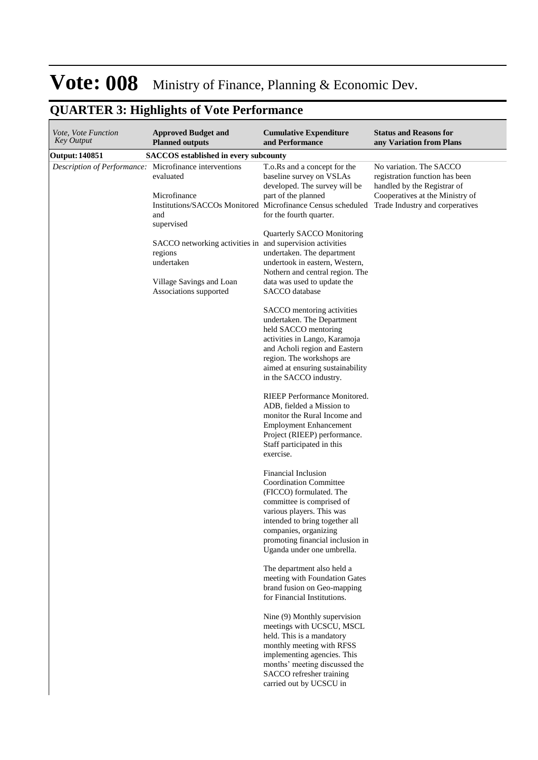| Vote, Vote Function<br><b>Key Output</b>                      | <b>Approved Budget and</b><br><b>Planned outputs</b>                                                                                                                                       | <b>Cumulative Expenditure</b><br>and Performance                                                                                                                                                                                                                                                                                                                                                                                                                                                                                                                                                                                                                                                                                                                                                                                                                                                                                                                                                                                                                                                                                                                                                                                                                                                                                                                                                                                                    | <b>Status and Reasons for</b><br>any Variation from Plans                                                                   |
|---------------------------------------------------------------|--------------------------------------------------------------------------------------------------------------------------------------------------------------------------------------------|-----------------------------------------------------------------------------------------------------------------------------------------------------------------------------------------------------------------------------------------------------------------------------------------------------------------------------------------------------------------------------------------------------------------------------------------------------------------------------------------------------------------------------------------------------------------------------------------------------------------------------------------------------------------------------------------------------------------------------------------------------------------------------------------------------------------------------------------------------------------------------------------------------------------------------------------------------------------------------------------------------------------------------------------------------------------------------------------------------------------------------------------------------------------------------------------------------------------------------------------------------------------------------------------------------------------------------------------------------------------------------------------------------------------------------------------------------|-----------------------------------------------------------------------------------------------------------------------------|
| <b>Output: 140851</b>                                         | <b>SACCOS</b> established in every subcounty                                                                                                                                               |                                                                                                                                                                                                                                                                                                                                                                                                                                                                                                                                                                                                                                                                                                                                                                                                                                                                                                                                                                                                                                                                                                                                                                                                                                                                                                                                                                                                                                                     |                                                                                                                             |
| <i>Description of Performance:</i> Microfinance interventions | evaluated<br>Microfinance<br>and<br>supervised<br>SACCO networking activities in and supervision activities<br>regions<br>undertaken<br>Village Savings and Loan<br>Associations supported | T.o.Rs and a concept for the<br>baseline survey on VSLAs<br>developed. The survey will be<br>part of the planned<br>Institutions/SACCOs Monitored Microfinance Census scheduled Trade Industry and corperatives<br>for the fourth quarter.<br>Quarterly SACCO Monitoring<br>undertaken. The department<br>undertook in eastern, Western,<br>Nothern and central region. The<br>data was used to update the<br>SACCO database<br>SACCO mentoring activities<br>undertaken. The Department<br>held SACCO mentoring<br>activities in Lango, Karamoja<br>and Acholi region and Eastern<br>region. The workshops are<br>aimed at ensuring sustainability<br>in the SACCO industry.<br>RIEEP Performance Monitored.<br>ADB, fielded a Mission to<br>monitor the Rural Income and<br><b>Employment Enhancement</b><br>Project (RIEEP) performance.<br>Staff participated in this<br>exercise.<br>Financial Inclusion<br><b>Coordination Committee</b><br>(FICCO) formulated. The<br>committee is comprised of<br>various players. This was<br>intended to bring together all<br>companies, organizing<br>promoting financial inclusion in<br>Uganda under one umbrella.<br>The department also held a<br>meeting with Foundation Gates<br>brand fusion on Geo-mapping<br>for Financial Institutions.<br>Nine (9) Monthly supervision<br>meetings with UCSCU, MSCL<br>held. This is a mandatory<br>monthly meeting with RFSS<br>implementing agencies. This | No variation. The SACCO<br>registration function has been<br>handled by the Registrar of<br>Cooperatives at the Ministry of |
|                                                               |                                                                                                                                                                                            | months' meeting discussed the<br>SACCO refresher training<br>carried out by UCSCU in                                                                                                                                                                                                                                                                                                                                                                                                                                                                                                                                                                                                                                                                                                                                                                                                                                                                                                                                                                                                                                                                                                                                                                                                                                                                                                                                                                |                                                                                                                             |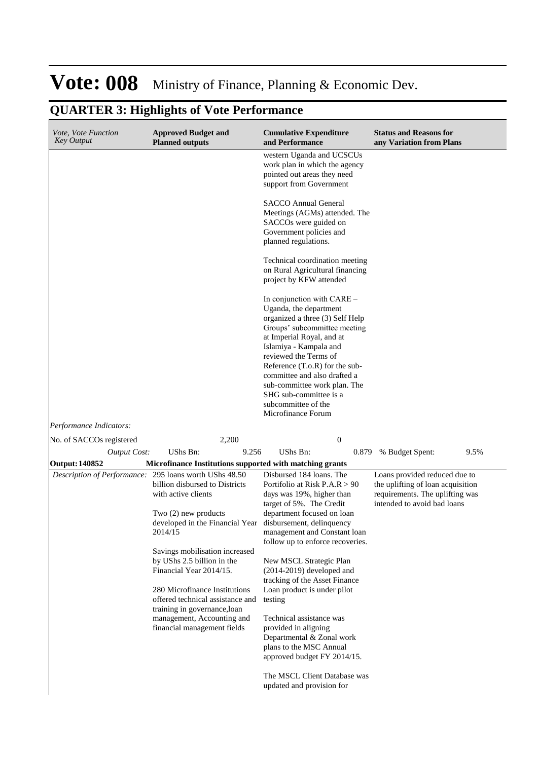| Vote, Vote Function<br><b>Key Output</b>                                        | <b>Approved Budget and</b><br><b>Planned outputs</b>                                                                                                                                                                                                                                                                                                                                                                                                                             | <b>Cumulative Expenditure</b><br>and Performance                                                                                                                                                                                                                                                                                                                                                                                                                        | <b>Status and Reasons for</b><br>any Variation from Plans                                                                            |
|---------------------------------------------------------------------------------|----------------------------------------------------------------------------------------------------------------------------------------------------------------------------------------------------------------------------------------------------------------------------------------------------------------------------------------------------------------------------------------------------------------------------------------------------------------------------------|-------------------------------------------------------------------------------------------------------------------------------------------------------------------------------------------------------------------------------------------------------------------------------------------------------------------------------------------------------------------------------------------------------------------------------------------------------------------------|--------------------------------------------------------------------------------------------------------------------------------------|
|                                                                                 |                                                                                                                                                                                                                                                                                                                                                                                                                                                                                  | western Uganda and UCSCUs<br>work plan in which the agency<br>pointed out areas they need<br>support from Government                                                                                                                                                                                                                                                                                                                                                    |                                                                                                                                      |
|                                                                                 |                                                                                                                                                                                                                                                                                                                                                                                                                                                                                  | <b>SACCO Annual General</b><br>Meetings (AGMs) attended. The<br>SACCOs were guided on<br>Government policies and<br>planned regulations.                                                                                                                                                                                                                                                                                                                                |                                                                                                                                      |
|                                                                                 |                                                                                                                                                                                                                                                                                                                                                                                                                                                                                  | Technical coordination meeting<br>on Rural Agricultural financing<br>project by KFW attended                                                                                                                                                                                                                                                                                                                                                                            |                                                                                                                                      |
|                                                                                 |                                                                                                                                                                                                                                                                                                                                                                                                                                                                                  | In conjunction with $CARE -$<br>Uganda, the department<br>organized a three (3) Self Help<br>Groups' subcommittee meeting<br>at Imperial Royal, and at<br>Islamiya - Kampala and<br>reviewed the Terms of<br>Reference (T.o.R) for the sub-<br>committee and also drafted a<br>sub-committee work plan. The<br>SHG sub-committee is a<br>subcommittee of the<br>Microfinance Forum                                                                                      |                                                                                                                                      |
| Performance Indicators:                                                         |                                                                                                                                                                                                                                                                                                                                                                                                                                                                                  |                                                                                                                                                                                                                                                                                                                                                                                                                                                                         |                                                                                                                                      |
| No. of SACCOs registered                                                        | 2,200                                                                                                                                                                                                                                                                                                                                                                                                                                                                            | $\boldsymbol{0}$                                                                                                                                                                                                                                                                                                                                                                                                                                                        |                                                                                                                                      |
| <b>Output Cost:</b>                                                             | UShs Bn:<br>9.256                                                                                                                                                                                                                                                                                                                                                                                                                                                                | UShs Bn:<br>0.879                                                                                                                                                                                                                                                                                                                                                                                                                                                       | 9.5%<br>% Budget Spent:                                                                                                              |
| <b>Output: 140852</b><br>Description of Performance: 295 loans worth UShs 48.50 | Microfinance Institutions supported with matching grants<br>billion disbursed to Districts<br>with active clients<br>Two $(2)$ new products<br>developed in the Financial Year disbursement, delinquency<br>2014/15<br>Savings mobilisation increased<br>by UShs 2.5 billion in the<br>Financial Year 2014/15.<br>280 Microfinance Institutions<br>offered technical assistance and<br>training in governance, loan<br>management, Accounting and<br>financial management fields | Disbursed 184 loans. The<br>Portifolio at Risk $P.A.R > 90$<br>days was 19%, higher than<br>target of 5%. The Credit<br>department focused on loan<br>management and Constant loan<br>follow up to enforce recoveries.<br>New MSCL Strategic Plan<br>$(2014-2019)$ developed and<br>tracking of the Asset Finance<br>Loan product is under pilot<br>testing<br>Technical assistance was<br>provided in aligning<br>Departmental & Zonal work<br>plans to the MSC Annual | Loans provided reduced due to<br>the uplifting of loan acquisition<br>requirements. The uplifting was<br>intended to avoid bad loans |
|                                                                                 |                                                                                                                                                                                                                                                                                                                                                                                                                                                                                  | approved budget FY 2014/15.<br>The MSCL Client Database was<br>updated and provision for                                                                                                                                                                                                                                                                                                                                                                                |                                                                                                                                      |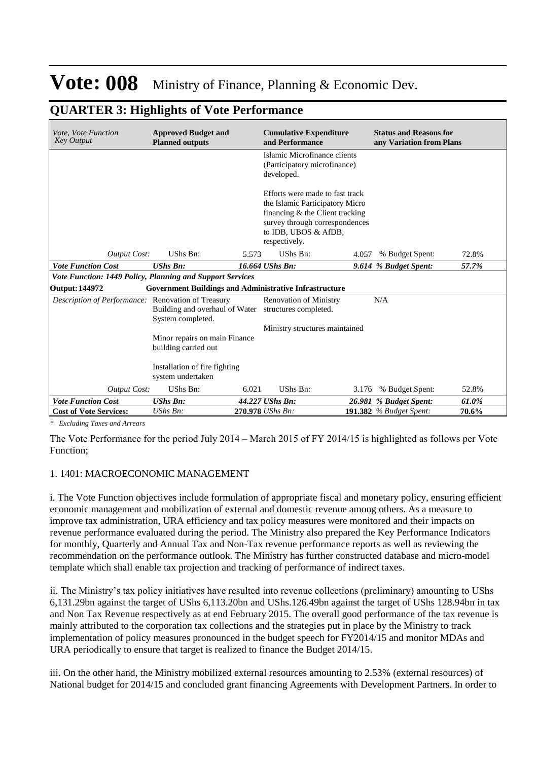| Vote, Vote Function<br><b>Key Output</b>                  | <b>Approved Budget and</b><br><b>Planned outputs</b>                                                                                                                               |       | <b>Cumulative Expenditure</b><br>and Performance                           |       | <b>Status and Reasons for</b><br>any Variation from Plans |       |
|-----------------------------------------------------------|------------------------------------------------------------------------------------------------------------------------------------------------------------------------------------|-------|----------------------------------------------------------------------------|-------|-----------------------------------------------------------|-------|
|                                                           |                                                                                                                                                                                    |       | Islamic Microfinance clients<br>(Participatory microfinance)<br>developed. |       |                                                           |       |
|                                                           | Efforts were made to fast track<br>the Islamic Participatory Micro<br>financing $&$ the Client tracking<br>survey through correspondences<br>to IDB, UBOS & AfDB,<br>respectively. |       |                                                                            |       |                                                           |       |
| <b>Output Cost:</b>                                       | <b>UShs Bn:</b>                                                                                                                                                                    | 5.573 | UShs Bn:                                                                   | 4.057 | % Budget Spent:                                           | 72.8% |
| <b>Vote Function Cost</b>                                 | <b>UShs Bn:</b>                                                                                                                                                                    |       | 16.664 UShs Bn:                                                            |       | 9.614 % Budget Spent:                                     | 57.7% |
| Vote Function: 1449 Policy, Planning and Support Services |                                                                                                                                                                                    |       |                                                                            |       |                                                           |       |
| <b>Output: 144972</b>                                     | <b>Government Buildings and Administrative Infrastructure</b>                                                                                                                      |       |                                                                            |       |                                                           |       |
| Description of Performance:                               | <b>Renovation of Treasury</b><br>Building and overhaul of Water structures completed.<br>System completed.                                                                         |       | <b>Renovation of Ministry</b>                                              |       | N/A                                                       |       |
|                                                           |                                                                                                                                                                                    |       | Ministry structures maintained                                             |       |                                                           |       |
|                                                           | Minor repairs on main Finance<br>building carried out                                                                                                                              |       |                                                                            |       |                                                           |       |
|                                                           | Installation of fire fighting<br>system undertaken                                                                                                                                 |       |                                                                            |       |                                                           |       |
| <b>Output Cost:</b>                                       | UShs Bn:                                                                                                                                                                           | 6.021 | UShs Bn:                                                                   |       | 3.176 % Budget Spent:                                     | 52.8% |
| <b>Vote Function Cost</b>                                 | <b>UShs Bn:</b>                                                                                                                                                                    |       | 44.227 UShs Bn:                                                            |       | 26.981 % Budget Spent:                                    | 61.0% |
| <b>Cost of Vote Services:</b>                             | $UShs Bn$ :                                                                                                                                                                        |       | 270.978 UShs Bn:                                                           |       | <b>191.382</b> % Budget Spent:                            | 70.6% |

#### **QUARTER 3: Highlights of Vote Performance**

*\* Excluding Taxes and Arrears*

The Vote Performance for the period July 2014 – March 2015 of FY 2014/15 is highlighted as follows per Vote Function;

#### 1. 1401: MACROECONOMIC MANAGEMENT

i. The Vote Function objectives include formulation of appropriate fiscal and monetary policy, ensuring efficient economic management and mobilization of external and domestic revenue among others. As a measure to improve tax administration, URA efficiency and tax policy measures were monitored and their impacts on revenue performance evaluated during the period. The Ministry also prepared the Key Performance Indicators for monthly, Quarterly and Annual Tax and Non-Tax revenue performance reports as well as reviewing the recommendation on the performance outlook. The Ministry has further constructed database and micro-model template which shall enable tax projection and tracking of performance of indirect taxes.

ii. The Ministry's tax policy initiatives have resulted into revenue collections (preliminary) amounting to UShs 6,131.29bn against the target of UShs 6,113.20bn and UShs.126.49bn against the target of UShs 128.94bn in tax and Non Tax Revenue respectively as at end February 2015. The overall good performance of the tax revenue is mainly attributed to the corporation tax collections and the strategies put in place by the Ministry to track implementation of policy measures pronounced in the budget speech for FY2014/15 and monitor MDAs and URA periodically to ensure that target is realized to finance the Budget 2014/15.

iii. On the other hand, the Ministry mobilized external resources amounting to 2.53% (external resources) of National budget for 2014/15 and concluded grant financing Agreements with Development Partners. In order to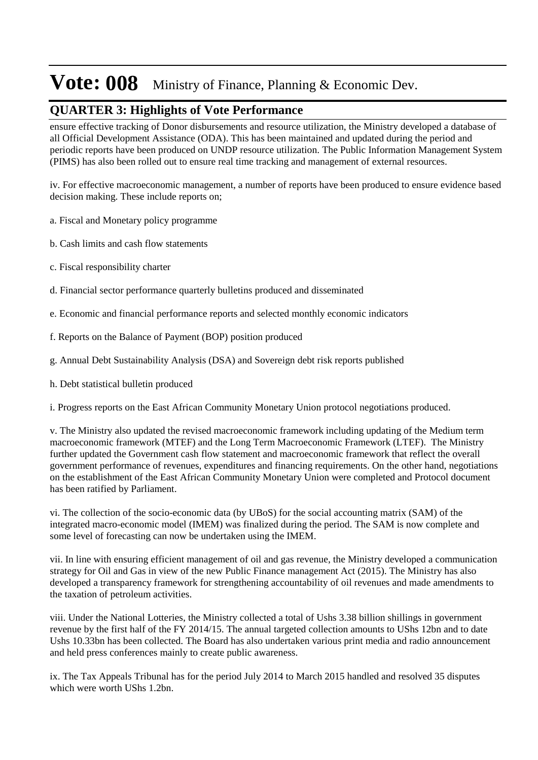#### **QUARTER 3: Highlights of Vote Performance**

ensure effective tracking of Donor disbursements and resource utilization, the Ministry developed a database of all Official Development Assistance (ODA). This has been maintained and updated during the period and periodic reports have been produced on UNDP resource utilization. The Public Information Management System (PIMS) has also been rolled out to ensure real time tracking and management of external resources.

iv. For effective macroeconomic management, a number of reports have been produced to ensure evidence based decision making. These include reports on;

- a. Fiscal and Monetary policy programme
- b. Cash limits and cash flow statements
- c. Fiscal responsibility charter
- d. Financial sector performance quarterly bulletins produced and disseminated
- e. Economic and financial performance reports and selected monthly economic indicators
- f. Reports on the Balance of Payment (BOP) position produced
- g. Annual Debt Sustainability Analysis (DSA) and Sovereign debt risk reports published
- h. Debt statistical bulletin produced

i. Progress reports on the East African Community Monetary Union protocol negotiations produced.

v. The Ministry also updated the revised macroeconomic framework including updating of the Medium term macroeconomic framework (MTEF) and the Long Term Macroeconomic Framework (LTEF). The Ministry further updated the Government cash flow statement and macroeconomic framework that reflect the overall government performance of revenues, expenditures and financing requirements. On the other hand, negotiations on the establishment of the East African Community Monetary Union were completed and Protocol document has been ratified by Parliament.

vi. The collection of the socio-economic data (by UBoS) for the social accounting matrix (SAM) of the integrated macro-economic model (IMEM) was finalized during the period. The SAM is now complete and some level of forecasting can now be undertaken using the IMEM.

vii. In line with ensuring efficient management of oil and gas revenue, the Ministry developed a communication strategy for Oil and Gas in view of the new Public Finance management Act (2015). The Ministry has also developed a transparency framework for strengthening accountability of oil revenues and made amendments to the taxation of petroleum activities.

viii. Under the National Lotteries, the Ministry collected a total of Ushs 3.38 billion shillings in government revenue by the first half of the FY 2014/15. The annual targeted collection amounts to UShs 12bn and to date Ushs 10.33bn has been collected. The Board has also undertaken various print media and radio announcement and held press conferences mainly to create public awareness.

ix. The Tax Appeals Tribunal has for the period July 2014 to March 2015 handled and resolved 35 disputes which were worth UShs 1.2bn.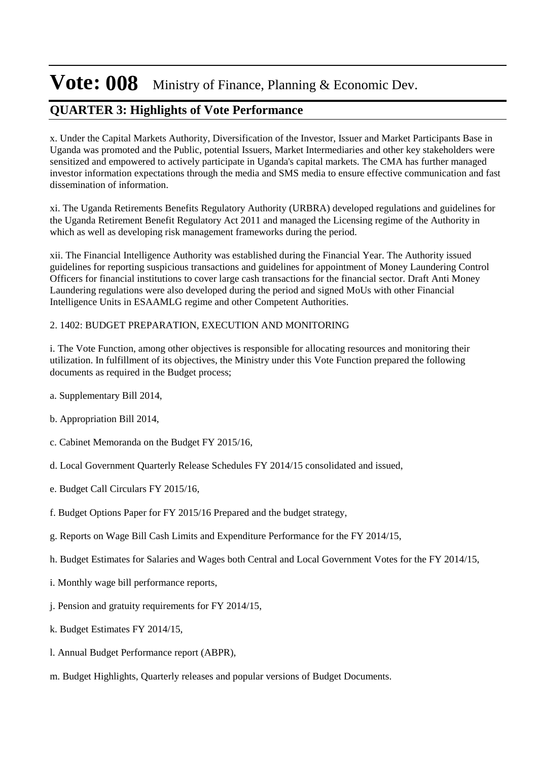### **QUARTER 3: Highlights of Vote Performance**

x. Under the Capital Markets Authority, Diversification of the Investor, Issuer and Market Participants Base in Uganda was promoted and the Public, potential Issuers, Market Intermediaries and other key stakeholders were sensitized and empowered to actively participate in Uganda's capital markets. The CMA has further managed investor information expectations through the media and SMS media to ensure effective communication and fast dissemination of information.

xi. The Uganda Retirements Benefits Regulatory Authority (URBRA) developed regulations and guidelines for the Uganda Retirement Benefit Regulatory Act 2011 and managed the Licensing regime of the Authority in which as well as developing risk management frameworks during the period.

xii. The Financial Intelligence Authority was established during the Financial Year. The Authority issued guidelines for reporting suspicious transactions and guidelines for appointment of Money Laundering Control Officers for financial institutions to cover large cash transactions for the financial sector. Draft Anti Money Laundering regulations were also developed during the period and signed MoUs with other Financial Intelligence Units in ESAAMLG regime and other Competent Authorities.

#### 2. 1402: BUDGET PREPARATION, EXECUTION AND MONITORING

i. The Vote Function, among other objectives is responsible for allocating resources and monitoring their utilization. In fulfillment of its objectives, the Ministry under this Vote Function prepared the following documents as required in the Budget process;

- a. Supplementary Bill 2014,
- b. Appropriation Bill 2014,
- c. Cabinet Memoranda on the Budget FY 2015/16,
- d. Local Government Quarterly Release Schedules FY 2014/15 consolidated and issued,
- e. Budget Call Circulars FY 2015/16,
- f. Budget Options Paper for FY 2015/16 Prepared and the budget strategy,
- g. Reports on Wage Bill Cash Limits and Expenditure Performance for the FY 2014/15,
- h. Budget Estimates for Salaries and Wages both Central and Local Government Votes for the FY 2014/15,
- i. Monthly wage bill performance reports,
- j. Pension and gratuity requirements for FY 2014/15,
- k. Budget Estimates FY 2014/15,
- l. Annual Budget Performance report (ABPR),
- m. Budget Highlights, Quarterly releases and popular versions of Budget Documents.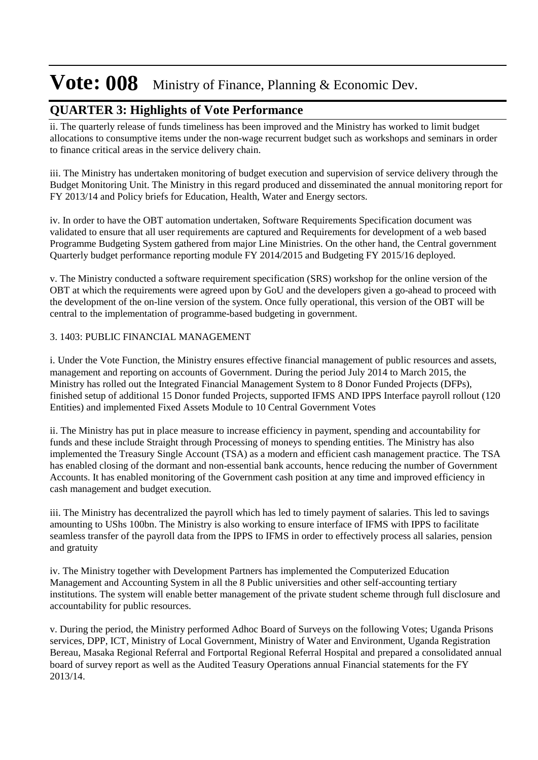#### **QUARTER 3: Highlights of Vote Performance**

ii. The quarterly release of funds timeliness has been improved and the Ministry has worked to limit budget allocations to consumptive items under the non-wage recurrent budget such as workshops and seminars in order to finance critical areas in the service delivery chain.

iii. The Ministry has undertaken monitoring of budget execution and supervision of service delivery through the Budget Monitoring Unit. The Ministry in this regard produced and disseminated the annual monitoring report for FY 2013/14 and Policy briefs for Education, Health, Water and Energy sectors.

iv. In order to have the OBT automation undertaken, Software Requirements Specification document was validated to ensure that all user requirements are captured and Requirements for development of a web based Programme Budgeting System gathered from major Line Ministries. On the other hand, the Central government Quarterly budget performance reporting module FY 2014/2015 and Budgeting FY 2015/16 deployed.

v. The Ministry conducted a software requirement specification (SRS) workshop for the online version of the OBT at which the requirements were agreed upon by GoU and the developers given a go-ahead to proceed with the development of the on-line version of the system. Once fully operational, this version of the OBT will be central to the implementation of programme-based budgeting in government.

#### 3. 1403: PUBLIC FINANCIAL MANAGEMENT

i. Under the Vote Function, the Ministry ensures effective financial management of public resources and assets, management and reporting on accounts of Government. During the period July 2014 to March 2015, the Ministry has rolled out the Integrated Financial Management System to 8 Donor Funded Projects (DFPs), finished setup of additional 15 Donor funded Projects, supported IFMS AND IPPS Interface payroll rollout (120 Entities) and implemented Fixed Assets Module to 10 Central Government Votes

ii. The Ministry has put in place measure to increase efficiency in payment, spending and accountability for funds and these include Straight through Processing of moneys to spending entities. The Ministry has also implemented the Treasury Single Account (TSA) as a modern and efficient cash management practice. The TSA has enabled closing of the dormant and non-essential bank accounts, hence reducing the number of Government Accounts. It has enabled monitoring of the Government cash position at any time and improved efficiency in cash management and budget execution.

iii. The Ministry has decentralized the payroll which has led to timely payment of salaries. This led to savings amounting to UShs 100bn. The Ministry is also working to ensure interface of IFMS with IPPS to facilitate seamless transfer of the payroll data from the IPPS to IFMS in order to effectively process all salaries, pension and gratuity

iv. The Ministry together with Development Partners has implemented the Computerized Education Management and Accounting System in all the 8 Public universities and other self-accounting tertiary institutions. The system will enable better management of the private student scheme through full disclosure and accountability for public resources.

v. During the period, the Ministry performed Adhoc Board of Surveys on the following Votes; Uganda Prisons services, DPP, ICT, Ministry of Local Government, Ministry of Water and Environment, Uganda Registration Bereau, Masaka Regional Referral and Fortportal Regional Referral Hospital and prepared a consolidated annual board of survey report as well as the Audited Teasury Operations annual Financial statements for the FY 2013/14.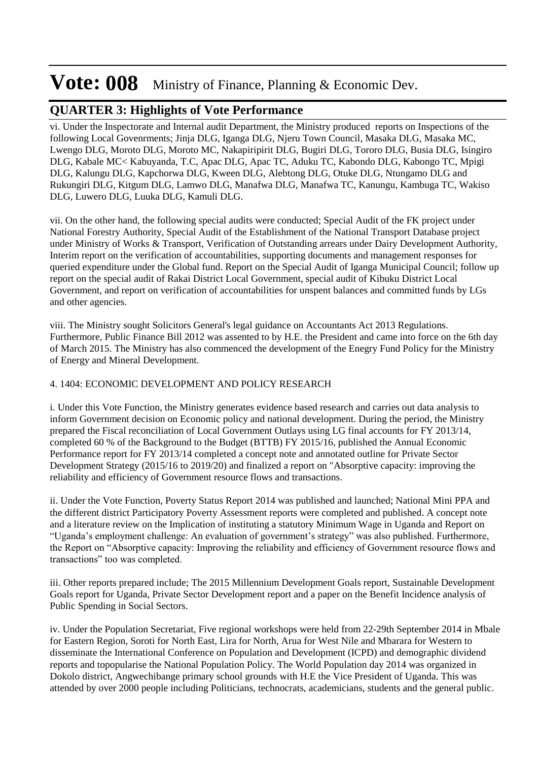#### **QUARTER 3: Highlights of Vote Performance**

vi. Under the Inspectorate and Internal audit Department, the Ministry produced reports on Inspections of the following Local Govenrments; Jinja DLG, Iganga DLG, Njeru Town Council, Masaka DLG, Masaka MC, Lwengo DLG, Moroto DLG, Moroto MC, Nakapiripirit DLG, Bugiri DLG, Tororo DLG, Busia DLG, Isingiro DLG, Kabale MC< Kabuyanda, T.C, Apac DLG, Apac TC, Aduku TC, Kabondo DLG, Kabongo TC, Mpigi DLG, Kalungu DLG, Kapchorwa DLG, Kween DLG, Alebtong DLG, Otuke DLG, Ntungamo DLG and Rukungiri DLG, Kitgum DLG, Lamwo DLG, Manafwa DLG, Manafwa TC, Kanungu, Kambuga TC, Wakiso DLG, Luwero DLG, Luuka DLG, Kamuli DLG.

vii. On the other hand, the following special audits were conducted; Special Audit of the FK project under National Forestry Authority, Special Audit of the Establishment of the National Transport Database project under Ministry of Works & Transport, Verification of Outstanding arrears under Dairy Development Authority, Interim report on the verification of accountabilities, supporting documents and management responses for queried expenditure under the Global fund. Report on the Special Audit of Iganga Municipal Council; follow up report on the special audit of Rakai District Local Government, special audit of Kibuku District Local Government, and report on verification of accountabilities for unspent balances and committed funds by LGs and other agencies.

viii. The Ministry sought Solicitors General's legal guidance on Accountants Act 2013 Regulations. Furthermore, Public Finance Bill 2012 was assented to by H.E. the President and came into force on the 6th day of March 2015. The Ministry has also commenced the development of the Enegry Fund Policy for the Ministry of Energy and Mineral Development.

#### 4. 1404: ECONOMIC DEVELOPMENT AND POLICY RESEARCH

i. Under this Vote Function, the Ministry generates evidence based research and carries out data analysis to inform Government decision on Economic policy and national development. During the period, the Ministry prepared the Fiscal reconciliation of Local Government Outlays using LG final accounts for FY 2013/14, completed 60 % of the Background to the Budget (BTTB) FY 2015/16, published the Annual Economic Performance report for FY 2013/14 completed a concept note and annotated outline for Private Sector Development Strategy (2015/16 to 2019/20) and finalized a report on "Absorptive capacity: improving the reliability and efficiency of Government resource flows and transactions.

ii. Under the Vote Function, Poverty Status Report 2014 was published and launched; National Mini PPA and the different district Participatory Poverty Assessment reports were completed and published. A concept note and a literature review on the Implication of instituting a statutory Minimum Wage in Uganda and Report on "Uganda's employment challenge: An evaluation of government's strategy" was also published. Furthermore, the Report on "Absorptive capacity: Improving the reliability and efficiency of Government resource flows and transactions" too was completed.

iii. Other reports prepared include; The 2015 Millennium Development Goals report, Sustainable Development Goals report for Uganda, Private Sector Development report and a paper on the Benefit Incidence analysis of Public Spending in Social Sectors.

iv. Under the Population Secretariat, Five regional workshops were held from 22-29th September 2014 in Mbale for Eastern Region, Soroti for North East, Lira for North, Arua for West Nile and Mbarara for Western to disseminate the International Conference on Population and Development (ICPD) and demographic dividend reports and topopularise the National Population Policy. The World Population day 2014 was organized in Dokolo district, Angwechibange primary school grounds with H.E the Vice President of Uganda. This was attended by over 2000 people including Politicians, technocrats, academicians, students and the general public.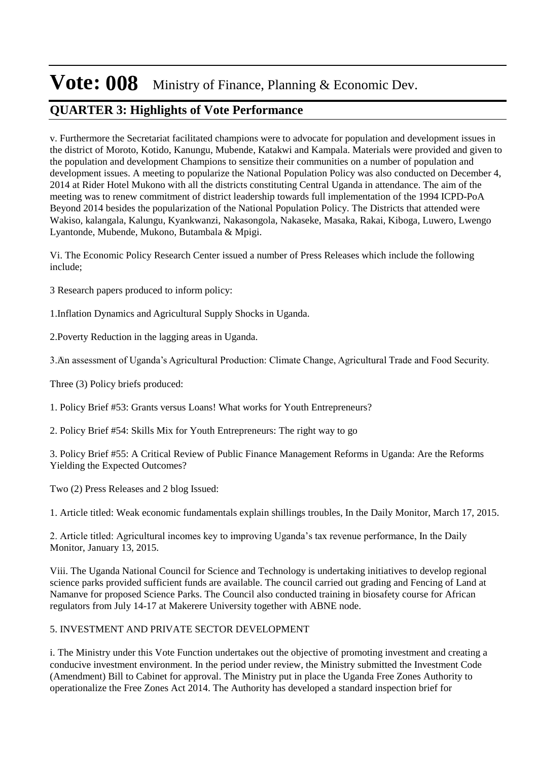### **QUARTER 3: Highlights of Vote Performance**

v. Furthermore the Secretariat facilitated champions were to advocate for population and development issues in the district of Moroto, Kotido, Kanungu, Mubende, Katakwi and Kampala. Materials were provided and given to the population and development Champions to sensitize their communities on a number of population and development issues. A meeting to popularize the National Population Policy was also conducted on December 4, 2014 at Rider Hotel Mukono with all the districts constituting Central Uganda in attendance. The aim of the meeting was to renew commitment of district leadership towards full implementation of the 1994 ICPD-PoA Beyond 2014 besides the popularization of the National Population Policy. The Districts that attended were Wakiso, kalangala, Kalungu, Kyankwanzi, Nakasongola, Nakaseke, Masaka, Rakai, Kiboga, Luwero, Lwengo Lyantonde, Mubende, Mukono, Butambala & Mpigi.

Vi. The Economic Policy Research Center issued a number of Press Releases which include the following include;

3 Research papers produced to inform policy:

1. Inflation Dynamics and Agricultural Supply Shocks in Uganda.

2. Poverty Reduction in the lagging areas in Uganda.

3. An assessment of Uganda's Agricultural Production: Climate Change, Agricultural Trade and Food Security.

Three (3) Policy briefs produced:

1. Policy Brief #53: Grants versus Loans! What works for Youth Entrepreneurs?

2. Policy Brief #54: Skills Mix for Youth Entrepreneurs: The right way to go

3. Policy Brief #55: A Critical Review of Public Finance Management Reforms in Uganda: Are the Reforms Yielding the Expected Outcomes?

Two (2) Press Releases and 2 blog Issued:

1. Article titled: Weak economic fundamentals explain shillings troubles, In the Daily Monitor, March 17, 2015.

2. Article titled: Agricultural incomes key to improving Uganda's tax revenue performance, In the Daily Monitor, January 13, 2015.

Viii. The Uganda National Council for Science and Technology is undertaking initiatives to develop regional science parks provided sufficient funds are available. The council carried out grading and Fencing of Land at Namanve for proposed Science Parks. The Council also conducted training in biosafety course for African regulators from July 14-17 at Makerere University together with ABNE node.

#### 5. INVESTMENT AND PRIVATE SECTOR DEVELOPMENT

i. The Ministry under this Vote Function undertakes out the objective of promoting investment and creating a conducive investment environment. In the period under review, the Ministry submitted the Investment Code (Amendment) Bill to Cabinet for approval. The Ministry put in place the Uganda Free Zones Authority to operationalize the Free Zones Act 2014. The Authority has developed a standard inspection brief for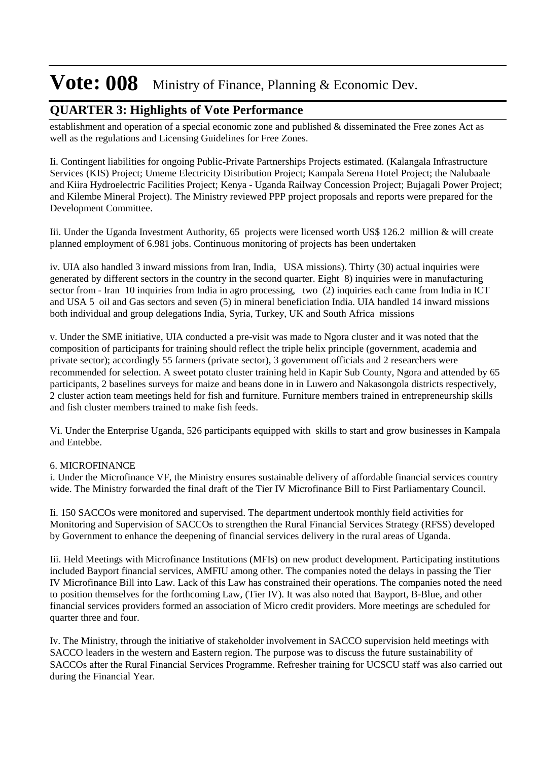#### **QUARTER 3: Highlights of Vote Performance**

establishment and operation of a special economic zone and published & disseminated the Free zones Act as well as the regulations and Licensing Guidelines for Free Zones.

Ii. Contingent liabilities for ongoing Public-Private Partnerships Projects estimated. (Kalangala Infrastructure Services (KIS) Project; Umeme Electricity Distribution Project; Kampala Serena Hotel Project; the Nalubaale and Kiira Hydroelectric Facilities Project; Kenya - Uganda Railway Concession Project; Bujagali Power Project; and Kilembe Mineral Project). The Ministry reviewed PPP project proposals and reports were prepared for the Development Committee.

Iii. Under the Uganda Investment Authority, 65 projects were licensed worth US\$ 126.2 million & will create planned employment of 6.981 jobs. Continuous monitoring of projects has been undertaken

iv. UIA also handled 3 inward missions from Iran, India, USA missions). Thirty (30) actual inquiries were generated by different sectors in the country in the second quarter. Eight 8) inquiries were in manufacturing sector from - Iran 10 inquiries from India in agro processing, two (2) inquiries each came from India in ICT and USA 5 oil and Gas sectors and seven (5) in mineral beneficiation India. UIA handled 14 inward missions both individual and group delegations India, Syria, Turkey, UK and South Africa missions

v. Under the SME initiative, UIA conducted a pre-visit was made to Ngora cluster and it was noted that the composition of participants for training should reflect the triple helix principle (government, academia and private sector); accordingly 55 farmers (private sector), 3 government officials and 2 researchers were recommended for selection. A sweet potato cluster training held in Kapir Sub County, Ngora and attended by 65 participants, 2 baselines surveys for maize and beans done in in Luwero and Nakasongola districts respectively, 2 cluster action team meetings held for fish and furniture. Furniture members trained in entrepreneurship skills and fish cluster members trained to make fish feeds.

Vi. Under the Enterprise Uganda, 526 participants equipped with skills to start and grow businesses in Kampala and Entebbe.

#### 6. MICROFINANCE

i. Under the Microfinance VF, the Ministry ensures sustainable delivery of affordable financial services country wide. The Ministry forwarded the final draft of the Tier IV Microfinance Bill to First Parliamentary Council.

Ii. 150 SACCOs were monitored and supervised. The department undertook monthly field activities for Monitoring and Supervision of SACCOs to strengthen the Rural Financial Services Strategy (RFSS) developed by Government to enhance the deepening of financial services delivery in the rural areas of Uganda.

Iii. Held Meetings with Microfinance Institutions (MFIs) on new product development. Participating institutions included Bayport financial services, AMFIU among other. The companies noted the delays in passing the Tier IV Microfinance Bill into Law. Lack of this Law has constrained their operations. The companies noted the need to position themselves for the forthcoming Law, (Tier IV). It was also noted that Bayport, B-Blue, and other financial services providers formed an association of Micro credit providers. More meetings are scheduled for quarter three and four.

Iv. The Ministry, through the initiative of stakeholder involvement in SACCO supervision held meetings with SACCO leaders in the western and Eastern region. The purpose was to discuss the future sustainability of SACCOs after the Rural Financial Services Programme. Refresher training for UCSCU staff was also carried out during the Financial Year.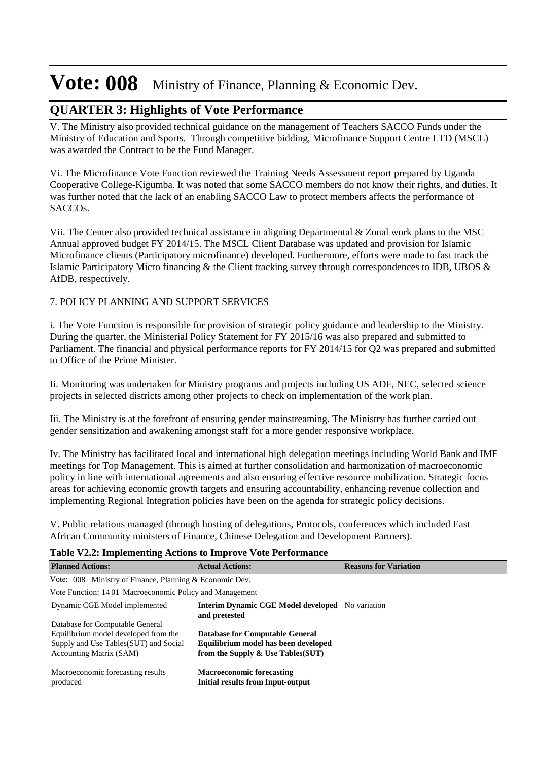#### **QUARTER 3: Highlights of Vote Performance**

V. The Ministry also provided technical guidance on the management of Teachers SACCO Funds under the Ministry of Education and Sports. Through competitive bidding, Microfinance Support Centre LTD (MSCL) was awarded the Contract to be the Fund Manager.

Vi. The Microfinance Vote Function reviewed the Training Needs Assessment report prepared by Uganda Cooperative College-Kigumba. It was noted that some SACCO members do not know their rights, and duties. It was further noted that the lack of an enabling SACCO Law to protect members affects the performance of SACCOs.

Vii. The Center also provided technical assistance in aligning Departmental & Zonal work plans to the MSC Annual approved budget FY 2014/15. The MSCL Client Database was updated and provision for Islamic Microfinance clients (Participatory microfinance) developed. Furthermore, efforts were made to fast track the Islamic Participatory Micro financing & the Client tracking survey through correspondences to IDB, UBOS & AfDB, respectively.

#### 7. POLICY PLANNING AND SUPPORT SERVICES

i. The Vote Function is responsible for provision of strategic policy guidance and leadership to the Ministry. During the quarter, the Ministerial Policy Statement for FY 2015/16 was also prepared and submitted to Parliament. The financial and physical performance reports for FY 2014/15 for Q2 was prepared and submitted to Office of the Prime Minister.

Ii. Monitoring was undertaken for Ministry programs and projects including US ADF, NEC, selected science projects in selected districts among other projects to check on implementation of the work plan.

Iii. The Ministry is at the forefront of ensuring gender mainstreaming. The Ministry has further carried out gender sensitization and awakening amongst staff for a more gender responsive workplace.

Iv. The Ministry has facilitated local and international high delegation meetings including World Bank and IMF meetings for Top Management. This is aimed at further consolidation and harmonization of macroeconomic policy in line with international agreements and also ensuring effective resource mobilization. Strategic focus areas for achieving economic growth targets and ensuring accountability, enhancing revenue collection and implementing Regional Integration policies have been on the agenda for strategic policy decisions.

V. Public relations managed (through hosting of delegations, Protocols, conferences which included East African Community ministers of Finance, Chinese Delegation and Development Partners).

#### **Table V2.2: Implementing Actions to Improve Vote Performance**

| <b>Planned Actions:</b>                                 | <b>Actual Actions:</b>                                                       | <b>Reasons for Variation</b> |
|---------------------------------------------------------|------------------------------------------------------------------------------|------------------------------|
| Vote: 008 Ministry of Finance, Planning & Economic Dev. |                                                                              |                              |
| Vote Function: 1401 Macroeconomic Policy and Management |                                                                              |                              |
| Dynamic CGE Model implemented                           | <b>Interim Dynamic CGE Model developed</b> No variation<br>and pretested     |                              |
| Database for Computable General                         |                                                                              |                              |
| Equilibrium model developed from the                    | <b>Database for Computable General</b>                                       |                              |
| Supply and Use Tables (SUT) and Social                  | Equilibrium model has been developed                                         |                              |
| <b>Accounting Matrix (SAM)</b>                          | from the Supply $\&$ Use Tables(SUT)                                         |                              |
| Macroeconomic forecasting results<br>produced           | <b>Macroeconomic forecasting</b><br><b>Initial results from Input-output</b> |                              |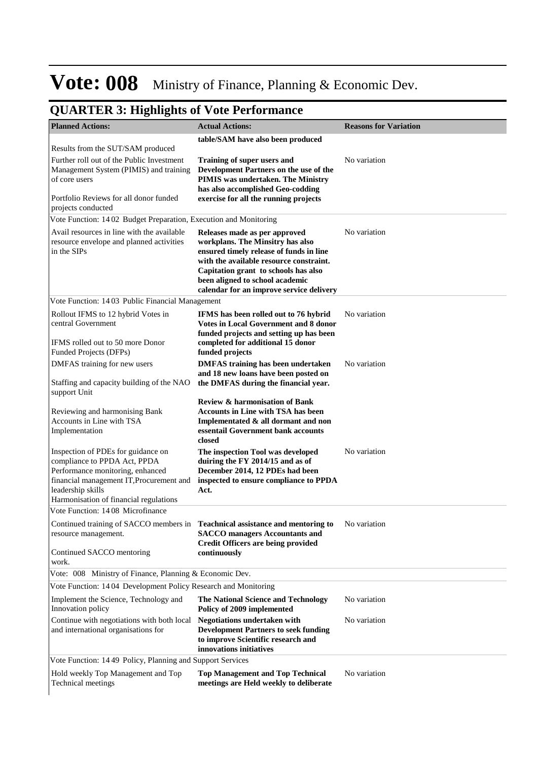| <b>Planned Actions:</b>                                                                                                                                                 | <b>Actual Actions:</b>                                                                                                                                                                                                                                                         | <b>Reasons for Variation</b> |
|-------------------------------------------------------------------------------------------------------------------------------------------------------------------------|--------------------------------------------------------------------------------------------------------------------------------------------------------------------------------------------------------------------------------------------------------------------------------|------------------------------|
|                                                                                                                                                                         | table/SAM have also been produced                                                                                                                                                                                                                                              |                              |
| Results from the SUT/SAM produced                                                                                                                                       |                                                                                                                                                                                                                                                                                |                              |
| Further roll out of the Public Investment<br>Management System (PIMIS) and training<br>of core users                                                                    | Training of super users and<br>Development Partners on the use of the<br>PIMIS was undertaken. The Ministry<br>has also accomplished Geo-codding                                                                                                                               | No variation                 |
| Portfolio Reviews for all donor funded<br>projects conducted                                                                                                            | exercise for all the running projects                                                                                                                                                                                                                                          |                              |
| Vote Function: 1402 Budget Preparation, Execution and Monitoring                                                                                                        |                                                                                                                                                                                                                                                                                |                              |
| Avail resources in line with the available<br>resource envelope and planned activities<br>in the SIPs                                                                   | Releases made as per approved<br>workplans. The Minsitry has also<br>ensured timely release of funds in line<br>with the available resource constraint.<br>Capitation grant to schools has also<br>been aligned to school academic<br>calendar for an improve service delivery | No variation                 |
| Vote Function: 1403 Public Financial Management                                                                                                                         |                                                                                                                                                                                                                                                                                |                              |
| Rollout IFMS to 12 hybrid Votes in<br>central Government<br>IFMS rolled out to 50 more Donor<br>Funded Projects (DFPs)                                                  | IFMS has been rolled out to 76 hybrid<br><b>Votes in Local Government and 8 donor</b><br>funded projects and setting up has been<br>completed for additional 15 donor<br>funded projects                                                                                       | No variation                 |
| DMFAS training for new users                                                                                                                                            | <b>DMFAS</b> training has been undertaken                                                                                                                                                                                                                                      | No variation                 |
| Staffing and capacity building of the NAO<br>support Unit                                                                                                               | and 18 new loans have been posted on<br>the DMFAS during the financial year.                                                                                                                                                                                                   |                              |
| Reviewing and harmonising Bank<br>Accounts in Line with TSA<br>Implementation                                                                                           | <b>Review &amp; harmonisation of Bank</b><br><b>Accounts in Line with TSA has been</b><br>Implementated & all dormant and non<br>essentail Government bank accounts<br>closed                                                                                                  |                              |
| Inspection of PDEs for guidance on<br>compliance to PPDA Act, PPDA<br>Performance monitoring, enhanced<br>financial management IT, Procurement and<br>leadership skills | The inspection Tool was developed<br>duiring the FY 2014/15 and as of<br>December 2014, 12 PDEs had been<br>inspected to ensure compliance to PPDA<br>Act.                                                                                                                     | No variation                 |
| Harmonisation of financial regulations<br>Vote Function: 1408 Microfinance                                                                                              |                                                                                                                                                                                                                                                                                |                              |
| Continued training of SACCO members in Teachnical assistance and mentoring to<br>resource management.                                                                   | <b>SACCO</b> managers Accountants and<br><b>Credit Officers are being provided</b>                                                                                                                                                                                             | No variation                 |
| Continued SACCO mentoring<br>work.                                                                                                                                      | continuously                                                                                                                                                                                                                                                                   |                              |
| Vote: 008 Ministry of Finance, Planning & Economic Dev.                                                                                                                 |                                                                                                                                                                                                                                                                                |                              |
| Vote Function: 1404 Development Policy Research and Monitoring                                                                                                          |                                                                                                                                                                                                                                                                                |                              |
| Implement the Science, Technology and<br>Innovation policy                                                                                                              | The National Science and Technology<br>Policy of 2009 implemented                                                                                                                                                                                                              | No variation                 |
| Continue with negotiations with both local<br>and international organisations for                                                                                       | <b>Negotiations undertaken with</b><br><b>Development Partners to seek funding</b><br>to improve Scientific research and<br>innovations initiatives                                                                                                                            | No variation                 |
| Vote Function: 1449 Policy, Planning and Support Services                                                                                                               |                                                                                                                                                                                                                                                                                |                              |
| Hold weekly Top Management and Top<br>Technical meetings                                                                                                                | <b>Top Management and Top Technical</b><br>meetings are Held weekly to deliberate                                                                                                                                                                                              | No variation                 |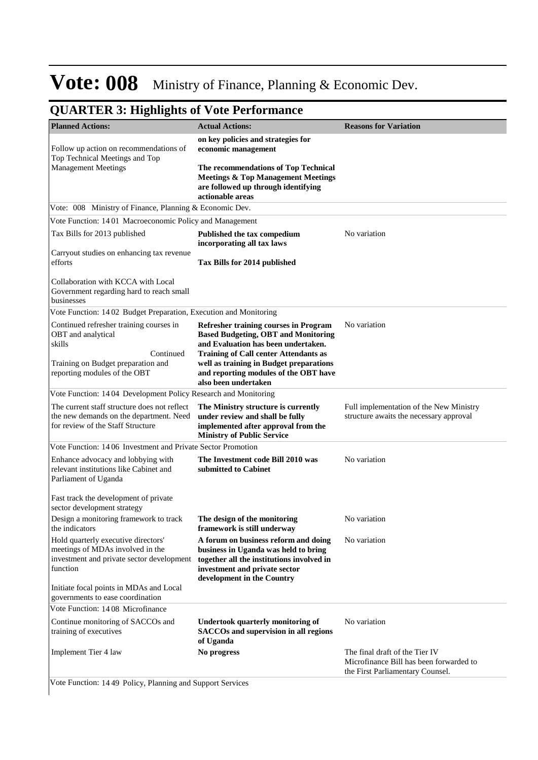### **QUARTER 3: Highlights of Vote Performance**

| <b>Planned Actions:</b>                                                                                                          | <b>Actual Actions:</b>                                                                                                                                                                   | <b>Reasons for Variation</b>                                                                                  |
|----------------------------------------------------------------------------------------------------------------------------------|------------------------------------------------------------------------------------------------------------------------------------------------------------------------------------------|---------------------------------------------------------------------------------------------------------------|
|                                                                                                                                  | on key policies and strategies for                                                                                                                                                       |                                                                                                               |
| Follow up action on recommendations of<br>Top Technical Meetings and Top                                                         | economic management                                                                                                                                                                      |                                                                                                               |
| <b>Management Meetings</b>                                                                                                       | The recommendations of Top Technical<br><b>Meetings &amp; Top Management Meetings</b><br>are followed up through identifying<br>actionable areas                                         |                                                                                                               |
| Vote: 008 Ministry of Finance, Planning & Economic Dev.                                                                          |                                                                                                                                                                                          |                                                                                                               |
| Vote Function: 1401 Macroeconomic Policy and Management                                                                          |                                                                                                                                                                                          |                                                                                                               |
| Tax Bills for 2013 published                                                                                                     | Published the tax compedium<br>incorporating all tax laws                                                                                                                                | No variation                                                                                                  |
| Carryout studies on enhancing tax revenue<br>efforts                                                                             | Tax Bills for 2014 published                                                                                                                                                             |                                                                                                               |
| Collaboration with KCCA with Local<br>Government regarding hard to reach small<br>businesses                                     |                                                                                                                                                                                          |                                                                                                               |
| Vote Function: 1402 Budget Preparation, Execution and Monitoring                                                                 |                                                                                                                                                                                          |                                                                                                               |
| Continued refresher training courses in<br>OBT and analytical<br>skills<br>Continued                                             | Refresher training courses in Program<br><b>Based Budgeting, OBT and Monitoring</b><br>and Evaluation has been undertaken.<br><b>Training of Call center Attendants as</b>               | No variation                                                                                                  |
| Training on Budget preparation and<br>reporting modules of the OBT                                                               | well as training in Budget preparations<br>and reporting modules of the OBT have<br>also been undertaken                                                                                 |                                                                                                               |
| Vote Function: 1404 Development Policy Research and Monitoring                                                                   |                                                                                                                                                                                          |                                                                                                               |
| The current staff structure does not reflect<br>the new demands on the department. Need<br>for review of the Staff Structure     | The Ministry structure is currently<br>under review and shall be fully<br>implemented after approval from the<br><b>Ministry of Public Service</b>                                       | Full implementation of the New Ministry<br>structure awaits the necessary approval                            |
| Vote Function: 1406 Investment and Private Sector Promotion                                                                      |                                                                                                                                                                                          |                                                                                                               |
| Enhance advocacy and lobbying with<br>relevant institutions like Cabinet and<br>Parliament of Uganda                             | The Investment code Bill 2010 was<br>submitted to Cabinet                                                                                                                                | No variation                                                                                                  |
| Fast track the development of private<br>sector development strategy                                                             |                                                                                                                                                                                          |                                                                                                               |
| Design a monitoring framework to track<br>the indicators                                                                         | The design of the monitoring<br>framework is still underway                                                                                                                              | No variation                                                                                                  |
| Hold quarterly executive directors'<br>meetings of MDAs involved in the<br>investment and private sector development<br>function | A forum on business reform and doing<br>business in Uganda was held to bring<br>together all the institutions involved in<br>investment and private sector<br>development in the Country | No variation                                                                                                  |
| Initiate focal points in MDAs and Local<br>governments to ease coordination                                                      |                                                                                                                                                                                          |                                                                                                               |
| Vote Function: 1408 Microfinance                                                                                                 |                                                                                                                                                                                          |                                                                                                               |
| Continue monitoring of SACCOs and<br>training of executives                                                                      | Undertook quarterly monitoring of<br>SACCOs and supervision in all regions<br>of Uganda                                                                                                  | No variation                                                                                                  |
| Implement Tier 4 law<br>Veta Eugenian: 14.40 Believ, Blenning and Support Service                                                | No progress                                                                                                                                                                              | The final draft of the Tier IV<br>Microfinance Bill has been forwarded to<br>the First Parliamentary Counsel. |

Vote Function: 14 49 Policy, Planning and Support Services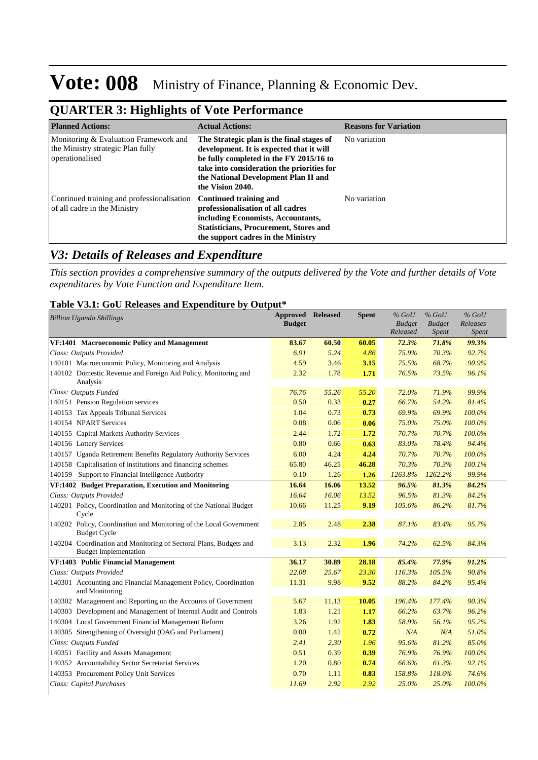| <b>QUARTER 3: Highlights of Vote Performance</b> |  |
|--------------------------------------------------|--|
|--------------------------------------------------|--|

| <b>Planned Actions:</b>                                                                       | <b>Actual Actions:</b>                                                                                                                                                                                                                     | <b>Reasons for Variation</b> |
|-----------------------------------------------------------------------------------------------|--------------------------------------------------------------------------------------------------------------------------------------------------------------------------------------------------------------------------------------------|------------------------------|
| Monitoring & Evaluation Framework and<br>the Ministry strategic Plan fully<br>operationalised | The Strategic plan is the final stages of<br>development. It is expected that it will<br>be fully completed in the FY 2015/16 to<br>take into consideration the priorities for<br>the National Development Plan II and<br>the Vision 2040. | No variation                 |
| Continued training and professionalisation<br>of all cadre in the Ministry                    | Continued training and<br>professionalisation of all cadres<br>including Economists, Accountants,<br><b>Statisticians, Procurement, Stores and</b><br>the support cadres in the Ministry                                                   | No variation                 |

### *V3: Details of Releases and Expenditure*

*This section provides a comprehensive summary of the outputs delivered by the Vote and further details of Vote expenditures by Vote Function and Expenditure Item.*

#### **Table V3.1: GoU Releases and Expenditure by Output\***

| <b>Billion Uganda Shillings</b>                                    | <b>Approved</b> | <b>Released</b> | <b>Spent</b> | $%$ GoU       | $%$ GoU       | $%$ GoU      |
|--------------------------------------------------------------------|-----------------|-----------------|--------------|---------------|---------------|--------------|
|                                                                    | <b>Budget</b>   |                 |              | <b>Budget</b> | <b>Budget</b> | Releases     |
|                                                                    |                 |                 |              | Released      | Spent         | <b>Spent</b> |
| VF:1401 Macroeconomic Policy and Management                        | 83.67           | 60.50           | 60.05        | 72.3%         | 71.8%         | 99.3%        |
| Class: Outputs Provided                                            | 6.91            | 5.24            | 4.86         | 75.9%         | 70.3%         | 92.7%        |
| 140101 Macroeconomic Policy, Monitoring and Analysis               | 4.59            | 3.46            | 3.15         | 75.5%         | 68.7%         | 90.9%        |
| 140102 Domestic Revenue and Foreign Aid Policy, Monitoring and     | 2.32            | 1.78            | 1.71         | 76.5%         | 73.5%         | 96.1%        |
| Analysis                                                           |                 |                 |              |               |               |              |
| Class: Outputs Funded                                              | 76.76           | 55.26           | 55.20        | 72.0%         | 71.9%         | 99.9%        |
| 140151 Pension Regulation services                                 | 0.50            | 0.33            | 0.27         | 66.7%         | 54.2%         | 81.4%        |
| 140153 Tax Appeals Tribunal Services                               | 1.04            | 0.73            | 0.73         | 69.9%         | 69.9%         | 100.0%       |
| 140154 NPART Services                                              | 0.08            | 0.06            | 0.06         | 75.0%         | 75.0%         | 100.0%       |
| 140155 Capital Markets Authority Services                          | 2.44            | 1.72            | 1.72         | 70.7%         | 70.7%         | 100.0%       |
| 140156 Lottery Services                                            | 0.80            | 0.66            | 0.63         | 83.0%         | 78.4%         | 94.4%        |
| 140157 Uganda Retirement Benefits Regulatory Authority Services    | 6.00            | 4.24            | 4.24         | 70.7%         | 70.7%         | 100.0%       |
| 140158 Capitalisation of institutions and financing schemes        | 65.80           | 46.25           | 46.28        | 70.3%         | 70.3%         | 100.1%       |
| 140159 Support to Financial Intelligence Authority                 | 0.10            | 1.26            | 1.26         | 1263.8%       | 1262.2%       | 99.9%        |
| VF:1402 Budget Preparation, Execution and Monitoring               | 16.64           | 16.06           | 13.52        | 96.5%         | 81.3%         | 84.2%        |
| Class: Outputs Provided                                            | 16.64           | 16.06           | 13.52        | 96.5%         | 81.3%         | 84.2%        |
| 140201 Policy, Coordination and Monitoring of the National Budget  | 10.66           | 11.25           | 9.19         | 105.6%        | 86.2%         | 81.7%        |
| Cycle                                                              |                 |                 |              |               |               |              |
| 140202 Policy, Coordination and Monitoring of the Local Government | 2.85            | 2.48            | 2.38         | 87.1%         | 83.4%         | 95.7%        |
| <b>Budget Cycle</b>                                                |                 |                 |              |               |               |              |
| 140204 Coordination and Monitoring of Sectoral Plans, Budgets and  | 3.13            | 2.32            | 1.96         | 74.2%         | 62.5%         | 84.3%        |
| <b>Budget Implementation</b>                                       |                 |                 |              |               |               |              |
| VF:1403 Public Financial Management                                | 36.17           | 30.89           | 28.18        | 85.4%         | 77.9%         | 91.2%        |
| Class: Outputs Provided                                            | 22.08           | 25.67           | 23.30        | 116.3%        | 105.5%        | 90.8%        |
| 140301 Accounting and Financial Management Policy, Coordination    | 11.31           | 9.98            | 9.52         | 88.2%         | 84.2%         | 95.4%        |
| and Monitoring                                                     |                 |                 |              |               |               |              |
| 140302 Management and Reporting on the Accounts of Government      | 5.67            | 11.13           | 10.05        | 196.4%        | 177.4%        | 90.3%        |
| 140303 Development and Management of Internal Audit and Controls   | 1.83            | 1.21            | 1.17         | 66.2%         | 63.7%         | 96.2%        |
| 140304 Local Government Financial Management Reform                | 3.26            | 1.92            | 1.83         | 58.9%         | 56.1%         | 95.2%        |
| 140305 Strengthening of Oversight (OAG and Parliament)             | 0.00            | 1.42            | 0.72         | N/A           | N/A           | 51.0%        |
| Class: Outputs Funded                                              | 2.41            | 2.30            | 1.96         | 95.6%         | 81.2%         | 85.0%        |
| 140351 Facility and Assets Management                              | 0.51            | 0.39            | 0.39         | 76.9%         | 76.9%         | 100.0%       |
| 140352 Accountability Sector Secretariat Services                  | 1.20            | 0.80            | 0.74         | 66.6%         | 61.3%         | 92.1%        |
| 140353 Procurement Policy Unit Services                            | 0.70            | 1.11            | 0.83         | 158.8%        | 118.6%        | 74.6%        |
| Class: Capital Purchases                                           | 11.69           | 2.92            | 2.92         | 25.0%         | 25.0%         | 100.0%       |
|                                                                    |                 |                 |              |               |               |              |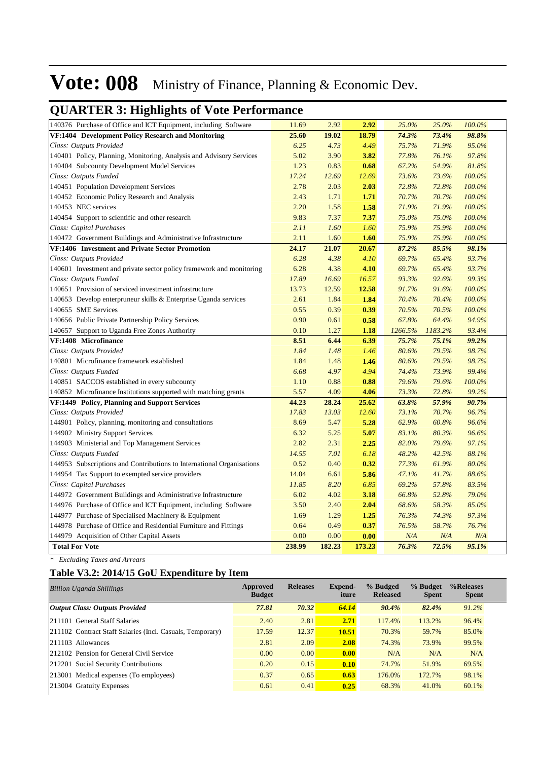### **QUARTER 3: Highlights of Vote Performance**

| 140376 Purchase of Office and ICT Equipment, including Software       | 11.69  | 2.92   | 2.92   | 25.0%   | 25.0%   | 100.0% |
|-----------------------------------------------------------------------|--------|--------|--------|---------|---------|--------|
| VF:1404 Development Policy Research and Monitoring                    | 25.60  | 19.02  | 18.79  | 74.3%   | 73.4%   | 98.8%  |
| Class: Outputs Provided                                               | 6.25   | 4.73   | 4.49   | 75.7%   | 71.9%   | 95.0%  |
| 140401 Policy, Planning, Monitoring, Analysis and Advisory Services   | 5.02   | 3.90   | 3.82   | 77.8%   | 76.1%   | 97.8%  |
| 140404 Subcounty Development Model Services                           | 1.23   | 0.83   | 0.68   | 67.2%   | 54.9%   | 81.8%  |
| Class: Outputs Funded                                                 | 17.24  | 12.69  | 12.69  | 73.6%   | 73.6%   | 100.0% |
| 140451 Population Development Services                                | 2.78   | 2.03   | 2.03   | 72.8%   | 72.8%   | 100.0% |
| 140452 Economic Policy Research and Analysis                          | 2.43   | 1.71   | 1.71   | 70.7%   | 70.7%   | 100.0% |
| 140453 NEC services                                                   | 2.20   | 1.58   | 1.58   | 71.9%   | 71.9%   | 100.0% |
| 140454 Support to scientific and other research                       | 9.83   | 7.37   | 7.37   | 75.0%   | 75.0%   | 100.0% |
| Class: Capital Purchases                                              | 2.11   | 1.60   | 1.60   | 75.9%   | 75.9%   | 100.0% |
| 140472 Government Buildings and Administrative Infrastructure         | 2.11   | 1.60   | 1.60   | 75.9%   | 75.9%   | 100.0% |
| VF:1406 Investment and Private Sector Promotion                       | 24.17  | 21.07  | 20.67  | 87.2%   | 85.5%   | 98.1%  |
| Class: Outputs Provided                                               | 6.28   | 4.38   | 4.10   | 69.7%   | 65.4%   | 93.7%  |
| 140601 Investment and private sector policy framework and monitoring  | 6.28   | 4.38   | 4.10   | 69.7%   | 65.4%   | 93.7%  |
| Class: Outputs Funded                                                 | 17.89  | 16.69  | 16.57  | 93.3%   | 92.6%   | 99.3%  |
| 140651 Provision of serviced investment infrastructure                | 13.73  | 12.59  | 12.58  | 91.7%   | 91.6%   | 100.0% |
| 140653 Develop enterpruneur skills & Enterprise Uganda services       | 2.61   | 1.84   | 1.84   | 70.4%   | 70.4%   | 100.0% |
| 140655 SME Services                                                   | 0.55   | 0.39   | 0.39   | 70.5%   | 70.5%   | 100.0% |
| 140656 Public Private Partnership Policy Services                     | 0.90   | 0.61   | 0.58   | 67.8%   | 64.4%   | 94.9%  |
| 140657 Support to Uganda Free Zones Authority                         | 0.10   | 1.27   | 1.18   | 1266.5% | 1183.2% | 93.4%  |
| VF:1408 Microfinance                                                  | 8.51   | 6.44   | 6.39   | 75.7%   | 75.1%   | 99.2%  |
| Class: Outputs Provided                                               | 1.84   | 1.48   | 1.46   | 80.6%   | 79.5%   | 98.7%  |
| 140801 Microfinance framework established                             | 1.84   | 1.48   | 1.46   | 80.6%   | 79.5%   | 98.7%  |
| Class: Outputs Funded                                                 | 6.68   | 4.97   | 4.94   | 74.4%   | 73.9%   | 99.4%  |
| 140851 SACCOS established in every subcounty                          | 1.10   | 0.88   | 0.88   | 79.6%   | 79.6%   | 100.0% |
| 140852 Microfinance Institutions supported with matching grants       | 5.57   | 4.09   | 4.06   | 73.3%   | 72.8%   | 99.2%  |
| VF:1449 Policy, Planning and Support Services                         | 44.23  | 28.24  | 25.62  | 63.8%   | 57.9%   | 90.7%  |
| Class: Outputs Provided                                               | 17.83  | 13.03  | 12.60  | 73.1%   | 70.7%   | 96.7%  |
| 144901 Policy, planning, monitoring and consultations                 | 8.69   | 5.47   | 5.28   | 62.9%   | 60.8%   | 96.6%  |
| 144902 Ministry Support Services                                      | 6.32   | 5.25   | 5.07   | 83.1%   | 80.3%   | 96.6%  |
| 144903 Ministerial and Top Management Services                        | 2.82   | 2.31   | 2.25   | 82.0%   | 79.6%   | 97.1%  |
| Class: Outputs Funded                                                 | 14.55  | 7.01   | 6.18   | 48.2%   | 42.5%   | 88.1%  |
| 144953 Subscriptions and Contributions to International Organisations | 0.52   | 0.40   | 0.32   | 77.3%   | 61.9%   | 80.0%  |
| 144954 Tax Support to exempted service providers                      | 14.04  | 6.61   | 5.86   | 47.1%   | 41.7%   | 88.6%  |
| Class: Capital Purchases                                              | 11.85  | 8.20   | 6.85   | 69.2%   | 57.8%   | 83.5%  |
| 144972 Government Buildings and Administrative Infrastructure         | 6.02   | 4.02   | 3.18   | 66.8%   | 52.8%   | 79.0%  |
| 144976 Purchase of Office and ICT Equipment, including Software       | 3.50   | 2.40   | 2.04   | 68.6%   | 58.3%   | 85.0%  |
| 144977 Purchase of Specialised Machinery & Equipment                  | 1.69   | 1.29   | 1.25   | 76.3%   | 74.3%   | 97.3%  |
| 144978 Purchase of Office and Residential Furniture and Fittings      | 0.64   | 0.49   | 0.37   | 76.5%   | 58.7%   | 76.7%  |
| 144979 Acquisition of Other Capital Assets                            | 0.00   | 0.00   | 0.00   | N/A     | N/A     | N/A    |
| <b>Total For Vote</b>                                                 | 238.99 | 182.23 | 173.23 | 76.3%   | 72.5%   | 95.1%  |

*\* Excluding Taxes and Arrears*

#### **Table V3.2: 2014/15 GoU Expenditure by Item**

| <b>Billion Uganda Shillings</b>                           | Approved<br><b>Budget</b> | <b>Releases</b> | <b>Expend-</b><br>iture | % Budged<br><b>Released</b> | % Budget<br><b>Spent</b> | %Releases<br><b>Spent</b> |
|-----------------------------------------------------------|---------------------------|-----------------|-------------------------|-----------------------------|--------------------------|---------------------------|
| <b>Output Class: Outputs Provided</b>                     | 77.81                     | 70.32           | 64.14                   | 90.4%                       | 82.4%                    | $91.2\%$                  |
| 211101 General Staff Salaries                             | 2.40                      | 2.81            | 2.71                    | 117.4%                      | 113.2%                   | 96.4%                     |
| 211102 Contract Staff Salaries (Incl. Casuals, Temporary) | 17.59                     | 12.37           | 10.51                   | 70.3%                       | 59.7%                    | 85.0%                     |
| 211103 Allowances                                         | 2.81                      | 2.09            | 2.08                    | 74.3%                       | 73.9%                    | 99.5%                     |
| 212102 Pension for General Civil Service                  | 0.00                      | 0.00            | 0.00                    | N/A                         | N/A                      | N/A                       |
| 212201 Social Security Contributions                      | 0.20                      | 0.15            | 0.10                    | 74.7%                       | 51.9%                    | 69.5%                     |
| [213001 Medical expenses (To employees)                   | 0.37                      | 0.65            | 0.63                    | 176.0%                      | 172.7%                   | 98.1%                     |
| 213004 Gratuity Expenses                                  | 0.61                      | 0.41            | 0.25                    | 68.3%                       | 41.0%                    | 60.1%                     |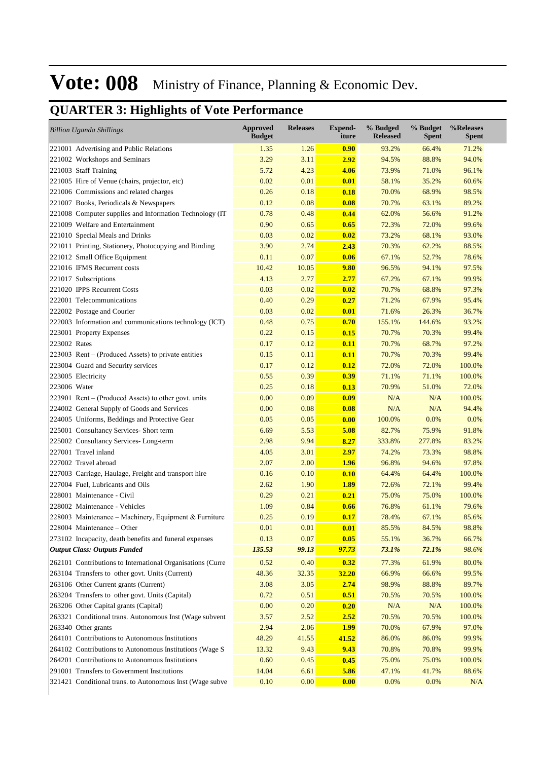|              | <b>Billion Uganda Shillings</b>                            | <b>Approved</b><br><b>Budget</b> | <b>Releases</b> | <b>Expend-</b><br>iture | % Budged<br><b>Released</b> | % Budget<br><b>Spent</b> | %Releases<br>Spent |
|--------------|------------------------------------------------------------|----------------------------------|-----------------|-------------------------|-----------------------------|--------------------------|--------------------|
|              | 221001 Advertising and Public Relations                    | 1.35                             | 1.26            | 0.90                    | 93.2%                       | 66.4%                    | 71.2%              |
|              | 221002 Workshops and Seminars                              | 3.29                             | 3.11            | 2.92                    | 94.5%                       | 88.8%                    | 94.0%              |
|              | 221003 Staff Training                                      | 5.72                             | 4.23            | 4.06                    | 73.9%                       | 71.0%                    | 96.1%              |
|              | 221005 Hire of Venue (chairs, projector, etc)              | 0.02                             | 0.01            | 0.01                    | 58.1%                       | 35.2%                    | 60.6%              |
|              | 221006 Commissions and related charges                     | 0.26                             | 0.18            | 0.18                    | 70.0%                       | 68.9%                    | 98.5%              |
|              | 221007 Books, Periodicals & Newspapers                     | 0.12                             | 0.08            | 0.08                    | 70.7%                       | 63.1%                    | 89.2%              |
|              | 221008 Computer supplies and Information Technology (IT    | 0.78                             | 0.48            | 0.44                    | 62.0%                       | 56.6%                    | 91.2%              |
|              | 221009 Welfare and Entertainment                           | 0.90                             | 0.65            | 0.65                    | 72.3%                       | 72.0%                    | 99.6%              |
|              | 221010 Special Meals and Drinks                            | 0.03                             | 0.02            | 0.02                    | 73.2%                       | 68.1%                    | 93.0%              |
|              | 221011 Printing, Stationery, Photocopying and Binding      | 3.90                             | 2.74            | 2.43                    | 70.3%                       | 62.2%                    | 88.5%              |
|              | 221012 Small Office Equipment                              | 0.11                             | 0.07            | 0.06                    | 67.1%                       | 52.7%                    | 78.6%              |
|              | 221016 IFMS Recurrent costs                                | 10.42                            | 10.05           | 9.80                    | 96.5%                       | 94.1%                    | 97.5%              |
|              | 221017 Subscriptions                                       | 4.13                             | 2.77            | 2.77                    | 67.2%                       | 67.1%                    | 99.9%              |
|              | 221020 IPPS Recurrent Costs                                | 0.03                             | 0.02            | 0.02                    | 70.7%                       | 68.8%                    | 97.3%              |
|              | 222001 Telecommunications                                  | 0.40                             | 0.29            | 0.27                    | 71.2%                       | 67.9%                    | 95.4%              |
|              | 222002 Postage and Courier                                 | 0.03                             | 0.02            | 0.01                    | 71.6%                       | 26.3%                    | 36.7%              |
|              | 222003 Information and communications technology (ICT)     | 0.48                             | 0.75            | 0.70                    | 155.1%                      | 144.6%                   | 93.2%              |
|              | 223001 Property Expenses                                   | 0.22                             | 0.15            | 0.15                    | 70.7%                       | 70.3%                    | 99.4%              |
| 223002 Rates |                                                            | 0.17                             | 0.12            | 0.11                    | 70.7%                       | 68.7%                    | 97.2%              |
|              | 223003 Rent – (Produced Assets) to private entities        | 0.15                             | 0.11            | 0.11                    | 70.7%                       | 70.3%                    | 99.4%              |
|              | 223004 Guard and Security services                         | 0.17                             | 0.12            | 0.12                    | 72.0%                       | 72.0%                    | 100.0%             |
|              | 223005 Electricity                                         | 0.55                             | 0.39            | 0.39                    | 71.1%                       | 71.1%                    | 100.0%             |
| 223006 Water |                                                            | 0.25                             | 0.18            | 0.13                    | 70.9%                       | 51.0%                    | 72.0%              |
|              | 223901 Rent – (Produced Assets) to other govt. units       | 0.00                             | 0.09            | 0.09                    | N/A                         | N/A                      | 100.0%             |
|              | 224002 General Supply of Goods and Services                | 0.00                             | 0.08            | 0.08                    | N/A                         | N/A                      | 94.4%              |
|              | 224005 Uniforms, Beddings and Protective Gear              | 0.05                             | 0.05            | 0.00                    | 100.0%                      | 0.0%                     | 0.0%               |
|              | 225001 Consultancy Services- Short term                    | 6.69                             | 5.53            | 5.08                    | 82.7%                       | 75.9%                    | 91.8%              |
|              | 225002 Consultancy Services-Long-term                      | 2.98                             | 9.94            | 8.27                    | 333.8%                      | 277.8%                   | 83.2%              |
|              | 227001 Travel inland                                       | 4.05                             | 3.01            | 2.97                    | 74.2%                       | 73.3%                    | 98.8%              |
|              | 227002 Travel abroad                                       | 2.07                             | 2.00            | 1.96                    | 96.8%                       | 94.6%                    | 97.8%              |
|              | 227003 Carriage, Haulage, Freight and transport hire       | 0.16                             | 0.10            | 0.10                    | 64.4%                       | 64.4%                    | 100.0%             |
|              | 227004 Fuel, Lubricants and Oils                           | 2.62                             | 1.90            | <b>1.89</b>             | 72.6%                       | 72.1%                    | 99.4%              |
|              | 228001 Maintenance - Civil                                 | 0.29                             | 0.21            | 0.21                    | 75.0%                       | 75.0%                    | 100.0%             |
|              | 228002 Maintenance - Vehicles                              | 1.09                             | 0.84            | 0.66                    | 76.8%                       | 61.1%                    | 79.6%              |
|              | 228003 Maintenance - Machinery, Equipment & Furniture      | 0.25                             | 0.19            | 0.17                    | 78.4%                       | 67.1%                    | 85.6%              |
|              | 228004 Maintenance - Other                                 | 0.01                             | 0.01            | 0.01                    | 85.5%                       | 84.5%                    | 98.8%              |
|              | 273102 Incapacity, death benefits and funeral expenses     | 0.13                             | 0.07            | 0.05                    | 55.1%                       | 36.7%                    | 66.7%              |
|              | <b>Output Class: Outputs Funded</b>                        | 135.53                           | 99.13           | 97.73                   | 73.1%                       | 72.1%                    | 98.6%              |
|              | 262101 Contributions to International Organisations (Curre | 0.52                             | 0.40            | 0.32                    | 77.3%                       | 61.9%                    | 80.0%              |
|              | 263104 Transfers to other govt. Units (Current)            | 48.36                            | 32.35           | <b>32.20</b>            | 66.9%                       | 66.6%                    | 99.5%              |
|              | 263106 Other Current grants (Current)                      | 3.08                             | 3.05            | 2.74                    | 98.9%                       | 88.8%                    | 89.7%              |
|              | 263204 Transfers to other govt. Units (Capital)            | 0.72                             | 0.51            | 0.51                    | 70.5%                       | 70.5%                    | 100.0%             |
|              | 263206 Other Capital grants (Capital)                      | 0.00                             | 0.20            | 0.20                    | N/A                         | N/A                      | 100.0%             |
|              | 263321 Conditional trans. Autonomous Inst (Wage subvent    | 3.57                             | 2.52            | 2.52                    | 70.5%                       | 70.5%                    | 100.0%             |
|              | 263340 Other grants                                        | 2.94                             | 2.06            | <b>1.99</b>             | 70.0%                       | 67.9%                    | 97.0%              |
|              | 264101 Contributions to Autonomous Institutions            | 48.29                            | 41.55           | 41.52                   | 86.0%                       | 86.0%                    | 99.9%              |
|              | 264102 Contributions to Autonomous Institutions (Wage S    | 13.32                            | 9.43            | 9.43                    | 70.8%                       | 70.8%                    | 99.9%              |
|              | 264201 Contributions to Autonomous Institutions            | 0.60                             | 0.45            | 0.45                    | 75.0%                       | 75.0%                    | 100.0%             |
|              | 291001 Transfers to Government Institutions                | 14.04                            | 6.61            | 5.86                    | 47.1%                       | 41.7%                    | 88.6%              |
|              | 321421 Conditional trans. to Autonomous Inst (Wage subve   | 0.10                             | 0.00            | 0.00                    | 0.0%                        | 0.0%                     | N/A                |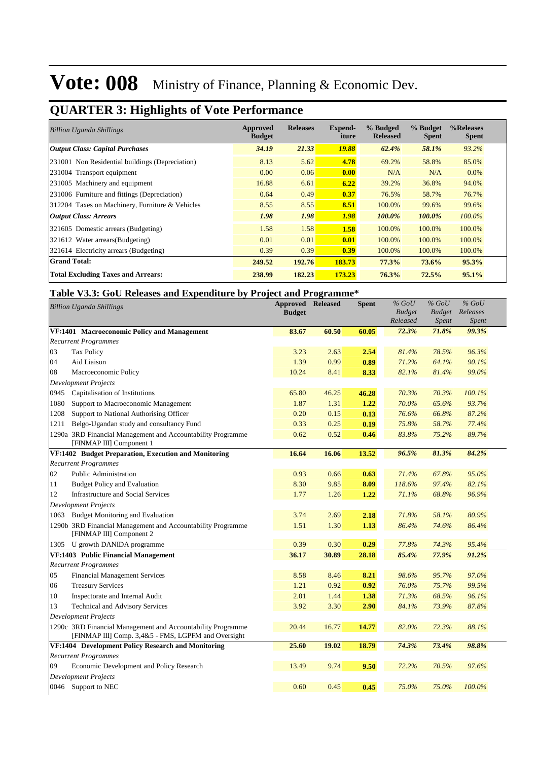### **QUARTER 3: Highlights of Vote Performance**

| <b>Billion Uganda Shillings</b>                 | Approved<br><b>Budget</b> | <b>Releases</b> | Expend-<br>iture | % Budged<br><b>Released</b> | % Budget<br><b>Spent</b> | %Releases<br><b>Spent</b> |
|-------------------------------------------------|---------------------------|-----------------|------------------|-----------------------------|--------------------------|---------------------------|
| <b>Output Class: Capital Purchases</b>          | 34.19                     | 21.33           | 19.88            | 62.4%                       | 58.1%                    | 93.2%                     |
| 231001 Non Residential buildings (Depreciation) | 8.13                      | 5.62            | 4.78             | 69.2%                       | 58.8%                    | 85.0%                     |
| 231004 Transport equipment                      | 0.00 <sub>1</sub>         | 0.06            | 0.00             | N/A                         | N/A                      | $0.0\%$                   |
| 231005 Machinery and equipment                  | 16.88                     | 6.61            | 6.22             | 39.2%                       | 36.8%                    | 94.0%                     |
| 231006 Furniture and fittings (Depreciation)    | 0.64                      | 0.49            | 0.37             | 76.5%                       | 58.7%                    | 76.7%                     |
| 312204 Taxes on Machinery, Furniture & Vehicles | 8.55                      | 8.55            | 8.51             | 100.0%                      | 99.6%                    | 99.6%                     |
| <b>Output Class: Arrears</b>                    | 1.98                      | 1.98            | 1.98             | 100.0%                      | 100.0%                   | $100.0\%$                 |
| 321605 Domestic arrears (Budgeting)             | 1.58                      | 1.58            | 1.58             | 100.0%                      | 100.0%                   | 100.0%                    |
| 321612 Water arrears (Budgeting)                | 0.01                      | 0.01            | 0.01             | 100.0%                      | 100.0%                   | 100.0%                    |
| 321614 Electricity arrears (Budgeting)          | 0.39                      | 0.39            | 0.39             | 100.0%                      | 100.0%                   | 100.0%                    |
| <b>Grand Total:</b>                             | 249.52                    | 192.76          | 183.73           | 77.3%                       | 73.6%                    | 95.3%                     |
| <b>Total Excluding Taxes and Arrears:</b>       | 238.99                    | 182.23          | 173.23           | 76.3%                       | 72.5%                    | 95.1%                     |

#### **Table V3.3: GoU Releases and Expenditure by Project and Programme\***

|      | <b>Billion Uganda Shillings</b>                                                         | <b>Approved Released</b><br><b>Budget</b> |       | <b>Spent</b> | $%$ GoU<br><b>Budget</b><br>Released | $%$ GoU<br><b>Budget</b><br><i>Spent</i> | $%$ GoU<br>Releases<br><i>Spent</i> |  |
|------|-----------------------------------------------------------------------------------------|-------------------------------------------|-------|--------------|--------------------------------------|------------------------------------------|-------------------------------------|--|
|      | VF:1401 Macroeconomic Policy and Management                                             | 83.67                                     | 60.50 | 60.05        | 72.3%                                | 71.8%                                    | 99.3%                               |  |
|      | <b>Recurrent Programmes</b>                                                             |                                           |       |              |                                      |                                          |                                     |  |
| 03   | <b>Tax Policy</b>                                                                       | 3.23                                      | 2.63  | 2.54         | 81.4%                                | 78.5%                                    | 96.3%                               |  |
| 04   | Aid Liaison                                                                             | 1.39                                      | 0.99  | 0.89         | 71.2%                                | 64.1%                                    | 90.1%                               |  |
| 08   | Macroeconomic Policy                                                                    | 10.24                                     | 8.41  | 8.33         | 82.1%                                | 81.4%                                    | 99.0%                               |  |
|      | <b>Development Projects</b>                                                             |                                           |       |              |                                      |                                          |                                     |  |
| 0945 | Capitalisation of Institutions                                                          | 65.80                                     | 46.25 | 46.28        | 70.3%                                | 70.3%                                    | 100.1%                              |  |
| 1080 | Support to Macroeconomic Management                                                     | 1.87                                      | 1.31  | 1.22         | 70.0%                                | 65.6%                                    | 93.7%                               |  |
| 1208 | Support to National Authorising Officer                                                 | 0.20                                      | 0.15  | 0.13         | 76.6%                                | 66.8%                                    | 87.2%                               |  |
| 1211 | Belgo-Ugandan study and consultancy Fund                                                | 0.33                                      | 0.25  | 0.19         | 75.8%                                | 58.7%                                    | 77.4%                               |  |
|      | 1290a 3RD Financial Management and Accountability Programme                             | 0.62                                      | 0.52  | 0.46         | 83.8%                                | 75.2%                                    | 89.7%                               |  |
|      | [FINMAP III] Component 1                                                                |                                           |       |              |                                      |                                          |                                     |  |
|      | VF:1402 Budget Preparation, Execution and Monitoring                                    | 16.64                                     | 16.06 | 13.52        | 96.5%                                | 81.3%                                    | 84.2%                               |  |
|      | <b>Recurrent Programmes</b>                                                             |                                           |       |              |                                      |                                          |                                     |  |
| 02   | <b>Public Administration</b>                                                            | 0.93                                      | 0.66  | 0.63         | 71.4%                                | 67.8%                                    | 95.0%                               |  |
| 11   | Budget Policy and Evaluation                                                            | 8.30                                      | 9.85  | 8.09         | 118.6%                               | 97.4%                                    | 82.1%                               |  |
| 12   | <b>Infrastructure and Social Services</b>                                               | 1.77                                      | 1.26  | 1.22         | 71.1%                                | 68.8%                                    | 96.9%                               |  |
|      | <b>Development Projects</b>                                                             |                                           |       |              |                                      |                                          |                                     |  |
|      | 1063 Budget Monitoring and Evaluation                                                   | 3.74                                      | 2.69  | 2.18         | 71.8%                                | 58.1%                                    | 80.9%                               |  |
|      | 1290b 3RD Financial Management and Accountability Programme<br>[FINMAP III] Component 2 | 1.51                                      | 1.30  | 1.13         | 86.4%                                | 74.6%                                    | 86.4%                               |  |
|      | 1305 U growth DANIDA programme                                                          | 0.39                                      | 0.30  | 0.29         | 77.8%                                | 74.3%                                    | 95.4%                               |  |
|      | VF:1403 Public Financial Management                                                     | 36.17                                     | 30.89 | 28.18        | 85.4%                                | 77.9%                                    | 91.2%                               |  |
|      | <b>Recurrent Programmes</b>                                                             |                                           |       |              |                                      |                                          |                                     |  |
| 05   | <b>Financial Management Services</b>                                                    | 8.58                                      | 8.46  | 8.21         | 98.6%                                | 95.7%                                    | 97.0%                               |  |
| 06   | <b>Treasury Services</b>                                                                | 1.21                                      | 0.92  | 0.92         | 76.0%                                | 75.7%                                    | 99.5%                               |  |
| 10   | Inspectorate and Internal Audit                                                         | 2.01                                      | 1.44  | 1.38         | 71.3%                                | 68.5%                                    | 96.1%                               |  |
| 13   | <b>Technical and Advisory Services</b>                                                  | 3.92                                      | 3.30  | 2.90         | 84.1%                                | 73.9%                                    | 87.8%                               |  |
|      | <b>Development Projects</b>                                                             |                                           |       |              |                                      |                                          |                                     |  |
|      | 1290c 3RD Financial Management and Accountability Programme                             | 20.44                                     | 16.77 | 14.77        | 82.0%                                | 72.3%                                    | 88.1%                               |  |
|      | [FINMAP III] Comp. 3,4&5 - FMS, LGPFM and Oversight                                     |                                           |       |              |                                      |                                          |                                     |  |
|      | VF:1404 Development Policy Research and Monitoring                                      | 25.60                                     | 19.02 | 18.79        | 74.3%                                | 73.4%                                    | 98.8%                               |  |
|      | <b>Recurrent Programmes</b>                                                             |                                           |       |              |                                      |                                          |                                     |  |
| 09   | Economic Development and Policy Research                                                | 13.49                                     | 9.74  | 9.50         | 72.2%                                | 70.5%                                    | 97.6%                               |  |
|      | <b>Development Projects</b>                                                             |                                           |       |              |                                      |                                          |                                     |  |
|      | 0046 Support to NEC                                                                     | 0.60                                      | 0.45  | 0.45         | 75.0%                                | 75.0%                                    | 100.0%                              |  |